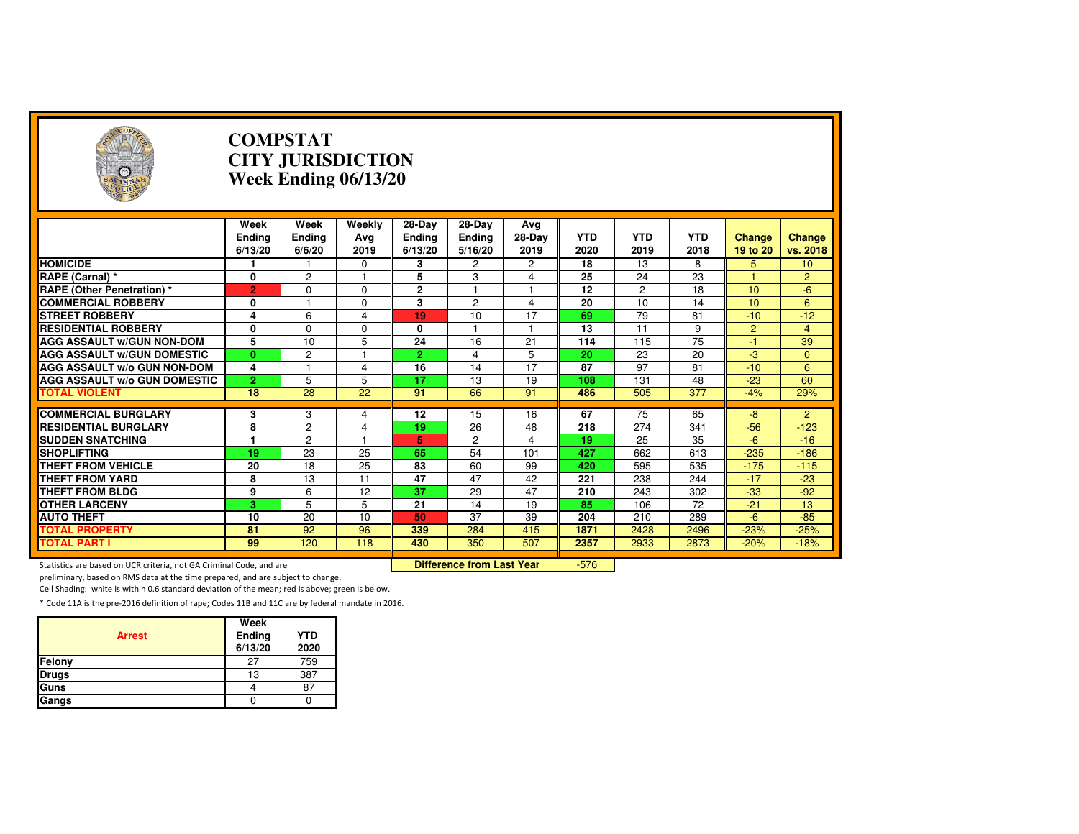| $\rightarrow$                                                       |                                  | <b>COMPSTAT</b><br><b>CITY JURISDICTION</b><br>Week Ending 06/13/20 |                         |                                    |                                  |                       |                    |                    |                    |                           |                    |  |
|---------------------------------------------------------------------|----------------------------------|---------------------------------------------------------------------|-------------------------|------------------------------------|----------------------------------|-----------------------|--------------------|--------------------|--------------------|---------------------------|--------------------|--|
|                                                                     | Week<br><b>Ending</b><br>6/13/20 | Week<br>Ending<br>6/6/20                                            | Weekly<br>Ava<br>2019   | 28-Day<br><b>Ending</b><br>6/13/20 | 28-Day<br>Ending<br>5/16/20      | Avg<br>28-Day<br>2019 | <b>YTD</b><br>2020 | <b>YTD</b><br>2019 | <b>YTD</b><br>2018 | <b>Change</b><br>19 to 20 | Change<br>vs. 2018 |  |
| <b>HOMICIDE</b>                                                     | 1                                |                                                                     | 0                       | 3                                  | 2                                | 2                     | 18                 | 13                 | 8                  | 5                         | 10                 |  |
| RAPE (Carnal) *                                                     | 0                                | $\overline{c}$                                                      | $\mathbf{1}$            | 5                                  | 3                                | 4                     | 25                 | 24                 | 23                 |                           | $\overline{2}$     |  |
| <b>RAPE (Other Penetration) *</b>                                   | $\overline{2}$                   | $\Omega$                                                            | $\Omega$                | $\overline{2}$                     | 1                                | $\mathbf{1}$          | $\overline{12}$    | $\overline{2}$     | $\overline{18}$    | 10                        | $-6$               |  |
| <b>COMMERCIAL ROBBERY</b>                                           | 0                                |                                                                     | $\Omega$                | 3                                  | $\overline{c}$                   | 4                     | 20                 | 10                 | 14                 | 10                        | 6                  |  |
| <b>STREET ROBBERY</b>                                               | 4                                | 6                                                                   | $\overline{\mathbf{4}}$ | 19                                 | 10                               | 17                    | 69                 | 79                 | 81                 | $-10$                     | $-12$              |  |
| <b>RESIDENTIAL ROBBERY</b>                                          | 0                                | $\Omega$                                                            | $\Omega$                | $\mathbf{0}$                       | 1                                | $\mathbf{1}$          | 13                 | 11                 | 9                  | $\overline{2}$            | $\overline{4}$     |  |
| <b>AGG ASSAULT W/GUN NON-DOM</b>                                    | 5                                | 10                                                                  | 5                       | 24                                 | 16                               | $\overline{21}$       | 114                | 115                | $\overline{75}$    | -1                        | 39                 |  |
| <b>AGG ASSAULT W/GUN DOMESTIC</b>                                   | $\mathbf{0}$                     | 2                                                                   |                         | $\overline{2}$                     | 4                                | 5                     | 20                 | 23                 | 20                 | $-3$                      | $\mathbf{0}$       |  |
| AGG ASSAULT w/o GUN NON-DOM                                         | 4                                | 1                                                                   | 4                       | 16                                 | 14                               | 17                    | 87                 | 97                 | 81                 | $-10$                     | 6                  |  |
| <b>AGG ASSAULT W/o GUN DOMESTIC</b>                                 | $\overline{2}$                   | 5                                                                   | 5                       | 17                                 | 13                               | 19                    | 108                | 131                | 48                 | $-23$                     | 60                 |  |
| <b>TOTAL VIOLENT</b>                                                | 18                               | 28                                                                  | 22                      | 91                                 | 66                               | 91                    | 486                | 505                | 377                | $-4%$                     | 29%                |  |
|                                                                     |                                  |                                                                     |                         |                                    |                                  |                       |                    |                    |                    |                           |                    |  |
| <b>COMMERCIAL BURGLARY</b>                                          | 3                                | 3                                                                   | 4                       | 12                                 | 15                               | 16                    | 67                 | 75                 | 65                 | $-8$                      | $\overline{2}$     |  |
| <b>RESIDENTIAL BURGLARY</b>                                         | 8<br>1                           | $\overline{2}$                                                      | 4<br>1                  | 19                                 | 26                               | 48                    | 218                | 274                | 341                | $-56$<br>$-6$             | $-123$             |  |
| <b>SUDDEN SNATCHING</b>                                             |                                  | $\overline{2}$<br>23                                                |                         | 5.<br>65                           | $\overline{2}$<br>54             | 4                     | 19<br>427          | 25                 | 35<br>613          |                           | $-16$              |  |
| <b>SHOPLIFTING</b>                                                  | 19                               |                                                                     | 25                      |                                    |                                  | 101                   |                    | 662                |                    | $-235$                    | $-186$             |  |
| <b>THEFT FROM VEHICLE</b>                                           | 20                               | 18                                                                  | 25                      | 83<br>47                           | 60<br>47                         | 99<br>42              | 420                | 595                | 535                | $-175$<br>$-17$           | $-115$             |  |
| <b>THEFT FROM YARD</b>                                              | 8                                | 13                                                                  | 11                      | $\overline{37}$                    |                                  |                       | 221                | 238                | 244                |                           | $-23$              |  |
| <b>THEFT FROM BLDG</b>                                              | 9                                | 6                                                                   | 12                      |                                    | 29                               | 47                    | 210                | 243                | 302                | $-33$                     | $-92$              |  |
| <b>OTHER LARCENY</b>                                                | 3                                | 5                                                                   | 5                       | 21                                 | 14                               | 19                    | 85                 | 106                | 72                 | $-21$                     | 13                 |  |
| <b>AUTO THEFT</b>                                                   | 10                               | 20                                                                  | 10                      | 50                                 | 37                               | 39                    | 204                | 210                | 289                | $-6$                      | $-85$              |  |
| <b>TOTAL PROPERTY</b><br><b>TOTAL PART I</b>                        | 81                               | 92                                                                  | 96                      | 339                                | 284                              | 415                   | 1871               | 2428               | 2496               | $-23%$                    | $-25%$             |  |
|                                                                     | 99                               | 120                                                                 | 118                     | 430                                | 350                              | 507                   | 2357               | 2933               | 2873               | $-20%$                    | $-18%$             |  |
| Statistics are based on UCR criteria, not GA Criminal Code, and are |                                  |                                                                     |                         |                                    | <b>Difference from Last Year</b> |                       | $-576$             |                    |                    |                           |                    |  |

Statistics are based on UCR criteria, not GA Criminal Code, and are **Difference from Last Year** 

preliminary, based on RMS data at the time prepared, and are subject to change.

Cell Shading: white is within 0.6 standard deviation of the mean; red is above; green is below.

| <b>Arrest</b> | Week<br>Ending<br>6/13/20 | <b>YTD</b><br>2020 |
|---------------|---------------------------|--------------------|
| Felony        | 27                        | 759                |
| <b>Drugs</b>  | 13                        | 387                |
| Guns          |                           | 87                 |
| Gangs         |                           |                    |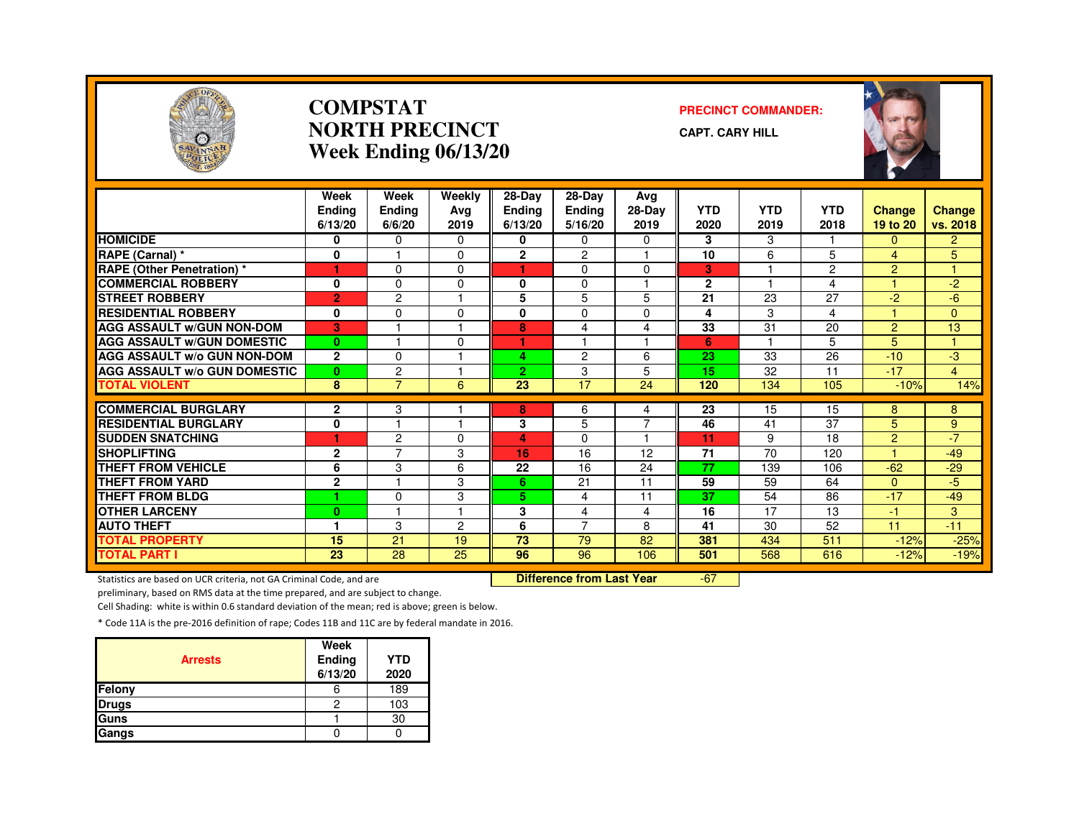

#### **COMPSTATNORTH PRECINCTWeek Ending 06/13/20**

#### **PRECINCT COMMANDER:**

**CAPT. CARY HILL**



|                                               | Week<br><b>Endina</b><br>6/13/20 | Week<br>Ending<br>6/6/20 | Weekly<br>Ava<br>2019 | $28-Dav$<br><b>Ending</b><br>6/13/20 | 28-Day<br>Ending<br>5/16/20 | Avg<br>28-Day<br>2019 | <b>YTD</b><br>2020 | <b>YTD</b><br>2019      | <b>YTD</b><br>2018 | <b>Change</b><br>19 to 20 | <b>Change</b><br>vs. 2018 |
|-----------------------------------------------|----------------------------------|--------------------------|-----------------------|--------------------------------------|-----------------------------|-----------------------|--------------------|-------------------------|--------------------|---------------------------|---------------------------|
| <b>HOMICIDE</b>                               | 0                                | 0                        | $\Omega$              | 0                                    | 0                           | 0                     | 3                  | 3                       |                    | $\Omega$                  | $\overline{2}$            |
| <b>RAPE (Carnal) *</b>                        | $\mathbf 0$                      |                          | $\Omega$              | $\overline{2}$                       | 2                           |                       | 10                 | 6                       | 5                  | 4                         | 5                         |
| <b>RAPE (Other Penetration) *</b>             | 1                                | $\Omega$                 | $\Omega$              | и                                    | $\Omega$                    | $\Omega$              | 3                  |                         | $\overline{2}$     | $\overline{2}$            | $\blacktriangleleft$      |
| <b>COMMERCIAL ROBBERY</b>                     | 0                                | $\Omega$                 | $\Omega$              | 0                                    | $\Omega$                    |                       | $\mathbf{2}$       |                         | 4                  |                           | $-2$                      |
| <b>STREET ROBBERY</b>                         | $\overline{2}$                   | $\overline{c}$           |                       | 5                                    | 5                           | 5                     | 21                 | 23                      | 27                 | $-2$                      | $-6$                      |
| <b>RESIDENTIAL ROBBERY</b>                    | 0                                | $\Omega$                 | $\Omega$              | 0                                    | $\Omega$                    | $\Omega$              | 4                  | 3                       | 4                  |                           | $\Omega$                  |
| <b>AGG ASSAULT W/GUN NON-DOM</b>              | 3                                |                          |                       | 8                                    | 4                           | 4                     | 33                 | 31                      | 20                 | $\overline{2}$            | 13                        |
| <b>AGG ASSAULT w/GUN DOMESTIC</b>             | $\bf{0}$                         |                          | $\Omega$              | ٠                                    |                             | 1                     | 6                  | $\overline{\mathbf{1}}$ | 5                  | 5                         | 4                         |
| <b>AGG ASSAULT w/o GUN NON-DOM</b>            | $\overline{2}$                   | $\Omega$                 |                       | 4                                    | 2                           | 6                     | 23                 | 33                      | 26                 | $-10$                     | -3                        |
| <b>AGG ASSAULT W/o GUN DOMESTIC</b>           | $\mathbf{0}$                     | 2                        |                       | 2.                                   | 3                           | 5                     | 15                 | 32                      | 11                 | $-17$                     | $\overline{4}$            |
| <b>TOTAL VIOLENT</b>                          | 8                                | $\overline{7}$           | 6                     | 23                                   | 17                          | 24                    | 120                | 134                     | 105                | $-10%$                    | 14%                       |
| <b>COMMERCIAL BURGLARY</b>                    |                                  |                          |                       |                                      |                             |                       |                    |                         |                    |                           |                           |
| <b>RESIDENTIAL BURGLARY</b>                   | $\mathbf{2}$                     | 3<br>н                   |                       | 8                                    | 6                           | 4<br>7                | 23                 | 15                      | 15                 | 8                         | 8                         |
|                                               | $\mathbf{0}$                     | $\overline{c}$           | $\Omega$              | 3                                    | 5                           | $\blacktriangleleft$  | 46                 | 41                      | 37<br>18           | 5<br>$\overline{2}$       | 9<br>$-7$                 |
| <b>SUDDEN SNATCHING</b><br><b>SHOPLIFTING</b> | ۴                                | $\overline{7}$           |                       | 4<br>16                              | $\Omega$<br>16              | 12                    | 11<br>71           | 9<br>70                 | 120                | н                         | $-49$                     |
| <b>THEFT FROM VEHICLE</b>                     | $\mathbf{2}$<br>6                | 3                        | 3                     | 22                                   | 16                          | 24                    | 77                 | 139                     |                    | $-62$                     | $-29$                     |
| <b>THEFT FROM YARD</b>                        |                                  |                          | 6                     |                                      |                             |                       | 59                 |                         | 106                |                           |                           |
| <b>THEFT FROM BLDG</b>                        | $\mathbf 2$<br>٠                 |                          | 3<br>3                | 6<br>5.                              | 21                          | 11<br>11              | 37                 | 59<br>54                | 64<br>86           | $\Omega$<br>$-17$         | $-5$<br>$-49$             |
|                                               |                                  | $\Omega$                 |                       |                                      | 4                           |                       |                    |                         |                    |                           |                           |
| <b>OTHER LARCENY</b>                          | $\bf{0}$                         |                          |                       | 3                                    | 4<br>7                      | 4                     | 16                 | 17                      | 13                 | $-1$                      | 3                         |
| <b>AUTO THEFT</b>                             |                                  | 3                        | $\overline{2}$        | 6                                    |                             | 8                     | 41                 | 30                      | 52                 | 11                        | $-11$                     |
| <b>TOTAL PROPERTY</b>                         | 15                               | 21                       | 19                    | 73                                   | 79                          | 82                    | 381                | 434                     | 511                | $-12%$                    | $-25%$                    |
| <b>TOTAL PART I</b>                           | 23                               | $\overline{28}$          | 25                    | 96                                   | 96                          | 106                   | 501                | 568                     | 616                | $-12%$                    | $-19%$                    |

Statistics are based on UCR criteria, not GA Criminal Code, and are **Difference from Last Year** 

-67

preliminary, based on RMS data at the time prepared, and are subject to change.

Cell Shading: white is within 0.6 standard deviation of the mean; red is above; green is below.

| <b>Arrests</b> | Week<br>Ending<br>6/13/20 | <b>YTD</b><br>2020 |
|----------------|---------------------------|--------------------|
| <b>Felony</b>  | o                         | 189                |
| <b>Drugs</b>   | 2                         | 103                |
| Guns           |                           | 30                 |
| Gangs          |                           |                    |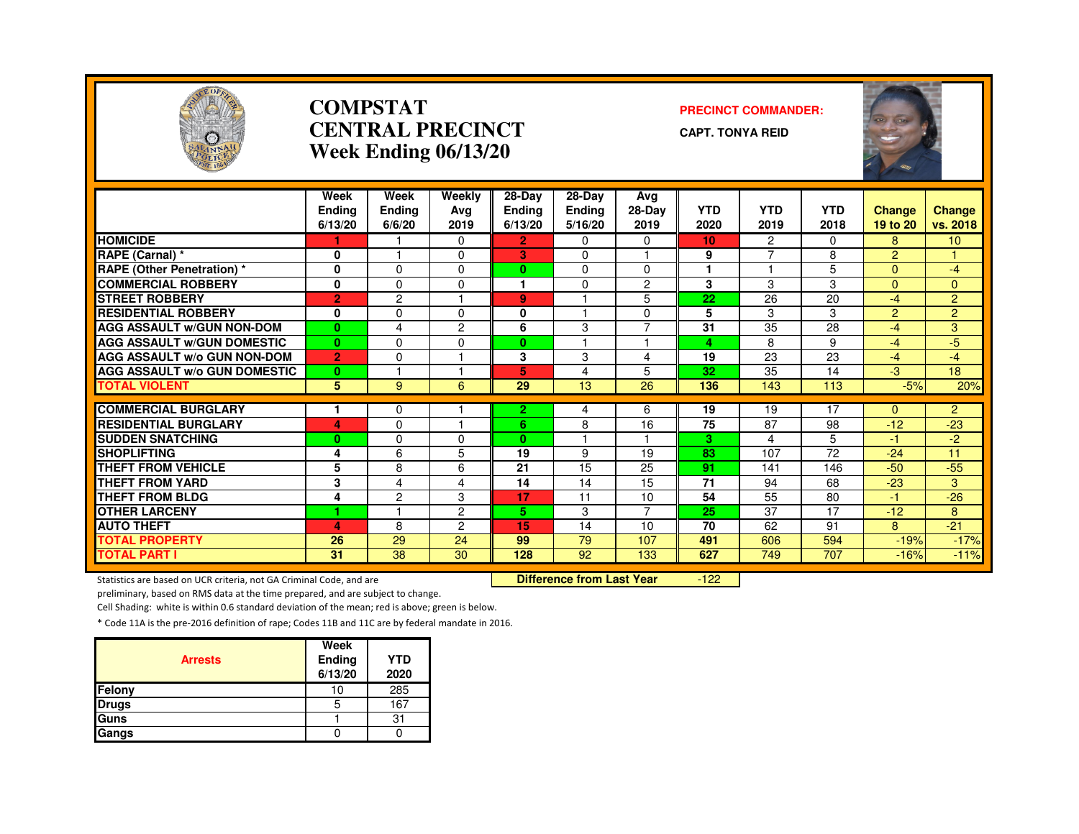

#### **COMPSTATCENTRAL PRECINCTWeek Ending 06/13/20**

#### **PRECINCT COMMANDER:**

**CAPT. TONYA REID**



|                                     | Week<br><b>Endina</b><br>6/13/20 | Week<br><b>Ending</b><br>6/6/20 | Weekly<br>Avg<br>2019 | 28-Day<br><b>Ending</b><br>6/13/20 | 28-Day<br><b>Ending</b><br>5/16/20 | Avg<br>28-Day<br>2019 | <b>YTD</b><br>2020 | <b>YTD</b><br>2019   | <b>YTD</b><br>2018 | <b>Change</b><br>19 to 20 | <b>Change</b><br>vs. 2018 |
|-------------------------------------|----------------------------------|---------------------------------|-----------------------|------------------------------------|------------------------------------|-----------------------|--------------------|----------------------|--------------------|---------------------------|---------------------------|
| <b>HOMICIDE</b>                     |                                  |                                 | $\Omega$              | 2.                                 | $\Omega$                           | $\Omega$              | 10                 | $\mathbf{2}^{\circ}$ | $\Omega$           | 8                         | 10 <sup>1</sup>           |
| <b>RAPE (Carnal) *</b>              | 0                                |                                 | 0                     | 3                                  | $\Omega$                           |                       | 9                  | 7                    | 8                  | $\overline{2}$            |                           |
| <b>RAPE (Other Penetration) *</b>   | $\mathbf{0}$                     | $\Omega$                        | $\Omega$              | $\bf{0}$                           | $\Omega$                           | $\Omega$              |                    |                      | 5                  | $\overline{0}$            | $-4$                      |
| <b>COMMERCIAL ROBBERY</b>           | $\mathbf{0}$                     | $\Omega$                        | 0                     |                                    | $\Omega$                           | 2                     | 3                  | 3                    | 3                  | $\Omega$                  | $\Omega$                  |
| <b>STREET ROBBERY</b>               | $\overline{2}$                   | $\overline{c}$                  |                       | 9                                  |                                    | 5                     | 22                 | 26                   | 20                 | $-4$                      | $\overline{2}$            |
| <b>RESIDENTIAL ROBBERY</b>          | $\bf{0}$                         | $\Omega$                        | $\Omega$              | 0                                  |                                    | $\Omega$              | 5                  | 3                    | 3                  | $\overline{2}$            | $\overline{2}$            |
| <b>AGG ASSAULT W/GUN NON-DOM</b>    | $\mathbf{0}$                     | 4                               | $\overline{2}$        | 6                                  | 3                                  | $\overline{7}$        | 31                 | 35                   | 28                 | $-4$                      | 3                         |
| <b>AGG ASSAULT W/GUN DOMESTIC</b>   | $\bf{0}$                         | $\Omega$                        | 0                     | $\mathbf{0}$                       |                                    |                       | 4                  | 8                    | 9                  | $-4$                      | $-5$                      |
| <b>AGG ASSAULT W/o GUN NON-DOM</b>  | $\overline{2}$                   | $\Omega$                        |                       | 3                                  | 3                                  | 4                     | 19                 | 23                   | 23                 | $-4$                      | $-4$                      |
| <b>AGG ASSAULT W/o GUN DOMESTIC</b> | $\bf{0}$                         |                                 |                       | 5                                  | 4                                  | 5                     | 32                 | 35                   | 14                 | $-3$                      | 18                        |
| <b>TOTAL VIOLENT</b>                | 5                                | 9                               | 6                     | 29                                 | 13                                 | 26                    | 136                | 143                  | 113                | $-5%$                     | 20%                       |
|                                     |                                  |                                 |                       |                                    |                                    |                       |                    |                      |                    |                           |                           |
| <b>COMMERCIAL BURGLARY</b>          |                                  | $\Omega$                        |                       | 2.                                 | 4                                  | 6                     | 19                 | 19                   | 17                 | 0                         | $\overline{2}$            |
| <b>RESIDENTIAL BURGLARY</b>         | 4                                | $\Omega$                        |                       | 6                                  | 8                                  | 16                    | 75                 | 87                   | 98                 | $-12$                     | $-23$                     |
| <b>SUDDEN SNATCHING</b>             | $\bf{0}$                         | $\Omega$                        | $\Omega$              | 0                                  |                                    |                       | з                  | 4                    | 5                  | $-1$                      | $-2$                      |
| <b>SHOPLIFTING</b>                  | 4                                | 6                               | 5                     | 19                                 | 9                                  | 19                    | 83                 | 107                  | $\overline{72}$    | $-24$                     | 11                        |
| <b>THEFT FROM VEHICLE</b>           | 5                                | 8                               | 6                     | 21                                 | 15                                 | 25                    | 91                 | 141                  | 146                | $-50$                     | $-55$                     |
| <b>THEFT FROM YARD</b>              | 3                                | 4                               | 4                     | 14                                 | 14                                 | 15                    | 71                 | 94                   | 68                 | $-23$                     | 3                         |
| <b>THEFT FROM BLDG</b>              | 4                                | $\overline{c}$                  | 3                     | 17                                 | 11                                 | 10                    | 54                 | 55                   | 80                 | $-1$                      | $-26$                     |
| <b>OTHER LARCENY</b>                | 1                                |                                 | $\overline{2}$        | 5.                                 | 3                                  | 7                     | 25                 | 37                   | 17                 | $-12$                     | 8                         |
| <b>AUTO THEFT</b>                   | 4                                | 8                               | 2                     | 15                                 | 14                                 | 10                    | 70                 | 62                   | 91                 | 8                         | $-21$                     |
| <b>TOTAL PROPERTY</b>               | 26                               | $\overline{29}$                 | 24                    | 99                                 | $\overline{79}$                    | 107                   | 491                | 606                  | 594                | $-19%$                    | $-17%$                    |
| <b>TOTAL PART I</b>                 | 31                               | 38                              | 30                    | 128                                | 92                                 | 133                   | 627                | 749                  | 707                | $-16%$                    | $-11%$                    |

Statistics are based on UCR criteria, not GA Criminal Code, and are **Difference from Last Year** 

 $-122$ 

preliminary, based on RMS data at the time prepared, and are subject to change.

Cell Shading: white is within 0.6 standard deviation of the mean; red is above; green is below.

|                | Week              |                    |
|----------------|-------------------|--------------------|
| <b>Arrests</b> | Ending<br>6/13/20 | <b>YTD</b><br>2020 |
| <b>Felony</b>  | 10                | 285                |
| <b>Drugs</b>   | 5                 | 167                |
| <b>Guns</b>    |                   | 31                 |
| Gangs          |                   |                    |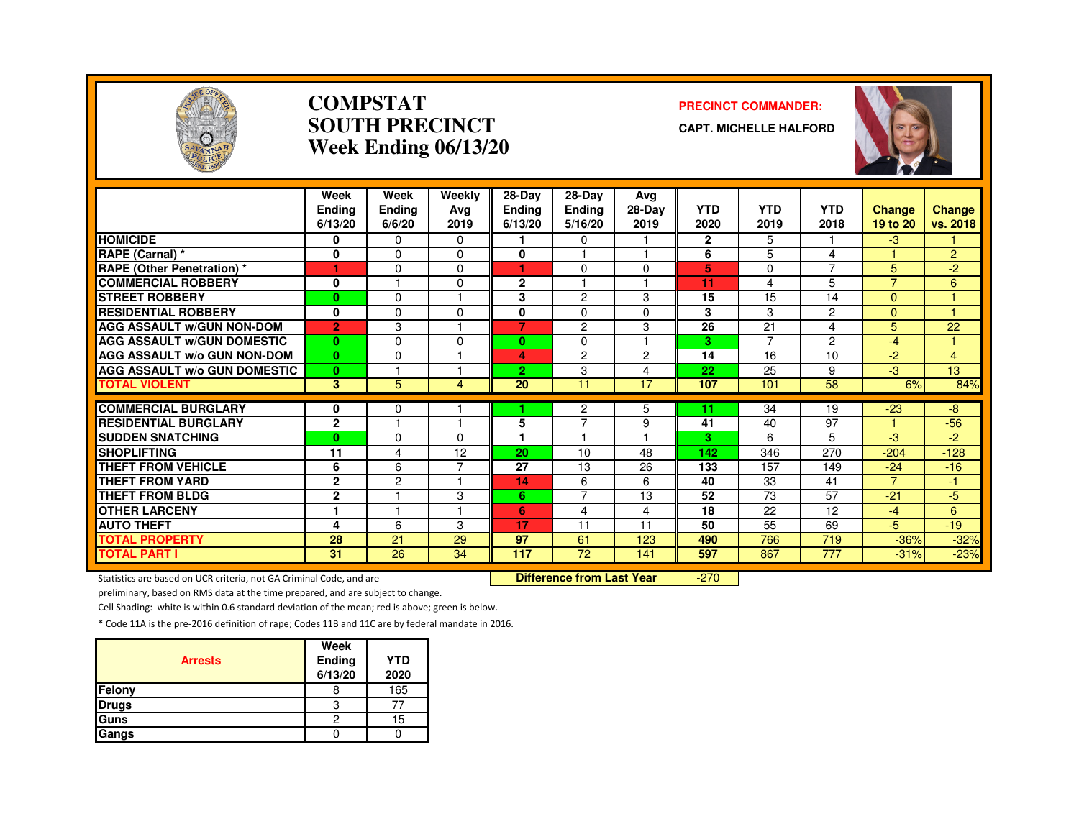

#### **COMPSTATSOUTH PRECINCTWeek Ending 06/13/20**

#### **PRECINCT COMMANDER:**

**CAPT. MICHELLE HALFORD**



|                                     | Week<br>Endina<br>6/13/20 | Week<br><b>Ending</b><br>6/6/20 | Weekly<br>Avg<br>2019 | 28-Day<br><b>Ending</b><br>6/13/20 | $28-Dav$<br><b>Ending</b><br>5/16/20 | Avg<br>28-Day<br>2019    | <b>YTD</b><br>2020 | <b>YTD</b><br>2019 | <b>YTD</b><br>2018 | <b>Change</b><br>19 to 20 | <b>Change</b><br>vs. 2018 |
|-------------------------------------|---------------------------|---------------------------------|-----------------------|------------------------------------|--------------------------------------|--------------------------|--------------------|--------------------|--------------------|---------------------------|---------------------------|
| <b>HOMICIDE</b>                     | 0                         | $\mathbf{0}$                    | $\Omega$              |                                    | 0                                    |                          | $\mathbf{2}$       | 5                  |                    | $-3$                      |                           |
| RAPE (Carnal) *                     | 0                         | $\Omega$                        | $\Omega$              | 0                                  |                                      |                          | 6                  | 5                  | 4                  |                           | $\overline{2}$            |
| <b>RAPE</b> (Other Penetration) *   | ٦                         | $\Omega$                        | 0                     | 1                                  | $\Omega$                             | $\Omega$                 | 5                  | 0                  | 7                  | 5                         | $-2$                      |
| <b>COMMERCIAL ROBBERY</b>           | 0                         |                                 | $\Omega$              | $\overline{2}$                     |                                      |                          | 11                 | 4                  | 5                  | $\overline{7}$            | 6                         |
| <b>STREET ROBBERY</b>               | $\bf{0}$                  | $\Omega$                        |                       | 3                                  | $\overline{c}$                       | 3                        | 15                 | 15                 | 14                 | $\Omega$                  |                           |
| <b>RESIDENTIAL ROBBERY</b>          | $\mathbf{0}$              | $\mathbf{0}$                    | O                     | 0                                  | $\Omega$                             | $\Omega$                 | 3                  | 3                  | 2                  | $\Omega$                  |                           |
| <b>AGG ASSAULT W/GUN NON-DOM</b>    | $\overline{2}$            | 3                               |                       | $\overline{7}$                     | 2                                    | 3                        | 26                 | 21                 | 4                  | 5                         | 22                        |
| <b>AGG ASSAULT W/GUN DOMESTIC</b>   | $\mathbf{0}$              | $\Omega$                        | $\Omega$              | 0                                  | $\Omega$                             | $\overline{\phantom{a}}$ | 3                  | 7                  | $\overline{2}$     | $-4$                      |                           |
| <b>AGG ASSAULT W/o GUN NON-DOM</b>  | $\mathbf{0}$              | $\Omega$                        |                       | 4                                  | $\overline{2}$                       | $\overline{c}$           | 14                 | 16                 | 10                 | $-2$                      | $\overline{4}$            |
| <b>AGG ASSAULT W/o GUN DOMESTIC</b> | $\mathbf{0}$              |                                 |                       | 2                                  | 3                                    | 4                        | 22                 | 25                 | 9                  | -3                        | 13 <sup>2</sup>           |
| <b>TOTAL VIOLENT</b>                | 3                         | 5                               | 4                     | 20                                 | 11                                   | 17                       | 107                | 101                | 58                 | 6%                        | 84%                       |
| <b>COMMERCIAL BURGLARY</b>          | 0                         | 0                               |                       |                                    | $\overline{c}$                       | 5                        | 11                 | 34                 | 19                 | $-23$                     | -8                        |
| <b>RESIDENTIAL BURGLARY</b>         | $\mathbf{2}$              | н                               |                       | 5                                  | $\overline{7}$                       | 9                        | 41                 | 40                 | 97                 |                           | $-56$                     |
| <b>SUDDEN SNATCHING</b>             | $\bf{0}$                  | $\Omega$                        | <sup>0</sup>          | 1                                  |                                      |                          | 3                  | 6                  | 5                  | -3                        | -2                        |
| <b>SHOPLIFTING</b>                  | 11                        | 4                               | 12                    | 20                                 | 10                                   | 48                       | 142                | 346                | 270                | $-204$                    | $-128$                    |
| <b>THEFT FROM VEHICLE</b>           | 6                         | 6                               | ⇁                     | 27                                 | 13                                   | 26                       | 133                | 157                | 149                | $-24$                     | $-16$                     |
| <b>THEFT FROM YARD</b>              | $\mathbf{2}$              | $\overline{c}$                  |                       | 14                                 | 6                                    | 6                        | 40                 | 33                 | 41                 | $\overline{7}$            | $-1$                      |
| <b>THEFT FROM BLDG</b>              | $\mathbf{2}$              |                                 | 3                     | 6                                  | 7                                    | 13                       | 52                 | 73                 | 57                 | $-21$                     | $-5$                      |
| <b>OTHER LARCENY</b>                | 1                         | н                               |                       | 6                                  | 4                                    | 4                        | 18                 | 22                 | 12                 | $-4$                      | 6                         |
| <b>AUTO THEFT</b>                   | 4                         | 6                               | 3                     | 17                                 | 11                                   | 11                       | 50                 | 55                 | 69                 | $-5$                      | $-19$                     |
| <b>TOTAL PROPERTY</b>               | 28                        | 21                              | 29                    | 97                                 | 61                                   | 123                      | 490                | 766                | 719                | $-36%$                    | $-32%$                    |
| <b>TOTAL PART I</b>                 | 31                        | 26                              | 34                    | 117                                | 72                                   | 141                      | 597                | 867                | 777                | $-31%$                    | $-23%$                    |

Statistics are based on UCR criteria, not GA Criminal Code, and are **Difference from Last Year** 

-270

preliminary, based on RMS data at the time prepared, and are subject to change.

Cell Shading: white is within 0.6 standard deviation of the mean; red is above; green is below.

| <b>Arrests</b> | Week<br><b>Ending</b><br>6/13/20 | <b>YTD</b><br>2020 |
|----------------|----------------------------------|--------------------|
| Felony         |                                  | 165                |
| <b>Drugs</b>   | З                                |                    |
| Guns           | 2                                | 15                 |
| Gangs          |                                  |                    |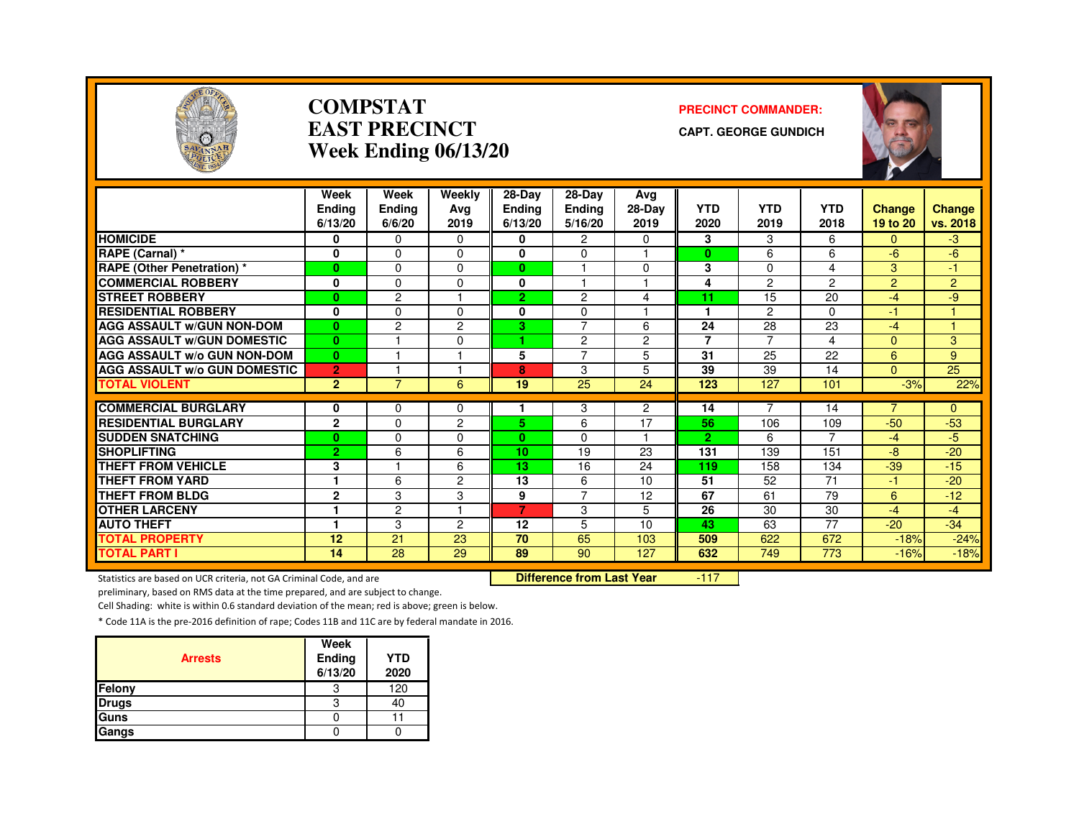

#### **COMPSTATEAST PRECINCTWeek Ending 06/13/20**

#### **PRECINCT COMMANDER:**

**CAPT. GEORGE GUNDICH**



|                                     | Week           | Week           | Weekly         | $28-Dav$       | 28-Dav         | Avg            |                 |                |                 |                |                |
|-------------------------------------|----------------|----------------|----------------|----------------|----------------|----------------|-----------------|----------------|-----------------|----------------|----------------|
|                                     | <b>Endina</b>  | <b>Ending</b>  | Ava            | Ending         | <b>Ending</b>  | 28-Day         | <b>YTD</b>      | <b>YTD</b>     | <b>YTD</b>      | Change         | <b>Change</b>  |
|                                     | 6/13/20        | 6/6/20         | 2019           | 6/13/20        | 5/16/20        | 2019           | 2020            | 2019           | 2018            | 19 to 20       | vs. 2018       |
| <b>HOMICIDE</b>                     | 0              | $\Omega$       | $\Omega$       | 0              | 2              | $\Omega$       | 3               | 3              | 6               | 0              | -3             |
| RAPE (Carnal) *                     | 0              | 0              | $\Omega$       | 0              | $\Omega$       |                | $\bf{0}$        | 6              | 6               | $-6$           | $-6$           |
| <b>RAPE (Other Penetration) *</b>   | $\mathbf{0}$   | $\Omega$       | $\Omega$       | $\mathbf{0}$   |                | $\Omega$       | 3               | $\Omega$       | 4               | 3              | 47             |
| <b>COMMERCIAL ROBBERY</b>           | 0              | $\Omega$       | $\Omega$       | 0              |                |                | 4               | $\overline{c}$ | $\overline{2}$  | 2              | $\overline{2}$ |
| <b>STREET ROBBERY</b>               | $\bf{0}$       | $\overline{c}$ |                | $\overline{2}$ | 2              | 4              | 11              | 15             | 20              | -4             | -9             |
| <b>RESIDENTIAL ROBBERY</b>          | 0              | $\Omega$       | $\Omega$       | 0              | $\Omega$       |                |                 | $\overline{c}$ | 0               | $-1$           |                |
| <b>AGG ASSAULT W/GUN NON-DOM</b>    | $\bf{0}$       | $\overline{c}$ | $\overline{c}$ | 3              | $\overline{7}$ | 6              | 24              | 28             | 23              | $-4$           |                |
| <b>AGG ASSAULT W/GUN DOMESTIC</b>   | $\bf{0}$       |                | $\Omega$       | ٠              | 2              | $\overline{2}$ | $\overline{7}$  | $\overline{7}$ | 4               | $\mathbf{0}$   | 3              |
| <b>AGG ASSAULT w/o GUN NON-DOM</b>  | $\bf{0}$       |                |                | 5              | $\overline{7}$ | 5              | 31              | 25             | 22              | 6              | 9              |
| <b>AGG ASSAULT W/o GUN DOMESTIC</b> | $\overline{2}$ |                |                | 8              | 3              | 5              | 39              | 39             | 14              | $\Omega$       | 25             |
| <b>TOTAL VIOLENT</b>                | $\overline{2}$ | 7              | 6              | 19             | 25             | 24             | 123             | 127            | 101             | $-3%$          | 22%            |
|                                     |                |                |                |                |                |                |                 | $\overline{7}$ |                 |                |                |
| <b>COMMERCIAL BURGLARY</b>          | 0              | $\Omega$       | $\Omega$       |                | 3              | $\overline{2}$ | 14              |                | 14              | $\overline{7}$ | $\overline{0}$ |
| <b>RESIDENTIAL BURGLARY</b>         | $\mathbf{2}$   | $\Omega$       | $\overline{c}$ | 5.             | 6              | 17             | 56              | 106            | 109             | $-50$          | $-53$          |
| <b>SUDDEN SNATCHING</b>             | $\bf{0}$       | $\Omega$       | $\Omega$       | $\mathbf{0}$   | 0              | н              | $\overline{2}$  | 6              | $\overline{7}$  | $-4$           | $-5$           |
| <b>SHOPLIFTING</b>                  | $\overline{2}$ | 6              | 6              | 10             | 19             | 23             | 131             | 139            | 151             | -8             | $-20$          |
| <b>THEFT FROM VEHICLE</b>           | 3              |                | 6              | 13             | 16             | 24             | 119             | 158            | 134             | $-39$          | $-15$          |
| <b>THEFT FROM YARD</b>              |                | 6              | 2              | 13             | 6              | 10             | $\overline{51}$ | 52             | $\overline{71}$ | -1             | $-20$          |
| <b>THEFT FROM BLDG</b>              | $\overline{2}$ | 3              | 3              | 9              | $\overline{7}$ | 12             | 67              | 61             | 79              | 6              | $-12$          |
| <b>OTHER LARCENY</b>                | 1              | $\overline{c}$ | ٠              | $\overline{7}$ | 3              | 5              | 26              | 30             | 30              | $-4$           | $-4$           |
| <b>AUTO THEFT</b>                   | 1              | 3              | $\overline{c}$ | 12             | 5              | 10             | 43              | 63             | 77              | $-20$          | $-34$          |
| <b>TOTAL PROPERTY</b>               | 12             | 21             | 23             | 70             | 65             | 103            | 509             | 622            | 672             | $-18%$         | $-24%$         |
| <b>TOTAL PART I</b>                 | 14             | 28             | 29             | 89             | 90             | 127            | 632             | 749            | 773             | $-16%$         | $-18%$         |

Statistics are based on UCR criteria, not GA Criminal Code, and are **Difference from Last Year** 

-117

preliminary, based on RMS data at the time prepared, and are subject to change.

Cell Shading: white is within 0.6 standard deviation of the mean; red is above; green is below.

| <b>Arrests</b> | Week<br>Ending<br>6/13/20 | <b>YTD</b><br>2020 |
|----------------|---------------------------|--------------------|
| Felony         | З                         | 120                |
| <b>Drugs</b>   | 3                         | 40                 |
| Guns           |                           |                    |
| Gangs          |                           |                    |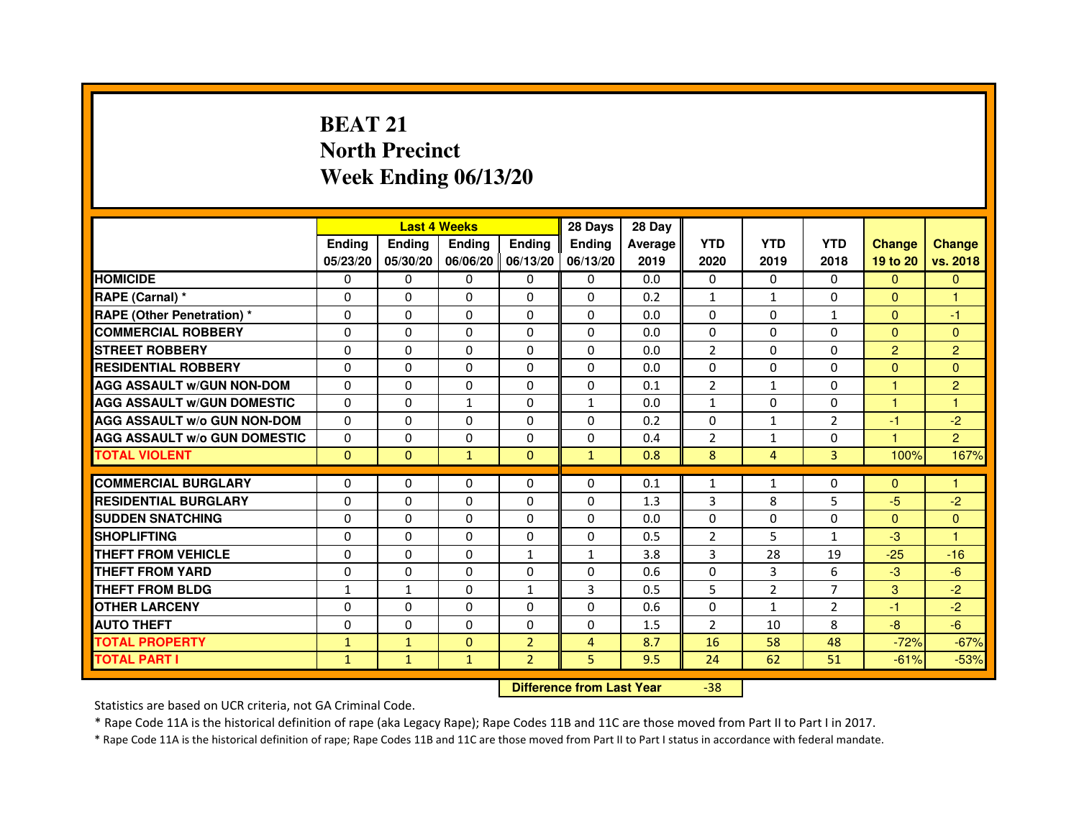# **BEAT 21 North PrecinctWeek Ending 06/13/20**

|                                     |               | <b>Last 4 Weeks</b> |                                  |                | 28 Days        | 28 Day  |                |                |                |                |                |
|-------------------------------------|---------------|---------------------|----------------------------------|----------------|----------------|---------|----------------|----------------|----------------|----------------|----------------|
|                                     | <b>Ending</b> | <b>Ending</b>       | <b>Ending</b>                    | <b>Ending</b>  | <b>Ending</b>  | Average | <b>YTD</b>     | <b>YTD</b>     | <b>YTD</b>     | <b>Change</b>  | <b>Change</b>  |
|                                     | 05/23/20      | 05/30/20            | 06/06/20                         | 06/13/20       | 06/13/20       | 2019    | 2020           | 2019           | 2018           | 19 to 20       | vs. 2018       |
| <b>HOMICIDE</b>                     | 0             | $\Omega$            | $\Omega$                         | $\Omega$       | 0              | 0.0     | $\Omega$       | $\Omega$       | 0              | $\Omega$       | $\Omega$       |
| RAPE (Carnal) *                     | 0             | $\Omega$            | 0                                | $\Omega$       | $\mathbf{0}$   | 0.2     | 1              | $\mathbf{1}$   | $\Omega$       | $\mathbf{0}$   | 1              |
| <b>RAPE (Other Penetration) *</b>   | $\mathbf 0$   | 0                   | $\Omega$                         | $\mathbf{0}$   | $\Omega$       | 0.0     | $\Omega$       | $\Omega$       | $\mathbf{1}$   | $\Omega$       | $-1$           |
| <b>COMMERCIAL ROBBERY</b>           | $\mathbf 0$   | $\mathbf{0}$        | $\Omega$                         | $\mathbf{0}$   | $\mathbf{0}$   | 0.0     | $\mathbf{0}$   | $\Omega$       | $\Omega$       | $\Omega$       | $\Omega$       |
| <b>STREET ROBBERY</b>               | $\Omega$      | $\Omega$            | $\Omega$                         | $\mathbf{0}$   | $\Omega$       | 0.0     | 2              | $\Omega$       | $\Omega$       | $\overline{2}$ | $\overline{2}$ |
| <b>RESIDENTIAL ROBBERY</b>          | 0             | $\Omega$            | 0                                | $\mathbf{0}$   | $\Omega$       | 0.0     | $\Omega$       | $\Omega$       | $\Omega$       | $\Omega$       | $\Omega$       |
| <b>AGG ASSAULT W/GUN NON-DOM</b>    | $\Omega$      | 0                   | $\Omega$                         | $\mathbf{0}$   | $\Omega$       | 0.1     | $\overline{2}$ | $\mathbf{1}$   | $\Omega$       | $\mathbf{1}$   | $\overline{c}$ |
| <b>AGG ASSAULT W/GUN DOMESTIC</b>   | $\Omega$      | $\Omega$            | $\mathbf{1}$                     | $\mathbf{0}$   | $\mathbf{1}$   | 0.0     | $\mathbf{1}$   | $\Omega$       | $\Omega$       | $\mathbf{1}$   | $\mathbf{1}$   |
| <b>AGG ASSAULT W/o GUN NON-DOM</b>  | $\Omega$      | 0                   | 0                                | $\mathbf{0}$   | 0              | 0.2     | 0              | $\mathbf{1}$   | $\overline{2}$ | $-1$           | $-2$           |
| <b>AGG ASSAULT W/o GUN DOMESTIC</b> | $\Omega$      | 0                   | 0                                | $\Omega$       | 0              | 0.4     | $\overline{2}$ | $\mathbf{1}$   | $\Omega$       | 1              | $\overline{2}$ |
| <b>TOTAL VIOLENT</b>                | $\mathbf{0}$  | $\mathbf{0}$        | $\mathbf{1}$                     | $\mathbf{0}$   | $\mathbf{1}$   | 0.8     | 8              | $\overline{4}$ | 3              | 100%           | 167%           |
| <b>COMMERCIAL BURGLARY</b>          | 0             | 0                   | 0                                | $\mathbf{0}$   | 0              | 0.1     | 1              | $\mathbf{1}$   | 0              | $\Omega$       | 1              |
| <b>RESIDENTIAL BURGLARY</b>         | $\Omega$      | $\Omega$            | $\Omega$                         | $\mathbf{0}$   | $\mathbf{0}$   | 1.3     | 3              | 8              | 5              | $-5$           | $-2$           |
| <b>SUDDEN SNATCHING</b>             | $\Omega$      | $\Omega$            | $\Omega$                         | $\Omega$       | $\Omega$       | 0.0     | $\Omega$       | $\Omega$       | $\Omega$       | $\Omega$       | $\Omega$       |
| <b>SHOPLIFTING</b>                  | 0             | 0                   | 0                                | $\mathbf{0}$   | $\Omega$       | 0.5     | 2              | 5              | 1              | $-3$           | 1              |
| THEFT FROM VEHICLE                  | 0             | $\Omega$            | 0                                | $\mathbf{1}$   | $\mathbf{1}$   | 3.8     | 3              | 28             | 19             | $-25$          | $-16$          |
| THEFT FROM YARD                     | $\mathbf 0$   | 0                   | $\Omega$                         | 0              | $\Omega$       | 0.6     | $\Omega$       | 3              | 6              | $-3$           | $-6$           |
| <b>THEFT FROM BLDG</b>              | $\mathbf{1}$  | $\mathbf{1}$        | 0                                | $\mathbf{1}$   | 3              | 0.5     | 5              | $\overline{2}$ | 7              | 3              | $-2$           |
| <b>OTHER LARCENY</b>                | 0             | $\Omega$            | 0                                | $\Omega$       | $\Omega$       | 0.6     | $\Omega$       | $\mathbf{1}$   | $\overline{2}$ | $-1$           | $-2$           |
| <b>AUTO THEFT</b>                   | $\Omega$      | $\Omega$            | $\Omega$                         | $\Omega$       | $\Omega$       | 1.5     | $\overline{2}$ | 10             | 8              | $-8$           | $-6$           |
| <b>TOTAL PROPERTY</b>               | $\mathbf{1}$  | $\mathbf{1}$        | $\Omega$                         | $\overline{2}$ | $\overline{4}$ | 8.7     | 16             | 58             | 48             | $-72%$         | $-67%$         |
| <b>TOTAL PART I</b>                 | $\mathbf{1}$  | $\mathbf{1}$        | $\mathbf{1}$                     | $\overline{2}$ | 5              | 9.5     | 24             | 62             | 51             | $-61%$         | $-53%$         |
|                                     |               |                     | <b>Difference from Last Year</b> |                | $-38$          |         |                |                |                |                |                |

Statistics are based on UCR criteria, not GA Criminal Code.

\* Rape Code 11A is the historical definition of rape (aka Legacy Rape); Rape Codes 11B and 11C are those moved from Part II to Part I in 2017.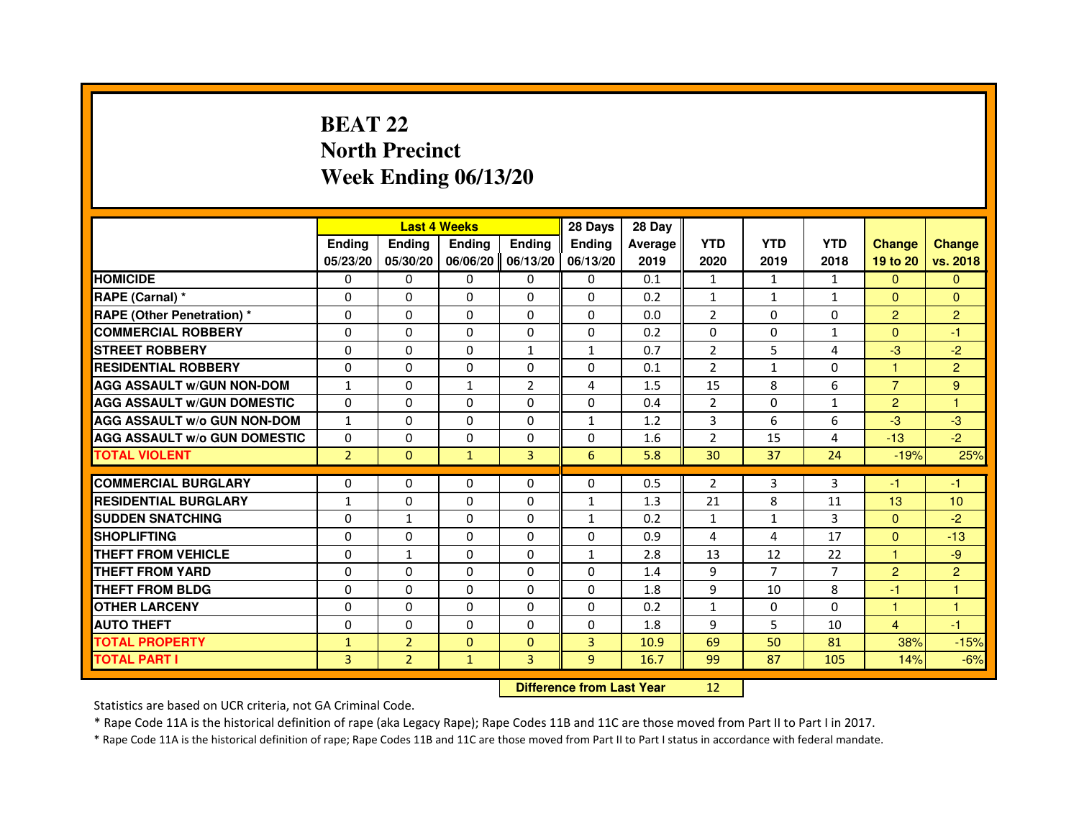# **BEAT 22 North PrecinctWeek Ending 06/13/20**

|                                     |                |                | <b>Last 4 Weeks</b>              |                | 28 Days        | 28 Day  |                |                |              |                |                |
|-------------------------------------|----------------|----------------|----------------------------------|----------------|----------------|---------|----------------|----------------|--------------|----------------|----------------|
|                                     | <b>Ending</b>  | Ending         | <b>Ending</b>                    | <b>Ending</b>  | <b>Ending</b>  | Average | <b>YTD</b>     | <b>YTD</b>     | <b>YTD</b>   | <b>Change</b>  | <b>Change</b>  |
|                                     | 05/23/20       | 05/30/20       | 06/06/20                         | 06/13/20       | 06/13/20       | 2019    | 2020           | 2019           | 2018         | 19 to 20       | vs. 2018       |
| <b>HOMICIDE</b>                     | 0              | 0              | $\Omega$                         | 0              | 0              | 0.1     | $\mathbf{1}$   | $\mathbf{1}$   | $\mathbf{1}$ | $\mathbf{0}$   | $\mathbf{0}$   |
| RAPE (Carnal) *                     | 0              | 0              | 0                                | 0              | 0              | 0.2     | $\mathbf{1}$   | $\mathbf{1}$   | 1            | $\Omega$       | $\overline{0}$ |
| RAPE (Other Penetration) *          | $\Omega$       | 0              | $\Omega$                         | $\Omega$       | $\Omega$       | 0.0     | $\overline{2}$ | $\Omega$       | $\Omega$     | $\overline{2}$ | $\overline{2}$ |
| <b>COMMERCIAL ROBBERY</b>           | $\Omega$       | $\Omega$       | $\Omega$                         | $\Omega$       | $\Omega$       | 0.2     | $\Omega$       | $\Omega$       | $\mathbf{1}$ | $\Omega$       | $-1$           |
| <b>STREET ROBBERY</b>               | $\Omega$       | $\Omega$       | $\Omega$                         | $\mathbf{1}$   | $\mathbf{1}$   | 0.7     | $\overline{2}$ | 5              | 4            | $-3$           | $-2$           |
| <b>RESIDENTIAL ROBBERY</b>          | 0              | 0              | $\Omega$                         | 0              | 0              | 0.1     | $\overline{2}$ | $\mathbf{1}$   | $\Omega$     | 1              | $\overline{2}$ |
| <b>AGG ASSAULT W/GUN NON-DOM</b>    | $\mathbf{1}$   | $\Omega$       | $\mathbf{1}$                     | $\overline{2}$ | 4              | 1.5     | 15             | 8              | 6            | $\overline{7}$ | 9              |
| <b>AGG ASSAULT W/GUN DOMESTIC</b>   | $\Omega$       | $\Omega$       | $\Omega$                         | $\Omega$       | $\Omega$       | 0.4     | $\overline{2}$ | $\Omega$       | $\mathbf{1}$ | $\overline{2}$ | $\mathbf{1}$   |
| <b>AGG ASSAULT W/o GUN NON-DOM</b>  | $\mathbf{1}$   | $\Omega$       | $\Omega$                         | $\Omega$       | $\mathbf{1}$   | 1.2     | 3              | 6              | 6            | $-3$           | $-3$           |
| <b>AGG ASSAULT W/o GUN DOMESTIC</b> | $\Omega$       | $\Omega$       | 0                                | $\Omega$       | $\Omega$       | 1.6     | $\overline{2}$ | 15             | 4            | $-13$          | $-2$           |
| <b>TOTAL VIOLENT</b>                | $\overline{2}$ | $\mathbf{0}$   | $\mathbf{1}$                     | 3              | 6              | 5.8     | 30             | 37             | 24           | $-19%$         | 25%            |
| <b>COMMERCIAL BURGLARY</b>          | 0              | 0              | 0                                | 0              | 0              | 0.5     | 2              | 3              | 3            | $-1$           | $-1$           |
| <b>RESIDENTIAL BURGLARY</b>         | $\mathbf{1}$   | $\Omega$       | $\Omega$                         | $\Omega$       | 1              | 1.3     | 21             | 8              | 11           | 13             | 10             |
| <b>SUDDEN SNATCHING</b>             | $\Omega$       | $\mathbf{1}$   | $\Omega$                         | $\Omega$       | $\mathbf{1}$   | 0.2     | $\mathbf{1}$   | $\mathbf{1}$   | 3            | $\Omega$       | $-2$           |
| <b>SHOPLIFTING</b>                  | 0              | $\Omega$       | 0                                | 0              | 0              | 0.9     | 4              | 4              | 17           | $\mathbf{0}$   | $-13$          |
| THEFT FROM VEHICLE                  | 0              | $\mathbf{1}$   | 0                                | $\Omega$       | $\mathbf{1}$   | 2.8     | 13             | 12             | 22           | 1              | $-9$           |
| <b>THEFT FROM YARD</b>              | $\Omega$       | $\Omega$       | $\Omega$                         | $\Omega$       | $\Omega$       | 1.4     | 9              | $\overline{7}$ | 7            | $\overline{2}$ | $\overline{2}$ |
| <b>THEFT FROM BLDG</b>              | $\Omega$       | $\Omega$       | $\Omega$                         | $\Omega$       | $\Omega$       | 1.8     | 9              | 10             | 8            | $-1$           | $\mathbf{1}$   |
| <b>OTHER LARCENY</b>                | 0              | $\Omega$       | 0                                | 0              | 0              | 0.2     | $\mathbf{1}$   | 0              | 0            | 1              | 1              |
| <b>AUTO THEFT</b>                   | $\Omega$       | $\Omega$       | $\Omega$                         | $\Omega$       | $\Omega$       | 1.8     | 9              | 5              | 10           | $\overline{4}$ | $-1$           |
| <b>TOTAL PROPERTY</b>               | $\mathbf{1}$   | $\overline{2}$ | $\Omega$                         | $\Omega$       | $\overline{3}$ | 10.9    | 69             | 50             | 81           | 38%            | $-15%$         |
| <b>TOTAL PART I</b>                 | 3              | $\overline{2}$ | $\mathbf{1}$                     | 3              | 9              | 16.7    | 99             | 87             | 105          | 14%            | $-6%$          |
|                                     |                |                | <b>Difference from Last Year</b> |                | 12             |         |                |                |              |                |                |

 **Difference from Last Year**

Statistics are based on UCR criteria, not GA Criminal Code.

\* Rape Code 11A is the historical definition of rape (aka Legacy Rape); Rape Codes 11B and 11C are those moved from Part II to Part I in 2017.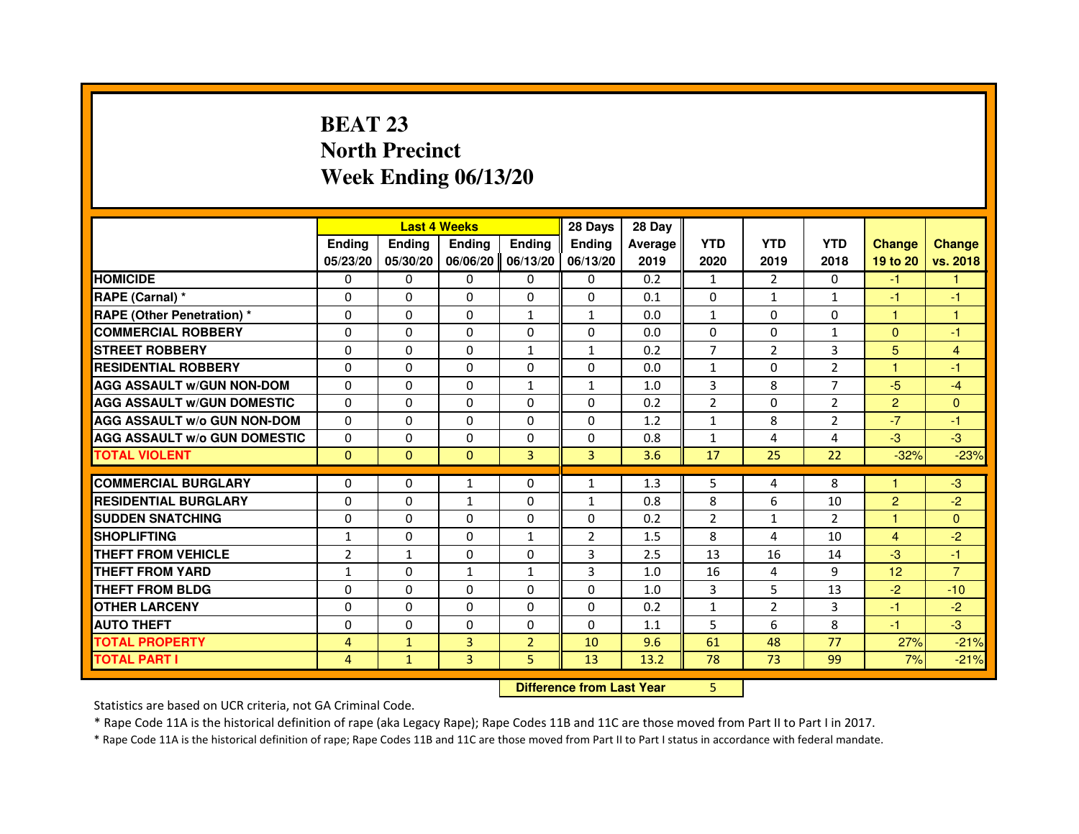# **BEAT 23 North PrecinctWeek Ending 06/13/20**

|                                     |                |              | <b>Last 4 Weeks</b>              |                | 28 Days        | 28 Day  |                |                |                |                |                |
|-------------------------------------|----------------|--------------|----------------------------------|----------------|----------------|---------|----------------|----------------|----------------|----------------|----------------|
|                                     | <b>Ending</b>  | Ending       | <b>Ending</b>                    | <b>Ending</b>  | Ending         | Average | <b>YTD</b>     | <b>YTD</b>     | <b>YTD</b>     | <b>Change</b>  | <b>Change</b>  |
|                                     | 05/23/20       | 05/30/20     | 06/06/20                         | 06/13/20       | 06/13/20       | 2019    | 2020           | 2019           | 2018           | 19 to 20       | vs. 2018       |
| <b>HOMICIDE</b>                     | $\Omega$       | $\Omega$     | $\Omega$                         | $\Omega$       | $\mathbf{0}$   | 0.2     | $\mathbf{1}$   | 2              | $\Omega$       | $-1$           | 1.             |
| RAPE (Carnal) *                     | 0              | $\Omega$     | $\Omega$                         | $\Omega$       | $\Omega$       | 0.1     | $\Omega$       | $\mathbf{1}$   | $\mathbf{1}$   | $-1$           | $-1$           |
| <b>RAPE (Other Penetration) *</b>   | $\Omega$       | $\Omega$     | $\Omega$                         | $\mathbf{1}$   | $\mathbf{1}$   | 0.0     | $\mathbf{1}$   | $\Omega$       | $\Omega$       | $\mathbf{1}$   | 1              |
| <b>COMMERCIAL ROBBERY</b>           | 0              | $\Omega$     | $\Omega$                         | 0              | 0              | 0.0     | 0              | $\Omega$       | $\mathbf{1}$   | $\Omega$       | $-1$           |
| <b>STREET ROBBERY</b>               | $\Omega$       | $\Omega$     | $\Omega$                         | $\mathbf{1}$   | $\mathbf{1}$   | 0.2     | $\overline{7}$ | 2              | 3              | 5              | $\overline{4}$ |
| <b>RESIDENTIAL ROBBERY</b>          | $\Omega$       | $\Omega$     | $\Omega$                         | $\Omega$       | $\Omega$       | 0.0     | $\mathbf{1}$   | $\Omega$       | $\overline{2}$ | $\overline{1}$ | $-1$           |
| <b>AGG ASSAULT w/GUN NON-DOM</b>    | $\Omega$       | $\Omega$     | $\Omega$                         | $\mathbf{1}$   | $\mathbf{1}$   | 1.0     | 3              | 8              | $\overline{7}$ | $-5$           | $-4$           |
| <b>AGG ASSAULT w/GUN DOMESTIC</b>   | $\Omega$       | $\Omega$     | $\Omega$                         | $\Omega$       | $\Omega$       | 0.2     | $\overline{2}$ | $\Omega$       | $\overline{2}$ | $\overline{2}$ | $\mathbf{0}$   |
| <b>AGG ASSAULT W/o GUN NON-DOM</b>  | $\Omega$       | $\Omega$     | $\Omega$                         | 0              | 0              | 1.2     | $\mathbf{1}$   | 8              | $\overline{2}$ | $-7$           | -1             |
| <b>AGG ASSAULT w/o GUN DOMESTIC</b> | $\Omega$       | 0            | $\Omega$                         | $\Omega$       | $\Omega$       | 0.8     | $\mathbf{1}$   | 4              | 4              | $-3$           | $-3$           |
| <b>TOTAL VIOLENT</b>                | $\mathbf{0}$   | $\mathbf{0}$ | $\mathbf{0}$                     | 3              | 3              | 3.6     | 17             | 25             | 22             | $-32%$         | $-23%$         |
| <b>COMMERCIAL BURGLARY</b>          | $\Omega$       | 0            | $\mathbf{1}$                     | 0              | $\mathbf{1}$   | 1.3     | 5              | 4              | 8              | 1              | $-3$           |
| <b>RESIDENTIAL BURGLARY</b>         | $\Omega$       | $\Omega$     | $\mathbf{1}$                     | $\Omega$       | $\mathbf{1}$   | 0.8     | 8              | 6              | 10             | $\overline{2}$ | $-2$           |
| <b>SUDDEN SNATCHING</b>             | $\Omega$       | $\Omega$     | $\Omega$                         | $\Omega$       | $\Omega$       | 0.2     | $\overline{2}$ | $\mathbf{1}$   | $\overline{2}$ | 1              | $\Omega$       |
| <b>SHOPLIFTING</b>                  | 1              | 0            | 0                                | 1              | $\overline{2}$ | 1.5     | 8              | 4              | 10             | 4              | $-2$           |
| <b>THEFT FROM VEHICLE</b>           | $\overline{2}$ | $\mathbf{1}$ | $\Omega$                         | $\Omega$       | 3              | 2.5     | 13             | 16             | 14             | $-3$           | -1             |
| <b>THEFT FROM YARD</b>              | $\mathbf{1}$   | 0            | $\mathbf{1}$                     | $\mathbf{1}$   | 3              | 1.0     | 16             | 4              | 9              | 12             | $\overline{7}$ |
| <b>THEFT FROM BLDG</b>              | $\Omega$       | $\Omega$     | $\Omega$                         | $\Omega$       | $\Omega$       | 1.0     | 3              | 5              | 13             | $-2$           | $-10$          |
| <b>OTHER LARCENY</b>                | $\Omega$       | $\Omega$     | $\Omega$                         | $\Omega$       | $\Omega$       | 0.2     | $\mathbf{1}$   | $\overline{2}$ | 3              | $-1$           | $-2$           |
| <b>AUTO THEFT</b>                   | $\Omega$       | $\Omega$     | $\Omega$                         | $\Omega$       | $\Omega$       | 1.1     | 5              | 6              | 8              | $-1$           | $-3$           |
| <b>TOTAL PROPERTY</b>               | 4              | $\mathbf{1}$ | $\overline{3}$                   | $\overline{2}$ | 10             | 9.6     | 61             | 48             | 77             | 27%            | $-21%$         |
| <b>TOTAL PART I</b>                 | $\overline{4}$ | $\mathbf{1}$ | 3                                | 5              | 13             | 13.2    | 78             | 73             | 99             | 7%             | $-21%$         |
|                                     |                |              | <b>Difference from Last Year</b> |                | 5              |         |                |                |                |                |                |

 **Difference from Last Year**

Statistics are based on UCR criteria, not GA Criminal Code.

\* Rape Code 11A is the historical definition of rape (aka Legacy Rape); Rape Codes 11B and 11C are those moved from Part II to Part I in 2017.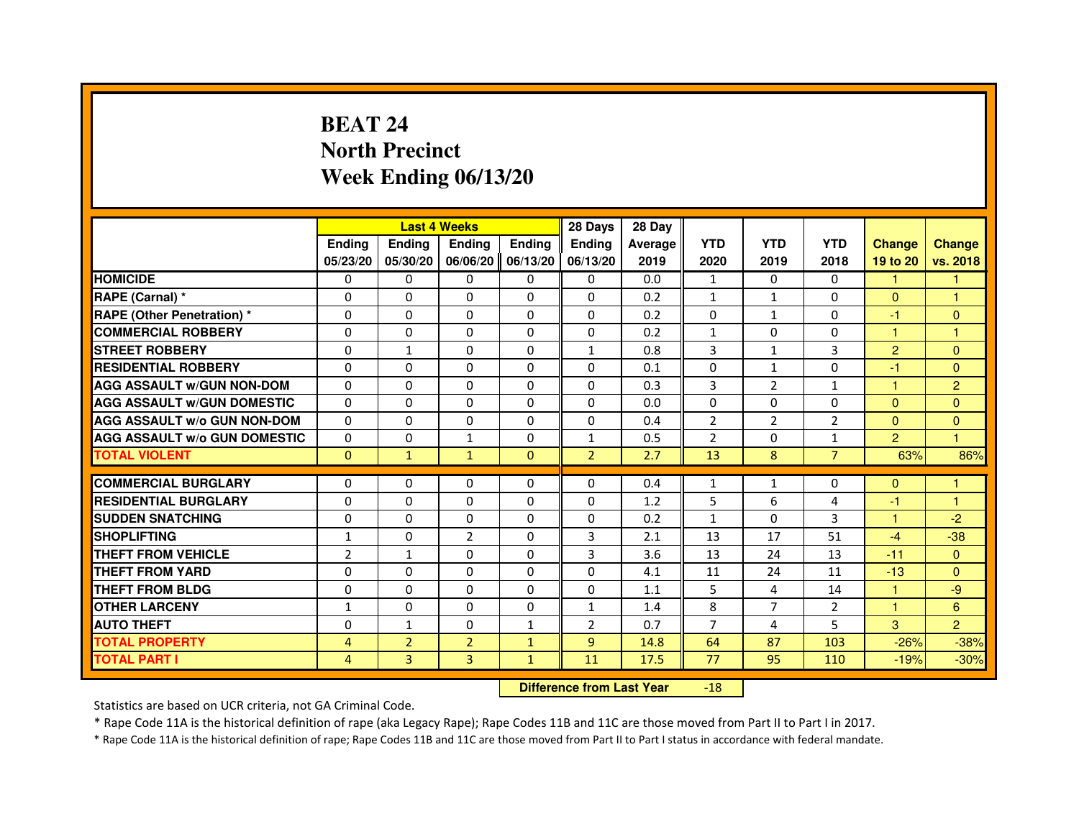# **BEAT 24 North PrecinctWeek Ending 06/13/20**

|                                     |                | <b>Last 4 Weeks</b> |                                  |              | 28 Days        | 28 Day  |                |                |                |                |                |
|-------------------------------------|----------------|---------------------|----------------------------------|--------------|----------------|---------|----------------|----------------|----------------|----------------|----------------|
|                                     | <b>Ending</b>  | <b>Ending</b>       | Ending                           | Ending       | Ending         | Average | <b>YTD</b>     | <b>YTD</b>     | <b>YTD</b>     | <b>Change</b>  | <b>Change</b>  |
|                                     | 05/23/20       | 05/30/20            | 06/06/20                         | 06/13/20     | 06/13/20       | 2019    | 2020           | 2019           | 2018           | 19 to 20       | vs. 2018       |
| <b>HOMICIDE</b>                     | 0              | 0                   | 0                                | 0            | $\mathbf{0}$   | 0.0     | $\mathbf{1}$   | 0              | $\Omega$       | $\mathbf{1}$   | $\mathbf{1}$   |
| RAPE (Carnal) *                     | 0              | 0                   | 0                                | 0            | 0              | 0.2     | 1              | $\mathbf{1}$   | 0              | $\mathbf{0}$   | 1              |
| RAPE (Other Penetration) *          | 0              | $\Omega$            | $\Omega$                         | $\Omega$     | $\Omega$       | 0.2     | $\Omega$       | $\mathbf{1}$   | $\Omega$       | $-1$           | $\mathbf{0}$   |
| <b>COMMERCIAL ROBBERY</b>           | 0              | 0                   | $\Omega$                         | $\Omega$     | 0              | 0.2     | $\mathbf{1}$   | $\Omega$       | $\Omega$       | $\mathbf{1}$   | $\mathbf{1}$   |
| <b>STREET ROBBERY</b>               | $\Omega$       | $\mathbf{1}$        | $\Omega$                         | $\Omega$     | $\mathbf{1}$   | 0.8     | 3              | $\mathbf{1}$   | 3              | $\overline{2}$ | $\Omega$       |
| <b>RESIDENTIAL ROBBERY</b>          | 0              | 0                   | 0                                | 0            | 0              | 0.1     | 0              | $\mathbf{1}$   | $\Omega$       | $-1$           | $\mathbf{0}$   |
| <b>AGG ASSAULT w/GUN NON-DOM</b>    | $\Omega$       | $\Omega$            | 0                                | $\Omega$     | $\Omega$       | 0.3     | 3              | $\overline{2}$ | $\mathbf{1}$   | $\mathbf{1}$   | $\overline{2}$ |
| <b>AGG ASSAULT W/GUN DOMESTIC</b>   | $\Omega$       | $\Omega$            | $\Omega$                         | $\Omega$     | $\Omega$       | 0.0     | $\Omega$       | $\Omega$       | $\Omega$       | $\Omega$       | $\Omega$       |
| <b>AGG ASSAULT W/o GUN NON-DOM</b>  | $\Omega$       | $\Omega$            | $\Omega$                         | $\Omega$     | $\Omega$       | 0.4     | $\overline{2}$ | $\overline{2}$ | 2              | $\Omega$       | $\Omega$       |
| <b>AGG ASSAULT W/o GUN DOMESTIC</b> | $\Omega$       | $\Omega$            | $\mathbf{1}$                     | $\Omega$     | $\mathbf{1}$   | 0.5     | $\overline{2}$ | $\Omega$       | $\mathbf{1}$   | $\overline{2}$ | $\mathbf{1}$   |
| <b>TOTAL VIOLENT</b>                | $\mathbf{0}$   | $\mathbf{1}$        | $\mathbf{1}$                     | $\mathbf{0}$ | $\overline{2}$ | 2.7     | 13             | 8              | $\overline{7}$ | 63%            | 86%            |
| <b>COMMERCIAL BURGLARY</b>          | 0              | 0                   | 0                                | 0            | 0              | 0.4     | 1              | $\mathbf{1}$   | 0              | $\mathbf{0}$   | 1              |
| <b>RESIDENTIAL BURGLARY</b>         | 0              | $\Omega$            | $\Omega$                         | $\Omega$     | 0              | 1.2     | 5              | 6              | 4              | $-1$           | 1              |
| <b>SUDDEN SNATCHING</b>             | $\Omega$       | $\Omega$            | $\Omega$                         | $\Omega$     | $\Omega$       | 0.2     | $\mathbf{1}$   | $\Omega$       | 3              | $\mathbf{1}$   | $-2$           |
| <b>SHOPLIFTING</b>                  | 1              | $\Omega$            | $\overline{2}$                   | $\Omega$     | 3              | 2.1     | 13             | 17             | 51             | $-4$           | $-38$          |
| <b>THEFT FROM VEHICLE</b>           | $\overline{2}$ | $\mathbf{1}$        | 0                                | $\Omega$     | 3              | 3.6     | 13             | 24             | 13             | $-11$          | $\overline{0}$ |
| <b>THEFT FROM YARD</b>              | $\Omega$       | $\Omega$            | $\Omega$                         | $\Omega$     | $\Omega$       | 4.1     | 11             | 24             | 11             | $-13$          | $\Omega$       |
| <b>THEFT FROM BLDG</b>              | $\Omega$       | $\Omega$            | $\Omega$                         | $\Omega$     | $\Omega$       | 1.1     | 5              | 4              | 14             | $\mathbf{1}$   | -9             |
| <b>OTHER LARCENY</b>                | 1              | 0                   | 0                                | $\Omega$     | $\mathbf{1}$   | 1.4     | 8              | $\overline{7}$ | $\overline{2}$ | $\mathbf{1}$   | 6              |
| <b>AUTO THEFT</b>                   | $\Omega$       | $\mathbf{1}$        | $\Omega$                         | $\mathbf{1}$ | $\overline{2}$ | 0.7     | $\overline{7}$ | 4              | 5              | 3              | $\overline{2}$ |
| <b>TOTAL PROPERTY</b>               | $\overline{4}$ | $\overline{2}$      | $\overline{2}$                   | $\mathbf{1}$ | $\overline{9}$ | 14.8    | 64             | 87             | 103            | $-26%$         | $-38%$         |
| <b>TOTAL PART I</b>                 | $\overline{4}$ | $\overline{3}$      | 3                                | $\mathbf{1}$ | 11             | 17.5    | 77             | 95             | 110            | $-19%$         | $-30%$         |
|                                     |                |                     | <b>Difference from Last Year</b> |              | $-18$          |         |                |                |                |                |                |

 **Difference from Last Year**

Statistics are based on UCR criteria, not GA Criminal Code.

\* Rape Code 11A is the historical definition of rape (aka Legacy Rape); Rape Codes 11B and 11C are those moved from Part II to Part I in 2017.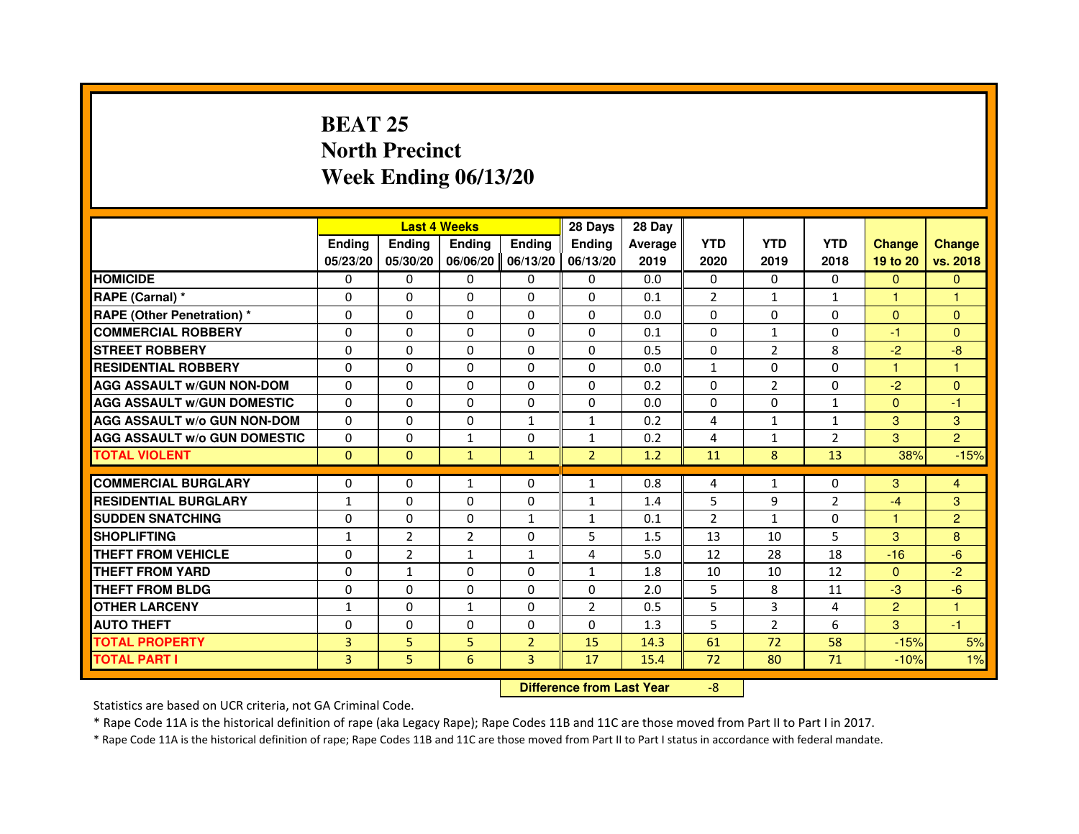## **BEAT 25 North PrecinctWeek Ending 06/13/20**

|                                     |               |                | <b>Last 4 Weeks</b>              |                | 28 Days        | 28 Day  |                |                |                |                |                |
|-------------------------------------|---------------|----------------|----------------------------------|----------------|----------------|---------|----------------|----------------|----------------|----------------|----------------|
|                                     | <b>Ending</b> | <b>Ending</b>  | <b>Ending</b>                    | <b>Ending</b>  | Ending         | Average | <b>YTD</b>     | <b>YTD</b>     | <b>YTD</b>     | <b>Change</b>  | <b>Change</b>  |
|                                     | 05/23/20      | 05/30/20       | 06/06/20                         | 06/13/20       | 06/13/20       | 2019    | 2020           | 2019           | 2018           | 19 to 20       | vs. 2018       |
| <b>HOMICIDE</b>                     | 0             | $\Omega$       | $\Omega$                         | $\Omega$       | 0              | 0.0     | $\Omega$       | $\Omega$       | $\Omega$       | $\Omega$       | $\mathbf{0}$   |
| RAPE (Carnal) *                     | 0             | 0              | 0                                | $\Omega$       | 0              | 0.1     | $\overline{2}$ | $\mathbf{1}$   | $\mathbf{1}$   | 1              | 1              |
| <b>RAPE (Other Penetration) *</b>   | $\Omega$      | $\Omega$       | $\Omega$                         | $\Omega$       | $\Omega$       | 0.0     | $\Omega$       | $\Omega$       | $\Omega$       | $\Omega$       | $\Omega$       |
| <b>COMMERCIAL ROBBERY</b>           | $\Omega$      | $\Omega$       | $\Omega$                         | $\Omega$       | $\Omega$       | 0.1     | $\Omega$       | $\mathbf{1}$   | $\Omega$       | $-1$           | $\Omega$       |
| <b>STREET ROBBERY</b>               | $\Omega$      | $\Omega$       | $\Omega$                         | $\Omega$       | $\Omega$       | 0.5     | $\Omega$       | $\overline{2}$ | 8              | $-2$           | $-8$           |
| <b>RESIDENTIAL ROBBERY</b>          | $\Omega$      | $\Omega$       | $\Omega$                         | $\Omega$       | $\Omega$       | 0.0     | $\mathbf{1}$   | $\Omega$       | $\Omega$       | 1              | 1              |
| <b>AGG ASSAULT w/GUN NON-DOM</b>    | $\Omega$      | $\Omega$       | $\Omega$                         | $\Omega$       | $\Omega$       | 0.2     | $\Omega$       | $\overline{2}$ | $\Omega$       | $-2$           | $\Omega$       |
| <b>AGG ASSAULT w/GUN DOMESTIC</b>   | $\Omega$      | $\Omega$       | $\Omega$                         | $\Omega$       | $\Omega$       | 0.0     | $\Omega$       | $\Omega$       | $\mathbf{1}$   | $\Omega$       | $-1$           |
| <b>AGG ASSAULT w/o GUN NON-DOM</b>  | $\Omega$      | 0              | $\Omega$                         | 1              | 1              | 0.2     | 4              | $\mathbf{1}$   | $\mathbf{1}$   | 3              | 3              |
| <b>AGG ASSAULT w/o GUN DOMESTIC</b> | $\Omega$      | 0              | $\mathbf{1}$                     | $\Omega$       | 1              | 0.2     | 4              | $\mathbf{1}$   | $\overline{2}$ | 3              | $\overline{2}$ |
| <b>TOTAL VIOLENT</b>                | $\mathbf{0}$  | $\mathbf 0$    | $\mathbf{1}$                     | $\mathbf{1}$   | $\overline{2}$ | 1.2     | 11             | 8              | 13             | 38%            | $-15%$         |
| <b>COMMERCIAL BURGLARY</b>          | $\Omega$      | 0              | 1                                | 0              | $\mathbf{1}$   | 0.8     | 4              | $\mathbf{1}$   | 0              | 3              | 4              |
| <b>RESIDENTIAL BURGLARY</b>         | $\mathbf{1}$  | $\Omega$       | $\Omega$                         | $\Omega$       | 1              | 1.4     | 5              | 9              | $\overline{2}$ | $-4$           | 3              |
| <b>SUDDEN SNATCHING</b>             | $\Omega$      | $\Omega$       | $\Omega$                         | $\mathbf{1}$   | $\mathbf{1}$   | 0.1     | $\overline{2}$ | $\mathbf{1}$   | $\Omega$       | 1              | $\overline{2}$ |
| <b>SHOPLIFTING</b>                  | $\mathbf{1}$  | $\overline{2}$ | 2                                | 0              | 5              | 1.5     | 13             | 10             | 5              | 3              | 8              |
| THEFT FROM VEHICLE                  | $\Omega$      | $\overline{2}$ | $\mathbf{1}$                     | $\mathbf{1}$   | 4              | 5.0     | 12             | 28             | 18             | $-16$          | $-6$           |
| <b>THEFT FROM YARD</b>              | 0             | $\mathbf{1}$   | $\Omega$                         | 0              | $\mathbf{1}$   | 1.8     | 10             | 10             | 12             | $\overline{0}$ | $-2$           |
| <b>THEFT FROM BLDG</b>              | $\Omega$      | $\Omega$       | $\Omega$                         | $\Omega$       | $\Omega$       | 2.0     | 5              | 8              | 11             | $-3$           | $-6$           |
| <b>OTHER LARCENY</b>                | $\mathbf{1}$  | $\Omega$       | $\mathbf{1}$                     | $\Omega$       | $\overline{2}$ | 0.5     | 5              | 3              | 4              | $\overline{2}$ | 1              |
| <b>AUTO THEFT</b>                   | $\Omega$      | $\Omega$       | $\Omega$                         | $\Omega$       | $\Omega$       | 1.3     | 5              | $\overline{2}$ | 6              | 3              | $-1$           |
| <b>TOTAL PROPERTY</b>               | 3             | 5              | 5                                | $\overline{2}$ | 15             | 14.3    | 61             | 72             | 58             | $-15%$         | 5%             |
| <b>TOTAL PART I</b>                 | 3             | 5              | 6                                | 3              | 17             | 15.4    | 72             | 80             | 71             | $-10%$         | 1%             |
|                                     |               |                |                                  |                |                |         |                |                |                |                |                |
|                                     |               |                | <b>Difference from Last Year</b> |                | $-8$           |         |                |                |                |                |                |

 **Difference from Last Year**

Statistics are based on UCR criteria, not GA Criminal Code.

\* Rape Code 11A is the historical definition of rape (aka Legacy Rape); Rape Codes 11B and 11C are those moved from Part II to Part I in 2017.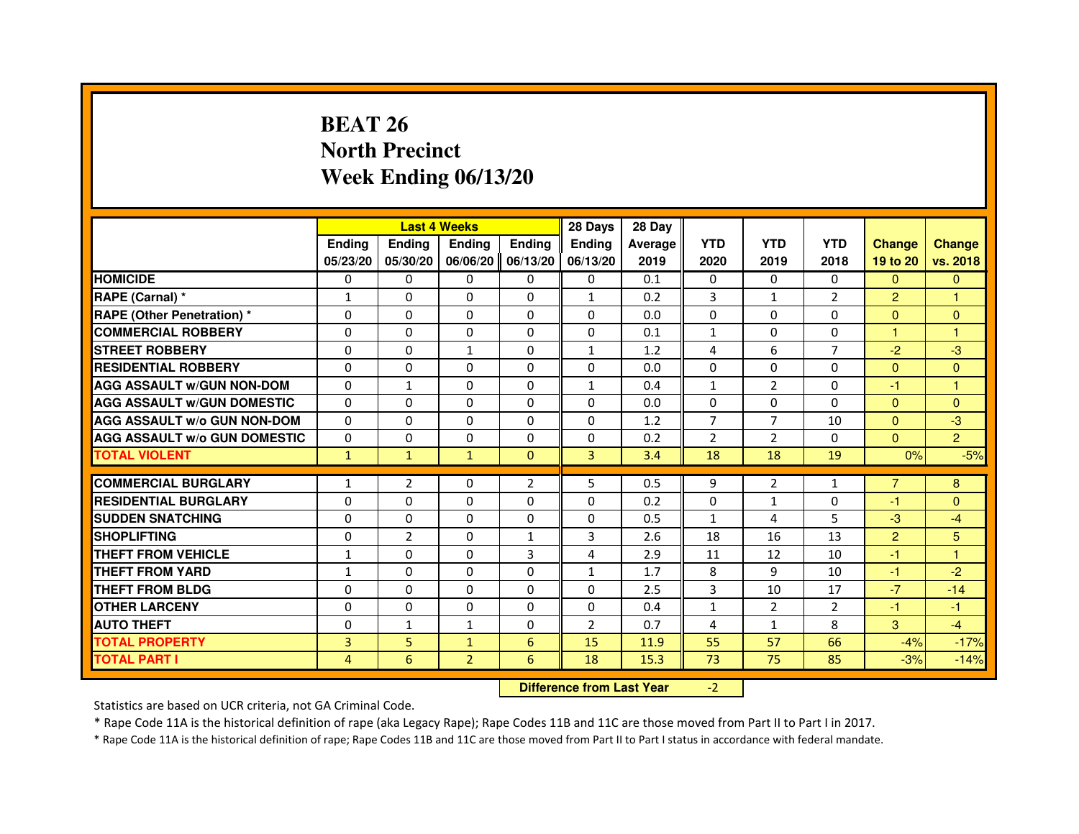# **BEAT 26 North PrecinctWeek Ending 06/13/20**

|                                     |                |                | <b>Last 4 Weeks</b>              |                | 28 Days        | 28 Day  |                |                |                |                |                |
|-------------------------------------|----------------|----------------|----------------------------------|----------------|----------------|---------|----------------|----------------|----------------|----------------|----------------|
|                                     | <b>Ending</b>  | Ending         | <b>Ending</b>                    | <b>Ending</b>  | Ending         | Average | <b>YTD</b>     | <b>YTD</b>     | <b>YTD</b>     | <b>Change</b>  | <b>Change</b>  |
|                                     | 05/23/20       | 05/30/20       | 06/06/20                         | 06/13/20       | 06/13/20       | 2019    | 2020           | 2019           | 2018           | 19 to 20       | vs. 2018       |
| <b>HOMICIDE</b>                     | $\Omega$       | $\Omega$       | $\Omega$                         | $\Omega$       | $\mathbf{0}$   | 0.1     | $\Omega$       | $\Omega$       | $\Omega$       | $\Omega$       | $\mathbf{0}$   |
| RAPE (Carnal) *                     | $\mathbf{1}$   | $\Omega$       | $\Omega$                         | $\Omega$       | $\mathbf{1}$   | 0.2     | 3              | $\mathbf{1}$   | $\overline{2}$ | $\overline{2}$ | 1              |
| <b>RAPE (Other Penetration) *</b>   | $\Omega$       | $\Omega$       | $\Omega$                         | $\Omega$       | $\Omega$       | 0.0     | $\Omega$       | $\Omega$       | $\Omega$       | $\Omega$       | $\mathbf{0}$   |
| <b>COMMERCIAL ROBBERY</b>           | 0              | $\Omega$       | $\Omega$                         | $\Omega$       | 0              | 0.1     | $\mathbf{1}$   | $\Omega$       | $\Omega$       | $\mathbf{1}$   | $\mathbf{1}$   |
| <b>STREET ROBBERY</b>               | $\Omega$       | $\Omega$       | $\mathbf{1}$                     | $\Omega$       | $\mathbf{1}$   | 1.2     | 4              | 6              | $\overline{7}$ | $-2$           | $-3$           |
| <b>RESIDENTIAL ROBBERY</b>          | $\Omega$       | $\Omega$       | $\Omega$                         | $\Omega$       | $\Omega$       | 0.0     | $\Omega$       | $\Omega$       | $\Omega$       | $\Omega$       | $\Omega$       |
| <b>AGG ASSAULT w/GUN NON-DOM</b>    | $\Omega$       | $\mathbf{1}$   | $\Omega$                         | $\Omega$       | $\mathbf{1}$   | 0.4     | $\mathbf{1}$   | 2              | $\Omega$       | -1             | $\mathbf{1}$   |
| <b>AGG ASSAULT w/GUN DOMESTIC</b>   | $\Omega$       | $\Omega$       | $\Omega$                         | $\Omega$       | $\Omega$       | 0.0     | $\Omega$       | $\Omega$       | $\Omega$       | $\Omega$       | $\mathbf{0}$   |
| <b>AGG ASSAULT W/o GUN NON-DOM</b>  | $\Omega$       | $\Omega$       | $\Omega$                         | 0              | $\Omega$       | 1.2     | $\overline{7}$ | $\overline{7}$ | 10             | $\mathbf{0}$   | $-3$           |
| <b>AGG ASSAULT w/o GUN DOMESTIC</b> | $\Omega$       | 0              | $\Omega$                         | $\Omega$       | $\Omega$       | 0.2     | $\overline{2}$ | 2              | $\Omega$       | $\Omega$       | 2 <sup>1</sup> |
| <b>TOTAL VIOLENT</b>                | $\mathbf{1}$   | $\mathbf{1}$   | $\mathbf{1}$                     | $\mathbf{0}$   | 3              | 3.4     | 18             | 18             | 19             | 0%             | $-5%$          |
| <b>COMMERCIAL BURGLARY</b>          | 1              | $\overline{2}$ | 0                                | $\overline{2}$ | 5              | 0.5     | 9              | $\overline{2}$ | $\mathbf{1}$   | $\overline{7}$ | 8              |
| <b>RESIDENTIAL BURGLARY</b>         | $\Omega$       | $\Omega$       | $\Omega$                         | $\Omega$       | $\Omega$       | 0.2     | $\mathbf 0$    | $\mathbf{1}$   | 0              | $-1$           | $\overline{0}$ |
| <b>SUDDEN SNATCHING</b>             | $\Omega$       | $\Omega$       | $\Omega$                         | $\Omega$       | $\Omega$       | 0.5     | $\mathbf{1}$   | 4              | 5              | $-3$           | $-4$           |
| <b>SHOPLIFTING</b>                  | 0              | $\overline{2}$ | 0                                | $\mathbf{1}$   | 3              | 2.6     | 18             | 16             | 13             | $\overline{2}$ | 5              |
| <b>THEFT FROM VEHICLE</b>           | 1              | $\Omega$       | $\Omega$                         | $\overline{3}$ | 4              | 2.9     | 11             | 12             | 10             | -1             | $\mathbf{1}$   |
| <b>THEFT FROM YARD</b>              | $\mathbf{1}$   | $\Omega$       | $\Omega$                         | 0              | $\mathbf{1}$   | 1.7     | 8              | 9              | 10             | $-1$           | $-2$           |
| <b>THEFT FROM BLDG</b>              | $\Omega$       | $\Omega$       | $\Omega$                         | $\Omega$       | $\Omega$       | 2.5     | 3              | 10             | 17             | $-7$           | $-14$          |
| <b>OTHER LARCENY</b>                | $\Omega$       | $\Omega$       | $\Omega$                         | $\Omega$       | $\Omega$       | 0.4     | $\mathbf{1}$   | $\overline{2}$ | $\overline{2}$ | $-1$           | $-1$           |
| <b>AUTO THEFT</b>                   | $\Omega$       | $\mathbf{1}$   | $\mathbf{1}$                     | $\Omega$       | $\overline{2}$ | 0.7     | 4              | $\mathbf{1}$   | 8              | 3              | $-4$           |
| <b>TOTAL PROPERTY</b>               | $\overline{3}$ | 5              | $\mathbf{1}$                     | $6\phantom{1}$ | 15             | 11.9    | 55             | 57             | 66             | $-4%$          | $-17%$         |
| <b>TOTAL PART I</b>                 | $\overline{4}$ | 6              | $\overline{2}$                   | 6              | 18             | 15.3    | 73             | 75             | 85             | $-3%$          | $-14%$         |
|                                     |                |                | <b>Difference from Last Year</b> |                | $-2$           |         |                |                |                |                |                |

 **Difference from Last Year**

Statistics are based on UCR criteria, not GA Criminal Code.

\* Rape Code 11A is the historical definition of rape (aka Legacy Rape); Rape Codes 11B and 11C are those moved from Part II to Part I in 2017.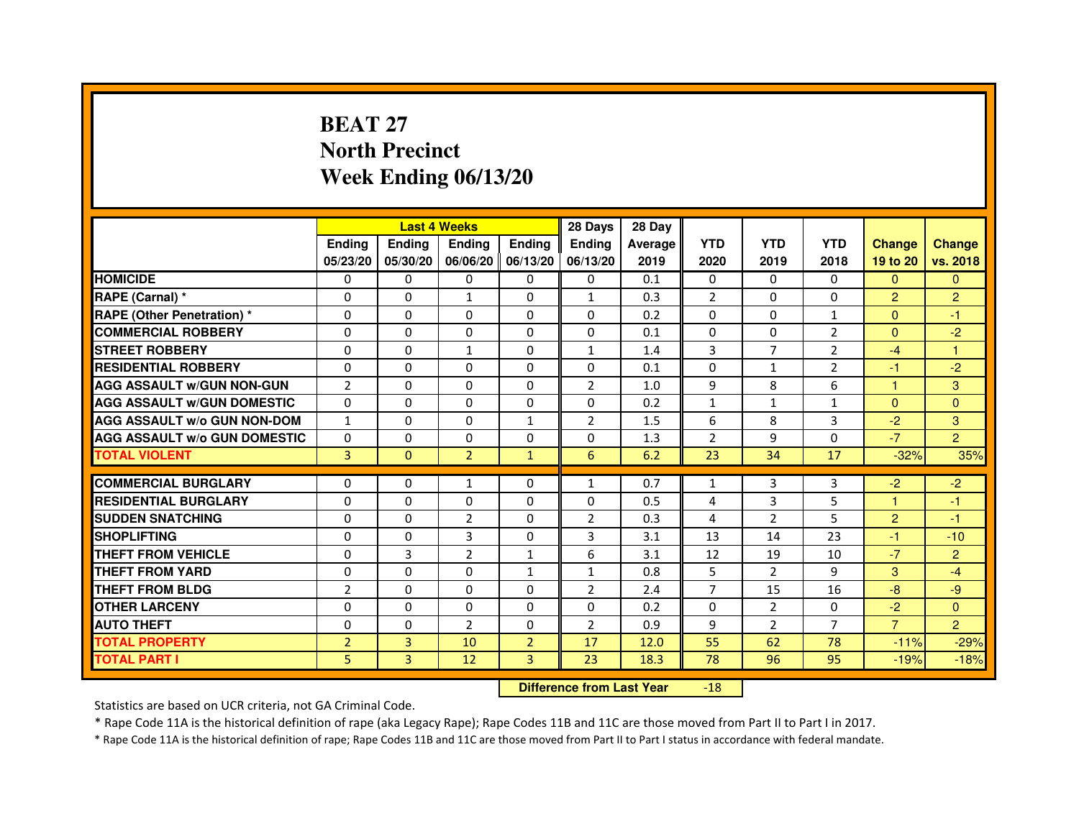# **BEAT 27 North PrecinctWeek Ending 06/13/20**

|                                     |                |               | <b>Last 4 Weeks</b> |                     | 28 Days        | 28 Day  |                |                |                |                |                |
|-------------------------------------|----------------|---------------|---------------------|---------------------|----------------|---------|----------------|----------------|----------------|----------------|----------------|
|                                     | <b>Endina</b>  | <b>Endina</b> | <b>Endina</b>       | <b>Ending</b>       | <b>Endina</b>  | Average | <b>YTD</b>     | <b>YTD</b>     | <b>YTD</b>     | <b>Change</b>  | <b>Change</b>  |
|                                     | 05/23/20       | 05/30/20      |                     | 06/06/20   06/13/20 | 06/13/20       | 2019    | 2020           | 2019           | 2018           | 19 to 20       | vs. 2018       |
| <b>HOMICIDE</b>                     | 0              | 0             | 0                   | 0                   | 0              | 0.1     | $\mathbf{0}$   | 0              | $\mathbf{0}$   | $\mathbf{0}$   | $\mathbf{0}$   |
| RAPE (Carnal) *                     | $\Omega$       | $\Omega$      | $\mathbf{1}$        | $\Omega$            | $\mathbf{1}$   | 0.3     | $\overline{2}$ | $\Omega$       | $\Omega$       | $\overline{2}$ | $\overline{2}$ |
| RAPE (Other Penetration) *          | 0              | $\Omega$      | 0                   | $\Omega$            | $\Omega$       | 0.2     | $\Omega$       | 0              | $\mathbf{1}$   | $\Omega$       | $-1$           |
| <b>COMMERCIAL ROBBERY</b>           | 0              | 0             | 0                   | 0                   | 0              | 0.1     | $\Omega$       | 0              | $\overline{2}$ | $\mathbf{0}$   | $-2$           |
| <b>STREET ROBBERY</b>               | 0              | 0             | $\mathbf{1}$        | 0                   | $\mathbf{1}$   | 1.4     | 3              | 7              | $\overline{2}$ | $-4$           | 1              |
| <b>RESIDENTIAL ROBBERY</b>          | 0              | $\Omega$      | 0                   | $\Omega$            | $\Omega$       | 0.1     | $\Omega$       | $\mathbf{1}$   | $\overline{2}$ | $-1$           | $-2$           |
| <b>AGG ASSAULT W/GUN NON-GUN</b>    | $\overline{2}$ | $\Omega$      | $\Omega$            | $\Omega$            | $\overline{2}$ | 1.0     | 9              | 8              | 6              | 1              | 3              |
| <b>AGG ASSAULT w/GUN DOMESTIC</b>   | $\Omega$       | 0             | $\Omega$            | 0                   | $\Omega$       | 0.2     | $\mathbf{1}$   | $\mathbf{1}$   | $\mathbf{1}$   | $\Omega$       | $\Omega$       |
| <b>AGG ASSAULT W/o GUN NON-DOM</b>  | $\mathbf{1}$   | 0             | 0                   | $\mathbf{1}$        | $\overline{2}$ | 1.5     | 6              | 8              | 3              | $-2$           | 3              |
| <b>AGG ASSAULT W/o GUN DOMESTIC</b> | $\Omega$       | $\Omega$      | 0                   | $\Omega$            | 0              | 1.3     | $\overline{2}$ | 9              | $\Omega$       | $-7$           | $\overline{2}$ |
| <b>TOTAL VIOLENT</b>                | 3              | $\Omega$      | $\overline{2}$      | $\mathbf{1}$        | 6              | 6.2     | 23             | 34             | 17             | $-32%$         | 35%            |
|                                     |                |               |                     |                     |                |         |                |                |                |                |                |
| <b>COMMERCIAL BURGLARY</b>          | 0              | 0             | 1                   | 0                   | $\mathbf{1}$   | 0.7     | $\mathbf{1}$   | 3              | 3              | $-2$           | $-2$           |
| <b>RESIDENTIAL BURGLARY</b>         | 0              | 0             | 0                   | $\Omega$            | $\Omega$       | 0.5     | 4              | 3              | 5              | 1              | $-1$           |
| <b>SUDDEN SNATCHING</b>             | 0              | 0             | $\overline{2}$      | 0                   | $\overline{2}$ | 0.3     | $\overline{4}$ | $\overline{2}$ | 5              | $\overline{2}$ | $-1$           |
| <b>SHOPLIFTING</b>                  | $\Omega$       | $\Omega$      | 3                   | 0                   | 3              | 3.1     | 13             | 14             | 23             | $-1$           | $-10$          |
| <b>THEFT FROM VEHICLE</b>           | 0              | 3             | $\overline{2}$      | $\mathbf{1}$        | 6              | 3.1     | 12             | 19             | 10             | $-7$           | $\overline{2}$ |
| <b>THEFT FROM YARD</b>              | $\Omega$       | 0             | $\Omega$            | $\mathbf{1}$        | $\mathbf{1}$   | 0.8     | 5              | $\mathcal{P}$  | 9              | 3              | $-4$           |
| THEFT FROM BLDG                     | $\overline{2}$ | 0             | 0                   | 0                   | $\overline{2}$ | 2.4     | $\overline{7}$ | 15             | 16             | -8             | $-9$           |
| <b>OTHER LARCENY</b>                | 0              | 0             | 0                   | $\Omega$            | $\Omega$       | 0.2     | $\Omega$       | $\overline{2}$ | $\Omega$       | $-2$           | $\Omega$       |
| <b>AUTO THEFT</b>                   | $\Omega$       | 0             | $\overline{2}$      | $\Omega$            | $\overline{2}$ | 0.9     | 9              | 2              | $\overline{7}$ | $\overline{7}$ | $\overline{2}$ |
| <b>TOTAL PROPERTY</b>               | $\overline{2}$ | 3             | 10                  | $\overline{2}$      | 17             | 12.0    | 55             | 62             | 78             | $-11%$         | $-29%$         |
| <b>TOTAL PART I</b>                 | 5              | 3             | 12                  | 3                   | 23             | 18.3    | 78             | 96             | 95             | $-19%$         | $-18%$         |

 **Difference from Last Year**-18

Statistics are based on UCR criteria, not GA Criminal Code.

\* Rape Code 11A is the historical definition of rape (aka Legacy Rape); Rape Codes 11B and 11C are those moved from Part II to Part I in 2017.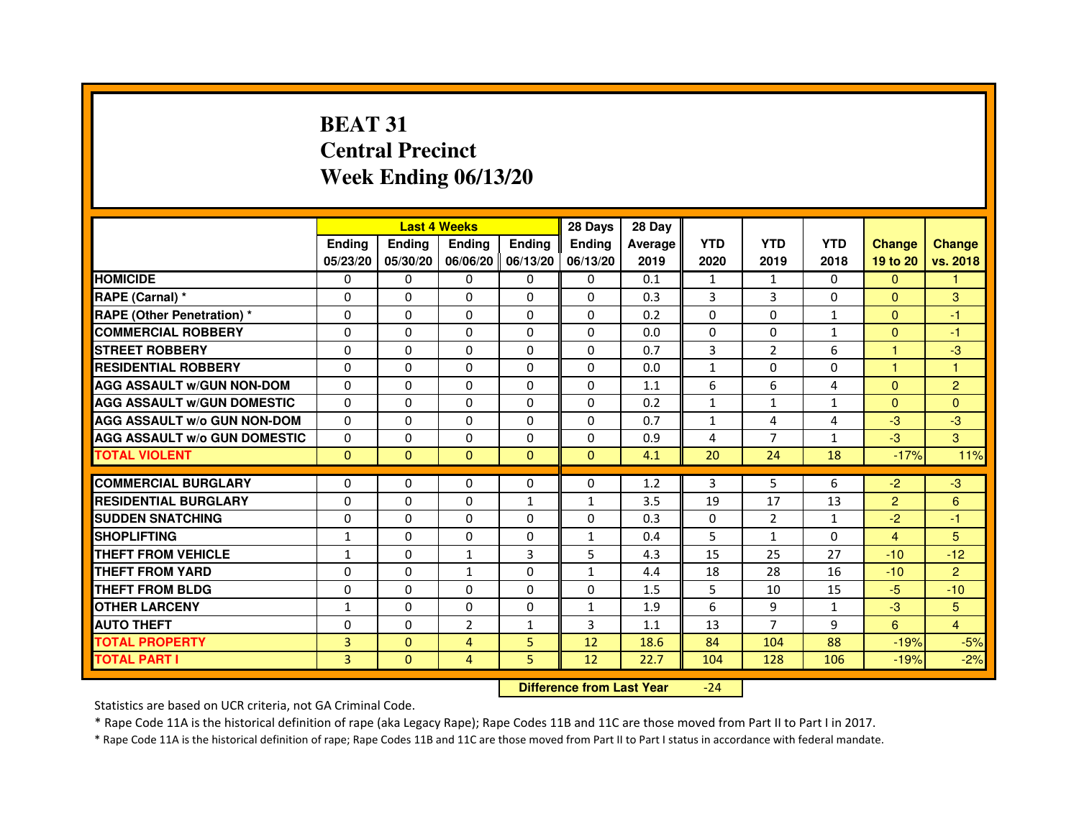# **BEAT 31 Central PrecinctWeek Ending 06/13/20**

|                                     |               | <b>Last 4 Weeks</b> |                |                   | 28 Days       | 28 Day  |              |                |              |                |                |
|-------------------------------------|---------------|---------------------|----------------|-------------------|---------------|---------|--------------|----------------|--------------|----------------|----------------|
|                                     | <b>Endina</b> | <b>Endina</b>       | <b>Endina</b>  | <b>Ending</b>     | <b>Endina</b> | Average | <b>YTD</b>   | <b>YTD</b>     | <b>YTD</b>   | <b>Change</b>  | <b>Change</b>  |
|                                     | 05/23/20      | 05/30/20            |                | 06/06/20 06/13/20 | 06/13/20      | 2019    | 2020         | 2019           | 2018         | 19 to 20       | vs. 2018       |
| <b>HOMICIDE</b>                     | 0             | 0                   | 0              | 0                 | 0             | 0.1     | 1            | 1              | $\mathbf{0}$ | $\mathbf{0}$   |                |
| RAPE (Carnal) *                     | $\Omega$      | $\Omega$            | $\Omega$       | $\Omega$          | $\Omega$      | 0.3     | 3            | 3              | $\Omega$     | $\Omega$       | 3              |
| <b>RAPE (Other Penetration) *</b>   | 0             | $\Omega$            | 0              | $\Omega$          | $\Omega$      | 0.2     | $\Omega$     | $\Omega$       | $\mathbf{1}$ | $\Omega$       | $-1$           |
| <b>COMMERCIAL ROBBERY</b>           | 0             | 0                   | 0              | 0                 | $\Omega$      | 0.0     | $\Omega$     | 0              | $\mathbf{1}$ | $\mathbf{0}$   | $-1$           |
| <b>STREET ROBBERY</b>               | 0             | 0                   | 0              | 0                 | 0             | 0.7     | 3            | $\overline{2}$ | 6            | 1              | -3             |
| <b>RESIDENTIAL ROBBERY</b>          | 0             | $\Omega$            | $\Omega$       | $\Omega$          | $\Omega$      | 0.0     | $\mathbf{1}$ | $\Omega$       | $\Omega$     | $\mathbf{1}$   | 1              |
| <b>AGG ASSAULT W/GUN NON-DOM</b>    | $\Omega$      | $\Omega$            | $\Omega$       | $\Omega$          | $\Omega$      | 1.1     | 6            | 6              | 4            | $\Omega$       | $\overline{2}$ |
| <b>AGG ASSAULT W/GUN DOMESTIC</b>   | 0             | 0                   | 0              | 0                 | $\Omega$      | 0.2     | $\mathbf{1}$ | $\mathbf{1}$   | $\mathbf{1}$ | $\mathbf{0}$   | $\Omega$       |
| <b>AGG ASSAULT W/o GUN NON-DOM</b>  | $\Omega$      | 0                   | 0              | $\Omega$          | $\Omega$      | 0.7     | $\mathbf{1}$ | 4              | 4            | $-3$           | -3             |
| <b>AGG ASSAULT W/o GUN DOMESTIC</b> | $\Omega$      | $\Omega$            | 0              | $\Omega$          | $\Omega$      | 0.9     | 4            | 7              | $\mathbf{1}$ | $-3$           | 3              |
| <b>TOTAL VIOLENT</b>                | $\Omega$      | $\mathbf{0}$        | $\Omega$       | $\Omega$          | $\mathbf{0}$  | 4.1     | 20           | 24             | 18           | $-17%$         | 11%            |
|                                     |               |                     |                |                   |               |         |              |                |              |                |                |
| <b>COMMERCIAL BURGLARY</b>          | 0             | 0                   | 0              | 0                 | $\Omega$      | 1.2     | 3            | 5              | 6            | $-2$           | $-3$           |
| <b>RESIDENTIAL BURGLARY</b>         | 0             | $\Omega$            | 0              | $\mathbf{1}$      | $\mathbf{1}$  | 3.5     | 19           | 17             | 13           | $\overline{2}$ | 6              |
| <b>SUDDEN SNATCHING</b>             | 0             | 0                   | 0              | 0                 | $\Omega$      | 0.3     | $\Omega$     | $\overline{2}$ | $\mathbf{1}$ | $-2$           | $-1$           |
| <b>SHOPLIFTING</b>                  | $\mathbf{1}$  | 0                   | 0              | $\Omega$          | $\mathbf{1}$  | 0.4     | 5            | $\mathbf{1}$   | $\Omega$     | $\overline{4}$ | 5              |
| <b>THEFT FROM VEHICLE</b>           | $\mathbf{1}$  | $\Omega$            | $\mathbf{1}$   | 3                 | 5             | 4.3     | 15           | 25             | 27           | $-10$          | $-12$          |
| <b>THEFT FROM YARD</b>              | $\Omega$      | $\Omega$            | $\mathbf{1}$   | $\Omega$          | $\mathbf{1}$  | 4.4     | 18           | 28             | 16           | $-10$          | $\overline{2}$ |
| <b>THEFT FROM BLDG</b>              | 0             | 0                   | 0              | 0                 | 0             | 1.5     | 5            | 10             | 15           | $-5$           | $-10$          |
| <b>OTHER LARCENY</b>                | 1             | 0                   | $\Omega$       | $\Omega$          | $\mathbf{1}$  | 1.9     | 6            | 9              | $\mathbf{1}$ | $-3$           | 5              |
| <b>AUTO THEFT</b>                   | $\mathbf 0$   | 0                   | $\overline{2}$ | 1                 | 3             | 1.1     | 13           | 7              | 9            | 6              | $\overline{4}$ |
| <b>TOTAL PROPERTY</b>               | 3             | $\mathbf{0}$        | 4              | 5                 | 12            | 18.6    | 84           | 104            | 88           | $-19%$         | $-5%$          |
| <b>TOTAL PART I</b>                 | 3             | $\overline{0}$      | 4              | 5                 | 12            | 22.7    | 104          | 128            | 106          | $-19%$         | $-2%$          |

 **Difference from Last Year**-24

Statistics are based on UCR criteria, not GA Criminal Code.

\* Rape Code 11A is the historical definition of rape (aka Legacy Rape); Rape Codes 11B and 11C are those moved from Part II to Part I in 2017.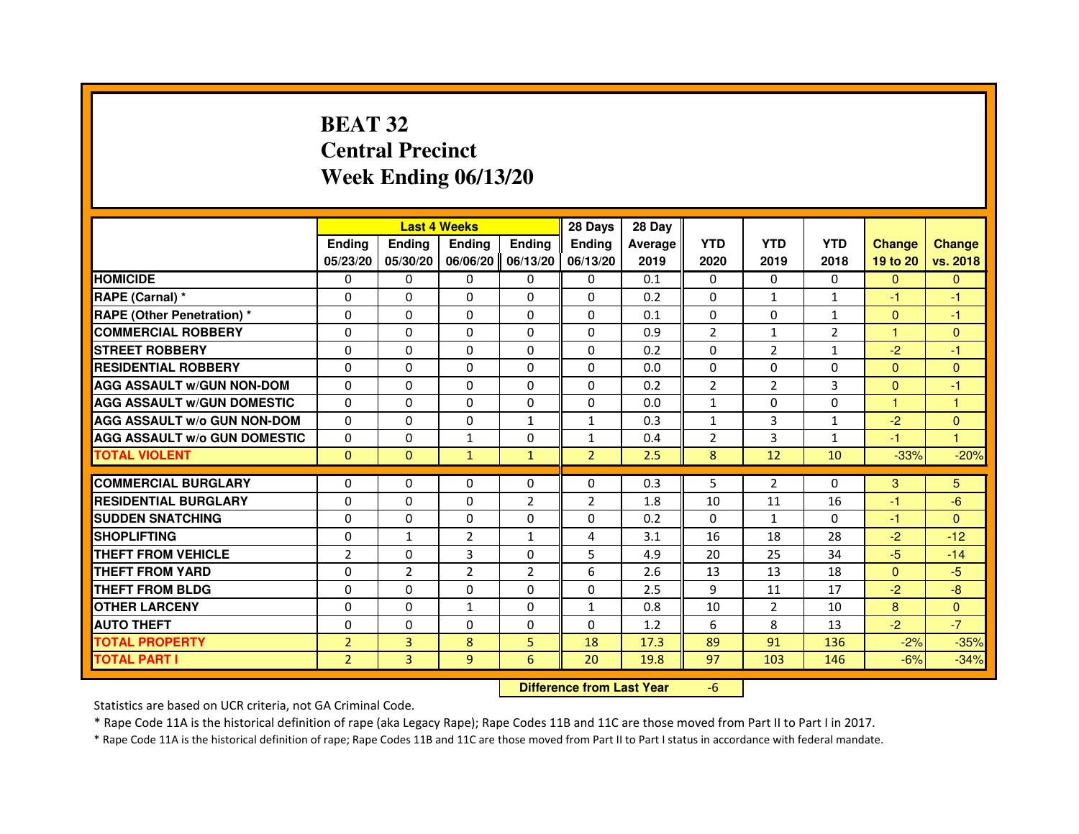# **BEAT 32 Central PrecinctWeek Ending 06/13/20**

|                                     |                | <b>Last 4 Weeks</b> |                                  |                | 28 Days        | 28 Day  |                |                |                |                |                      |
|-------------------------------------|----------------|---------------------|----------------------------------|----------------|----------------|---------|----------------|----------------|----------------|----------------|----------------------|
|                                     | <b>Ending</b>  | <b>Ending</b>       | <b>Ending</b>                    | <b>Ending</b>  | <b>Ending</b>  | Average | <b>YTD</b>     | <b>YTD</b>     | <b>YTD</b>     | <b>Change</b>  | <b>Change</b>        |
|                                     | 05/23/20       | 05/30/20            | 06/06/20                         | 06/13/20       | 06/13/20       | 2019    | 2020           | 2019           | 2018           | 19 to 20       | vs. 2018             |
| <b>HOMICIDE</b>                     | 0              | 0                   | $\mathbf{0}$                     | 0              | 0              | 0.1     | $\mathbf{0}$   | 0              | 0              | $\Omega$       | $\mathbf{0}$         |
| RAPE (Carnal) *                     | 0              | 0                   | 0                                | 0              | 0              | 0.2     | 0              | 1              | $\mathbf{1}$   | $-1$           | -1                   |
| RAPE (Other Penetration) *          | $\Omega$       | $\Omega$            | 0                                | $\Omega$       | $\Omega$       | 0.1     | $\Omega$       | $\Omega$       | $\mathbf{1}$   | $\mathbf{0}$   | -1                   |
| <b>COMMERCIAL ROBBERY</b>           | 0              | $\Omega$            | $\Omega$                         | $\Omega$       | 0              | 0.9     | $\overline{2}$ | $\mathbf{1}$   | $\overline{2}$ | $\mathbf{1}$   | $\mathbf{0}$         |
| <b>STREET ROBBERY</b>               | $\Omega$       | $\Omega$            | $\Omega$                         | $\Omega$       | $\Omega$       | 0.2     | $\Omega$       | $\overline{2}$ | $\mathbf{1}$   | $-2$           | -1                   |
| <b>RESIDENTIAL ROBBERY</b>          | 0              | 0                   | 0                                | 0              | $\Omega$       | 0.0     | 0              | 0              | $\Omega$       | $\overline{0}$ | $\mathbf{0}$         |
| <b>AGG ASSAULT W/GUN NON-DOM</b>    | $\Omega$       | $\Omega$            | 0                                | $\Omega$       | $\Omega$       | 0.2     | $\overline{2}$ | $\overline{2}$ | 3              | $\mathbf{0}$   | $-1$                 |
| <b>AGG ASSAULT W/GUN DOMESTIC</b>   | $\Omega$       | $\Omega$            | 0                                | $\Omega$       | $\Omega$       | 0.0     | $\mathbf{1}$   | $\Omega$       | 0              | $\mathbf{1}$   | $\mathbf{1}$         |
| <b>AGG ASSAULT W/o GUN NON-DOM</b>  | $\Omega$       | $\Omega$            | $\Omega$                         | $\mathbf{1}$   | $\mathbf{1}$   | 0.3     | $\mathbf{1}$   | 3              | $\mathbf{1}$   | $-2$           | $\mathbf{0}$         |
| <b>AGG ASSAULT W/o GUN DOMESTIC</b> | 0              | 0                   | 1                                | $\Omega$       | $\mathbf{1}$   | 0.4     | $\overline{2}$ | 3              | $\mathbf{1}$   | $-1$           | $\blacktriangleleft$ |
| <b>TOTAL VIOLENT</b>                | $\mathbf{0}$   | $\mathbf{0}$        | $\mathbf{1}$                     | $\mathbf{1}$   | $\overline{2}$ | 2.5     | 8              | 12             | 10             | $-33%$         | $-20%$               |
| <b>COMMERCIAL BURGLARY</b>          | 0              | 0                   | 0                                | 0              | 0              | 0.3     | 5              | $\overline{2}$ | 0              | 3              | 5                    |
| <b>RESIDENTIAL BURGLARY</b>         | 0              | $\Omega$            | 0                                | $\overline{2}$ | $\overline{2}$ | 1.8     | 10             | 11             | 16             | $-1$           | $-6$                 |
| <b>SUDDEN SNATCHING</b>             | 0              | $\Omega$            | $\Omega$                         | $\Omega$       | $\Omega$       | 0.2     | $\Omega$       | $\mathbf{1}$   | $\Omega$       | $-1$           | $\mathbf{0}$         |
| <b>SHOPLIFTING</b>                  | 0              | $\mathbf{1}$        | 2                                | $\mathbf{1}$   | 4              | 3.1     | 16             | 18             | 28             | $-2$           | $-12$                |
| THEFT FROM VEHICLE                  | $\overline{2}$ | $\Omega$            | 3                                | $\Omega$       | 5              | 4.9     | 20             | 25             | 34             | $-5$           | $-14$                |
| <b>THEFT FROM YARD</b>              | $\Omega$       | $\overline{2}$      | $\overline{2}$                   | $\overline{2}$ | 6              | 2.6     | 13             | 13             | 18             | $\Omega$       | $-5$                 |
| <b>THEFT FROM BLDG</b>              | $\Omega$       | $\Omega$            | $\Omega$                         | $\Omega$       | $\Omega$       | 2.5     | 9              | 11             | 17             | $-2$           | $-8$                 |
| <b>OTHER LARCENY</b>                | $\Omega$       | $\Omega$            | $\mathbf{1}$                     | $\Omega$       | $\mathbf{1}$   | 0.8     | 10             | $\overline{2}$ | 10             | 8              | $\Omega$             |
| <b>AUTO THEFT</b>                   | $\Omega$       | $\Omega$            | $\Omega$                         | $\Omega$       | $\Omega$       | 1.2     | 6              | 8              | 13             | $-2$           | $-7$                 |
| <b>TOTAL PROPERTY</b>               | $\overline{2}$ | 3                   | 8                                | 5              | 18             | 17.3    | 89             | 91             | 136            | $-2%$          | $-35%$               |
| <b>TOTAL PART I</b>                 | $\overline{2}$ | 3                   | 9                                | 6              | 20             | 19.8    | 97             | 103            | 146            | $-6%$          | $-34%$               |
|                                     |                |                     | <b>Difference from Last Year</b> |                | $-6$           |         |                |                |                |                |                      |

 **Difference from Last Year**

Statistics are based on UCR criteria, not GA Criminal Code.

\* Rape Code 11A is the historical definition of rape (aka Legacy Rape); Rape Codes 11B and 11C are those moved from Part II to Part I in 2017.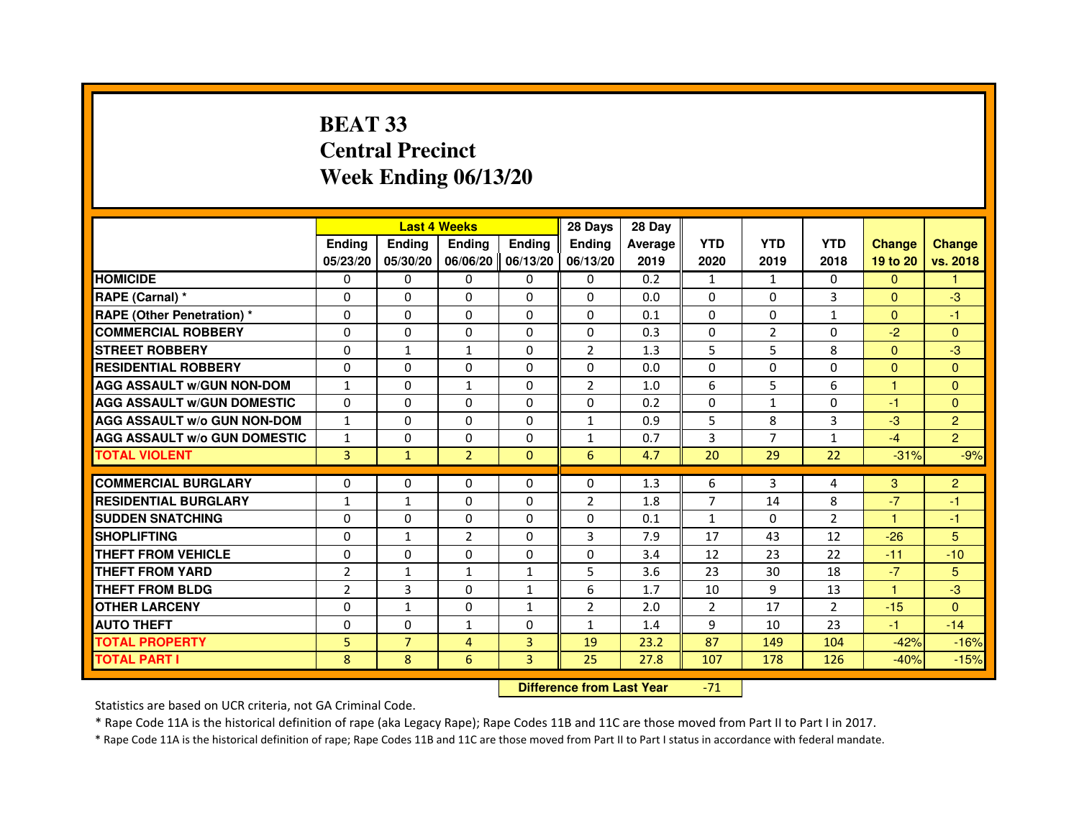# **BEAT 33 Central PrecinctWeek Ending 06/13/20**

|                                     |                | <b>Last 4 Weeks</b> |                |                     | 28 Days        | 28 Day  |                |                |                |                      |                |
|-------------------------------------|----------------|---------------------|----------------|---------------------|----------------|---------|----------------|----------------|----------------|----------------------|----------------|
|                                     | <b>Endina</b>  | <b>Ending</b>       | <b>Endina</b>  | <b>Endina</b>       | <b>Endina</b>  | Average | <b>YTD</b>     | <b>YTD</b>     | <b>YTD</b>     | <b>Change</b>        | <b>Change</b>  |
|                                     | 05/23/20       | 05/30/20            |                | 06/06/20   06/13/20 | 06/13/20       | 2019    | 2020           | 2019           | 2018           | 19 to 20             | vs. 2018       |
| <b>HOMICIDE</b>                     | 0              | 0                   | 0              | 0                   | 0              | 0.2     | $\mathbf{1}$   | $\mathbf{1}$   | 0              | $\mathbf{0}$         | 1              |
| RAPE (Carnal) *                     | $\Omega$       | $\Omega$            | $\Omega$       | $\Omega$            | $\Omega$       | 0.0     | $\Omega$       | $\Omega$       | 3              | $\Omega$             | $-3$           |
| <b>RAPE (Other Penetration) *</b>   | $\Omega$       | $\Omega$            | $\Omega$       | $\Omega$            | $\Omega$       | 0.1     | $\Omega$       | $\Omega$       | $\mathbf{1}$   | $\Omega$             | $-1$           |
| <b>COMMERCIAL ROBBERY</b>           | 0              | 0                   | $\Omega$       | 0                   | $\Omega$       | 0.3     | $\Omega$       | 2              | $\Omega$       | $-2$                 | $\Omega$       |
| <b>STREET ROBBERY</b>               | $\Omega$       | 1                   | $\mathbf{1}$   | $\mathbf{0}$        | $\overline{2}$ | 1.3     | 5              | 5              | 8              | $\Omega$             | $-3$           |
| <b>RESIDENTIAL ROBBERY</b>          | $\Omega$       | $\Omega$            | 0              | $\Omega$            | 0              | 0.0     | $\Omega$       | $\Omega$       | $\Omega$       | $\Omega$             | $\Omega$       |
| <b>AGG ASSAULT W/GUN NON-DOM</b>    | $\mathbf{1}$   | $\mathbf 0$         | $\mathbf{1}$   | $\Omega$            | $\overline{2}$ | 1.0     | 6              | 5              | 6              | $\blacktriangleleft$ | $\mathbf{0}$   |
| <b>AGG ASSAULT W/GUN DOMESTIC</b>   | $\Omega$       | $\Omega$            | 0              | $\mathbf{0}$        | 0              | 0.2     | $\Omega$       | $\mathbf{1}$   | $\Omega$       | $-1$                 | $\Omega$       |
| <b>AGG ASSAULT W/o GUN NON-DOM</b>  | $\mathbf{1}$   | $\Omega$            | $\Omega$       | $\Omega$            | $\mathbf{1}$   | 0.9     | 5              | 8              | 3              | $-3$                 | $\overline{2}$ |
| <b>AGG ASSAULT W/o GUN DOMESTIC</b> | $\mathbf{1}$   | $\Omega$            | 0              | $\Omega$            | 1              | 0.7     | 3              | $\overline{7}$ | $\mathbf{1}$   | $-4$                 | $\overline{2}$ |
| <b>TOTAL VIOLENT</b>                | $\overline{3}$ | $\mathbf{1}$        | $\overline{2}$ | $\mathbf{0}$        | 6              | 4.7     | 20             | 29             | 22             | $-31%$               | $-9%$          |
|                                     |                |                     |                |                     |                |         |                |                |                |                      |                |
| <b>COMMERCIAL BURGLARY</b>          | $\Omega$       | $\Omega$            | $\Omega$       | 0                   | $\Omega$       | 1.3     | 6              | 3              | 4              | 3                    | $\overline{c}$ |
| <b>RESIDENTIAL BURGLARY</b>         | $\mathbf{1}$   | 1                   | 0              | $\mathbf{0}$        | $\overline{2}$ | 1.8     | 7              | 14             | 8              | $-7$                 | $-1$           |
| <b>SUDDEN SNATCHING</b>             | 0              | $\Omega$            | $\Omega$       | $\Omega$            | $\Omega$       | 0.1     | 1              | $\Omega$       | $\overline{2}$ | -1                   | $-1$           |
| <b>SHOPLIFTING</b>                  | 0              | 1                   | $\overline{2}$ | $\Omega$            | 3              | 7.9     | 17             | 43             | 12             | $-26$                | 5              |
| <b>THEFT FROM VEHICLE</b>           | $\Omega$       | $\Omega$            | 0              | $\Omega$            | $\Omega$       | 3.4     | 12             | 23             | 22             | $-11$                | $-10$          |
| <b>THEFT FROM YARD</b>              | $\overline{2}$ | $\mathbf{1}$        | $\mathbf{1}$   | $\mathbf{1}$        | 5              | 3.6     | 23             | 30             | 18             | $-7$                 | 5              |
| <b>THEFT FROM BLDG</b>              | $\overline{2}$ | 3                   | 0              | 1                   | 6              | 1.7     | 10             | 9              | 13             | 1                    | -3             |
| <b>OTHER LARCENY</b>                | $\Omega$       | $\mathbf{1}$        | $\Omega$       | $\mathbf{1}$        | $\overline{2}$ | 2.0     | $\overline{2}$ | 17             | $\overline{2}$ | $-15$                | $\Omega$       |
| <b>AUTO THEFT</b>                   | $\mathbf 0$    | 0                   | $\mathbf{1}$   | $\Omega$            | $\mathbf{1}$   | 1.4     | 9              | 10             | 23             | $-1$                 | $-14$          |
| <b>TOTAL PROPERTY</b>               | 5              | $\overline{7}$      | 4              | 3                   | 19             | 23.2    | 87             | 149            | 104            | $-42%$               | $-16%$         |
| <b>TOTAL PART I</b>                 | 8              | 8                   | 6              | 3                   | 25             | 27.8    | 107            | 178            | 126            | $-40%$               | $-15%$         |

 **Difference from Last Year**-71

Statistics are based on UCR criteria, not GA Criminal Code.

\* Rape Code 11A is the historical definition of rape (aka Legacy Rape); Rape Codes 11B and 11C are those moved from Part II to Part I in 2017.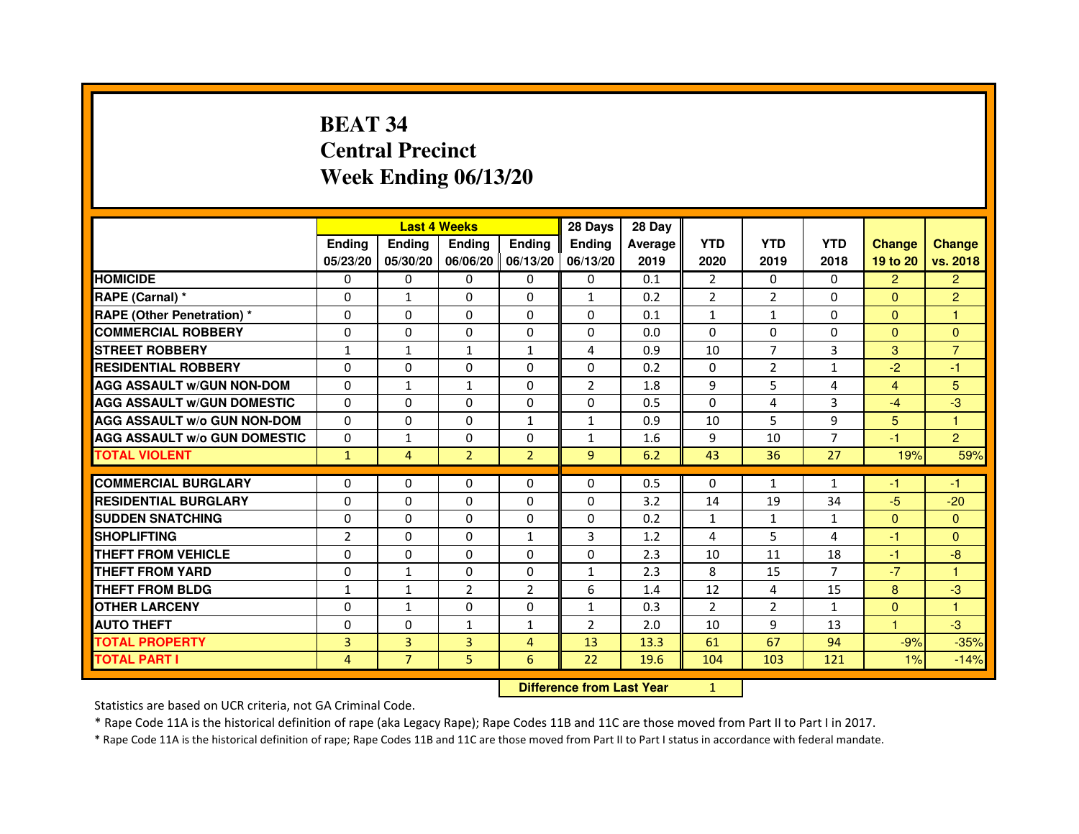# **BEAT 34 Central PrecinctWeek Ending 06/13/20**

|                                     |                |                | <b>Last 4 Weeks</b> |                   | 28 Days        | 28 Day  |                |                |                |                |                |
|-------------------------------------|----------------|----------------|---------------------|-------------------|----------------|---------|----------------|----------------|----------------|----------------|----------------|
|                                     | <b>Ending</b>  | <b>Endina</b>  | <b>Ending</b>       | <b>Ending</b>     | <b>Ending</b>  | Average | <b>YTD</b>     | <b>YTD</b>     | <b>YTD</b>     | <b>Change</b>  | <b>Change</b>  |
|                                     | 05/23/20       | 05/30/20       |                     | 06/06/20 06/13/20 | 06/13/20       | 2019    | 2020           | 2019           | 2018           | 19 to 20       | vs. 2018       |
| <b>HOMICIDE</b>                     | $\Omega$       | $\mathbf{0}$   | $\mathbf{0}$        | $\Omega$          | 0              | 0.1     | $\overline{2}$ | $\Omega$       | $\Omega$       | $\overline{2}$ | $\overline{2}$ |
| RAPE (Carnal) *                     | 0              | $\mathbf{1}$   | $\Omega$            | $\Omega$          | $\mathbf{1}$   | 0.2     | $\overline{2}$ | 2              | $\Omega$       | $\Omega$       | $\overline{2}$ |
| <b>RAPE (Other Penetration)*</b>    | 0              | $\mathbf{0}$   | $\Omega$            | $\mathbf{0}$      | $\mathbf{0}$   | 0.1     | $\mathbf{1}$   | $\mathbf{1}$   | $\Omega$       | $\Omega$       | 1              |
| <b>COMMERCIAL ROBBERY</b>           | 0              | 0              | 0                   | $\Omega$          | 0              | 0.0     | $\Omega$       | 0              | $\Omega$       | $\Omega$       | $\Omega$       |
| <b>STREET ROBBERY</b>               | $\mathbf{1}$   | 1              | $\mathbf{1}$        | 1                 | 4              | 0.9     | 10             | 7              | 3              | 3              | $\overline{7}$ |
| <b>RESIDENTIAL ROBBERY</b>          | 0              | $\Omega$       | 0                   | $\Omega$          | $\Omega$       | 0.2     | $\Omega$       | $\overline{2}$ | $\mathbf{1}$   | $-2$           | $-1$           |
| <b>AGG ASSAULT W/GUN NON-DOM</b>    | $\Omega$       | $\mathbf{1}$   | $\mathbf{1}$        | $\Omega$          | $\overline{2}$ | 1.8     | 9              | 5              | $\overline{4}$ | $\overline{4}$ | 5              |
| <b>AGG ASSAULT W/GUN DOMESTIC</b>   | $\Omega$       | 0              | 0                   | 0                 | 0              | 0.5     | $\Omega$       | 4              | 3              | $-4$           | -3             |
| <b>AGG ASSAULT W/o GUN NON-DOM</b>  | 0              | 0              | 0                   | $\mathbf{1}$      | $\mathbf{1}$   | 0.9     | 10             | 5              | 9              | 5              | 1              |
| <b>AGG ASSAULT W/o GUN DOMESTIC</b> | 0              | 1              | 0                   | 0                 | $\mathbf{1}$   | 1.6     | 9              | 10             | $\overline{7}$ | $-1$           | $\overline{2}$ |
| <b>TOTAL VIOLENT</b>                | $\mathbf{1}$   | 4              | $\overline{2}$      | $\overline{2}$    | 9              | 6.2     | 43             | 36             | 27             | 19%            | 59%            |
|                                     |                |                |                     |                   |                |         |                |                |                |                |                |
| <b>COMMERCIAL BURGLARY</b>          | 0              | 0              | 0                   | 0                 | $\Omega$       | 0.5     | 0              | 1              | 1              | -1             | -1             |
| <b>RESIDENTIAL BURGLARY</b>         | 0              | 0              | 0                   | 0                 | 0              | 3.2     | 14             | 19             | 34             | $-5$           | $-20$          |
| <b>SUDDEN SNATCHING</b>             | 0              | $\Omega$       | 0                   | 0                 | 0              | 0.2     | $\mathbf{1}$   | $\mathbf{1}$   | $\mathbf{1}$   | $\Omega$       | $\Omega$       |
| <b>SHOPLIFTING</b>                  | $\overline{2}$ | $\Omega$       | $\Omega$            | $\mathbf{1}$      | 3              | 1.2     | $\overline{4}$ | 5              | $\overline{4}$ | $-1$           | $\Omega$       |
| THEFT FROM VEHICLE                  | 0              | 0              | 0                   | 0                 | $\Omega$       | 2.3     | 10             | 11             | 18             | $-1$           | $-8$           |
| THEFT FROM YARD                     | 0              | 1              | $\Omega$            | $\Omega$          | $\mathbf{1}$   | 2.3     | 8              | 15             | 7              | $-7$           | 1              |
| <b>THEFT FROM BLDG</b>              | $\mathbf{1}$   | $\mathbf{1}$   | $\overline{2}$      | $\overline{2}$    | 6              | 1.4     | 12             | 4              | 15             | 8              | $-3$           |
| <b>OTHER LARCENY</b>                | 0              | $\mathbf{1}$   | 0                   | $\Omega$          | $\mathbf{1}$   | 0.3     | 2              | 2              | $\mathbf{1}$   | $\Omega$       | 1              |
| <b>AUTO THEFT</b>                   | $\Omega$       | $\Omega$       | $\mathbf{1}$        | 1                 | $\overline{2}$ | 2.0     | 10             | 9              | 13             | $\mathbf{1}$   | $-3$           |
| <b>TOTAL PROPERTY</b>               | 3              | 3              | 3                   | 4                 | 13             | 13.3    | 61             | 67             | 94             | $-9%$          | $-35%$         |
| <b>TOTAL PART I</b>                 | 4              | $\overline{7}$ | 5                   | 6                 | 22             | 19.6    | 104            | 103            | 121            | 1%             | $-14%$         |

 **Difference from Last Year**

<sup>1</sup>

Statistics are based on UCR criteria, not GA Criminal Code.

\* Rape Code 11A is the historical definition of rape (aka Legacy Rape); Rape Codes 11B and 11C are those moved from Part II to Part I in 2017.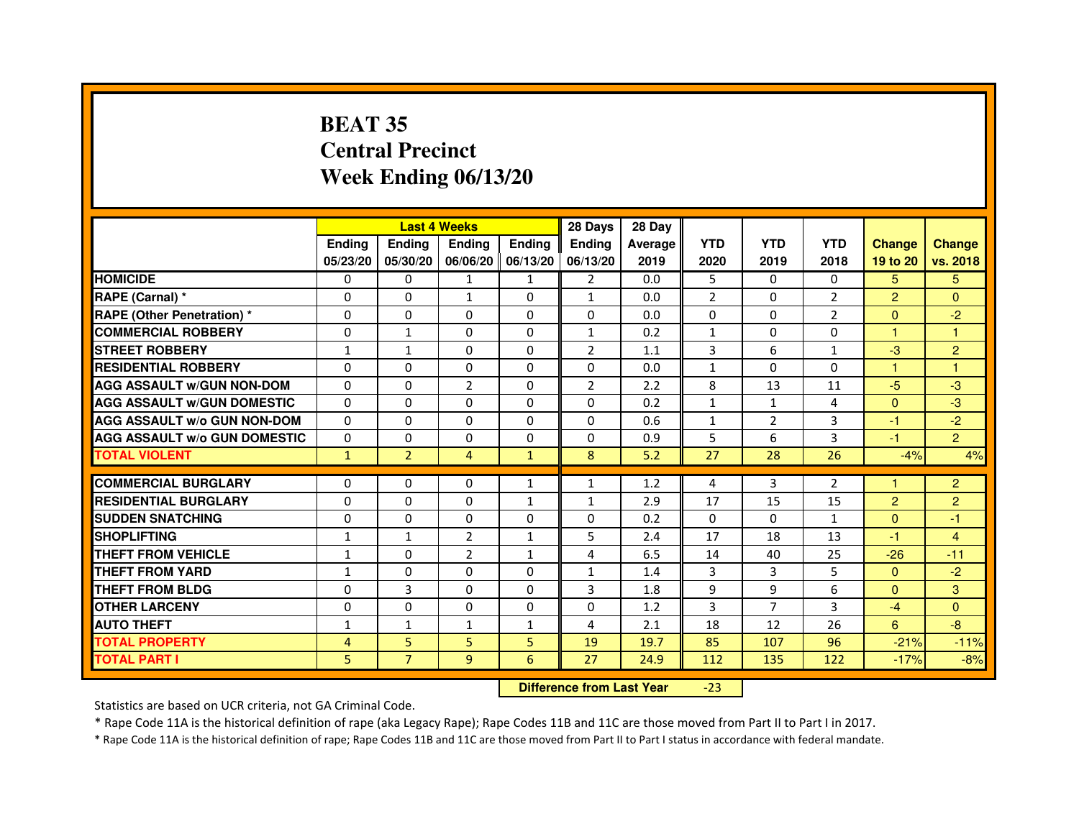# **BEAT 35 Central PrecinctWeek Ending 06/13/20**

|                                     |               |                | <b>Last 4 Weeks</b> |                     | 28 Days        | 28 Day  |                |                |                |                |                |
|-------------------------------------|---------------|----------------|---------------------|---------------------|----------------|---------|----------------|----------------|----------------|----------------|----------------|
|                                     | <b>Endina</b> | Ending         | <b>Endina</b>       | <b>Endina</b>       | <b>Endina</b>  | Average | <b>YTD</b>     | <b>YTD</b>     | <b>YTD</b>     | <b>Change</b>  | <b>Change</b>  |
|                                     | 05/23/20      | 05/30/20       |                     | 06/06/20   06/13/20 | 06/13/20       | 2019    | 2020           | 2019           | 2018           | 19 to 20       | vs. 2018       |
| <b>HOMICIDE</b>                     | $\mathbf{0}$  | 0              | 1                   | $\mathbf{1}$        | $\overline{2}$ | 0.0     | 5              | $\Omega$       | $\Omega$       | 5.             | 5.             |
| RAPE (Carnal) *                     | $\Omega$      | $\Omega$       | $\mathbf{1}$        | $\Omega$            | $\mathbf{1}$   | 0.0     | $\overline{2}$ | $\Omega$       | $\overline{2}$ | $\overline{2}$ | $\Omega$       |
| <b>RAPE (Other Penetration)*</b>    | 0             | $\Omega$       | $\Omega$            | 0                   | $\Omega$       | 0.0     | $\Omega$       | $\Omega$       | 2              | $\Omega$       | $-2$           |
| <b>COMMERCIAL ROBBERY</b>           | 0             | 1              | 0                   | 0                   | $\mathbf{1}$   | 0.2     | $\mathbf{1}$   | 0              | $\Omega$       | 1              | 1              |
| <b>STREET ROBBERY</b>               | $\mathbf{1}$  | $\mathbf{1}$   | 0                   | $\mathbf{0}$        | $\overline{2}$ | 1.1     | 3              | 6              | $\mathbf{1}$   | $-3$           | $\overline{2}$ |
| <b>RESIDENTIAL ROBBERY</b>          | 0             | $\Omega$       | 0                   | $\Omega$            | $\Omega$       | 0.0     | $\mathbf{1}$   | $\Omega$       | $\Omega$       | 1              | 1              |
| <b>AGG ASSAULT W/GUN NON-DOM</b>    | $\Omega$      | $\Omega$       | $\overline{2}$      | $\Omega$            | $\overline{2}$ | 2.2     | 8              | 13             | 11             | $-5$           | -3             |
| <b>AGG ASSAULT W/GUN DOMESTIC</b>   | $\Omega$      | 0              | $\Omega$            | 0                   | $\Omega$       | 0.2     | $\mathbf{1}$   | $\mathbf{1}$   | $\overline{a}$ | $\Omega$       | $-3$           |
| <b>AGG ASSAULT W/o GUN NON-DOM</b>  | $\Omega$      | 0              | $\Omega$            | $\Omega$            | $\Omega$       | 0.6     | $\mathbf{1}$   | 2              | 3              | $-1$           | $-2$           |
| <b>AGG ASSAULT W/o GUN DOMESTIC</b> | $\Omega$      | 0              | 0                   | 0                   | $\Omega$       | 0.9     | 5              | 6              | 3              | $-1$           | $\overline{2}$ |
| <b>TOTAL VIOLENT</b>                | $\mathbf{1}$  | $\overline{2}$ | 4                   | $\mathbf{1}$        | 8              | 5.2     | 27             | 28             | 26             | $-4%$          | 4%             |
|                                     |               |                |                     |                     |                |         |                |                |                |                |                |
| <b>COMMERCIAL BURGLARY</b>          | 0             | 0              | 0                   | $\mathbf{1}$        | $\mathbf{1}$   | 1.2     | 4              | 3              | 2              | 1              | $\overline{c}$ |
| <b>RESIDENTIAL BURGLARY</b>         | 0             | 0              | 0                   | 1                   | $\mathbf{1}$   | 2.9     | 17             | 15             | 15             | $\overline{2}$ | $\overline{c}$ |
| <b>SUDDEN SNATCHING</b>             | 0             | $\Omega$       | 0                   | 0                   | $\Omega$       | 0.2     | $\Omega$       | $\Omega$       | $\mathbf{1}$   | $\Omega$       | $-1$           |
| <b>SHOPLIFTING</b>                  | $\mathbf{1}$  | $\mathbf{1}$   | $\overline{2}$      | 1                   | 5              | 2.4     | 17             | 18             | 13             | $-1$           | $\overline{4}$ |
| THEFT FROM VEHICLE                  | 1             | 0              | $\overline{2}$      | $\mathbf{1}$        | 4              | 6.5     | 14             | 40             | 25             | $-26$          | $-11$          |
| <b>THEFT FROM YARD</b>              | 1             | 0              | $\Omega$            | $\Omega$            | $\mathbf{1}$   | 1.4     | 3              | 3              | 5              | $\Omega$       | $-2$           |
| <b>THEFT FROM BLDG</b>              | 0             | 3              | 0                   | $\Omega$            | 3              | 1.8     | 9              | 9              | 6              | $\Omega$       | 3              |
| <b>OTHER LARCENY</b>                | 0             | $\Omega$       | $\Omega$            | $\Omega$            | $\Omega$       | 1.2     | 3              | $\overline{7}$ | 3              | $-4$           | $\Omega$       |
| <b>AUTO THEFT</b>                   | $\mathbf{1}$  | $\mathbf{1}$   | $\mathbf{1}$        | $\mathbf{1}$        | 4              | 2.1     | 18             | 12             | 26             | 6              | $-8$           |
| <b>TOTAL PROPERTY</b>               | 4             | 5              | 5                   | 5                   | 19             | 19.7    | 85             | 107            | 96             | $-21%$         | $-11%$         |
| <b>TOTAL PART I</b>                 | 5             | $\overline{7}$ | 9                   | 6                   | 27             | 24.9    | 112            | 135            | 122            | $-17%$         | $-8%$          |

 **Difference from Last Year**-23

Statistics are based on UCR criteria, not GA Criminal Code.

\* Rape Code 11A is the historical definition of rape (aka Legacy Rape); Rape Codes 11B and 11C are those moved from Part II to Part I in 2017.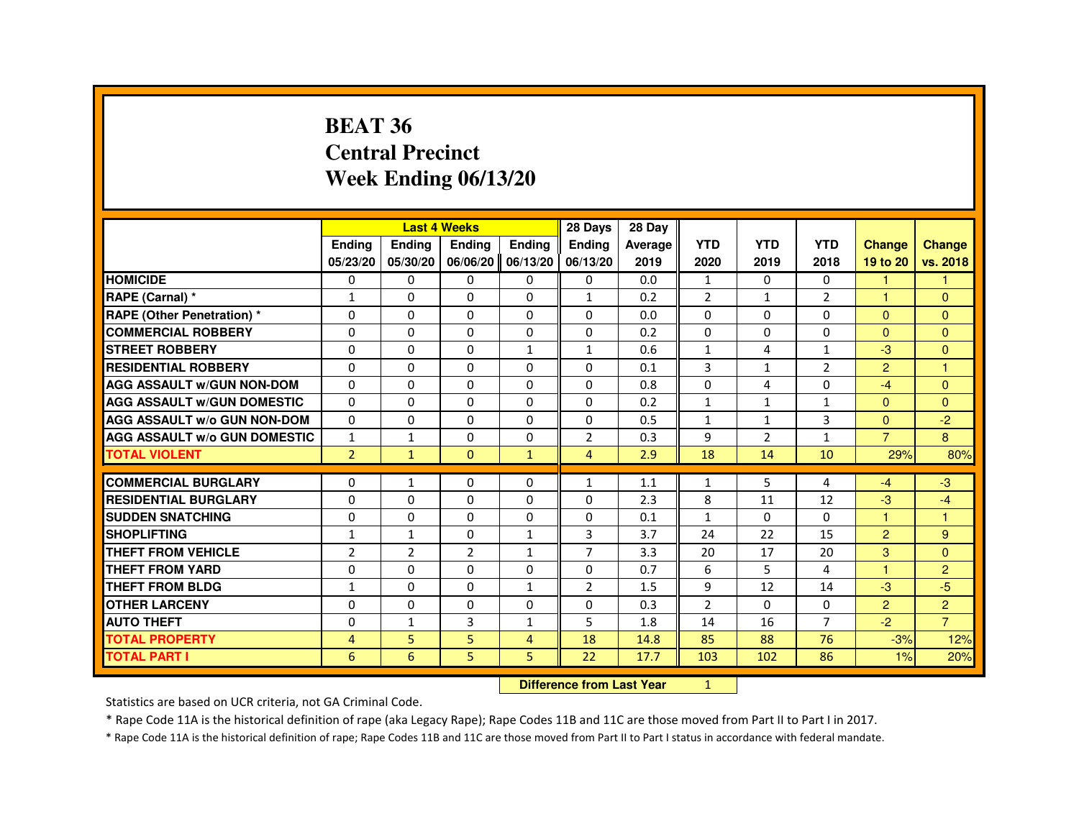#### **BEAT 36 Central PrecinctWeek Ending 06/13/20**

|                                     |                | <b>Last 4 Weeks</b> |                |                   | 28 Days        | 28 Day  |                |                |                |                |                      |
|-------------------------------------|----------------|---------------------|----------------|-------------------|----------------|---------|----------------|----------------|----------------|----------------|----------------------|
|                                     | <b>Endina</b>  | <b>Endina</b>       | Ending         | <b>Endina</b>     | <b>Endina</b>  | Average | <b>YTD</b>     | <b>YTD</b>     | <b>YTD</b>     | <b>Change</b>  | <b>Change</b>        |
|                                     | 05/23/20       | 05/30/20            |                | 06/06/20 06/13/20 | 06/13/20       | 2019    | 2020           | 2019           | 2018           | 19 to 20       | vs. 2018             |
| <b>HOMICIDE</b>                     | 0              | $\Omega$            | $\mathbf{0}$   | $\mathbf{0}$      | $\Omega$       | 0.0     | $\mathbf{1}$   | $\Omega$       | $\mathbf{0}$   | 1              |                      |
| RAPE (Carnal) *                     | $\mathbf{1}$   | $\Omega$            | $\Omega$       | $\Omega$          | $\mathbf{1}$   | 0.2     | $\overline{2}$ | $\mathbf{1}$   | $\overline{2}$ | 1              | $\Omega$             |
| <b>RAPE (Other Penetration) *</b>   | $\Omega$       | 0                   | 0              | 0                 | 0              | 0.0     | 0              | 0              | 0              | $\Omega$       | $\Omega$             |
| <b>COMMERCIAL ROBBERY</b>           | 0              | $\Omega$            | $\Omega$       | $\Omega$          | 0              | 0.2     | 0              | $\Omega$       | $\Omega$       | $\Omega$       | $\Omega$             |
| <b>STREET ROBBERY</b>               | $\Omega$       | $\Omega$            | $\Omega$       | $\mathbf{1}$      | $\mathbf{1}$   | 0.6     | $\mathbf{1}$   | 4              | $\mathbf{1}$   | $-3$           | $\Omega$             |
| <b>RESIDENTIAL ROBBERY</b>          | $\Omega$       | $\Omega$            | $\Omega$       | $\Omega$          | $\Omega$       | 0.1     | 3              | $\mathbf{1}$   | $\overline{2}$ | 2              | $\blacktriangleleft$ |
| <b>AGG ASSAULT W/GUN NON-DOM</b>    | $\Omega$       | 0                   | $\Omega$       | $\Omega$          | $\Omega$       | 0.8     | $\Omega$       | 4              | $\Omega$       | $-4$           | $\Omega$             |
| <b>AGG ASSAULT W/GUN DOMESTIC</b>   | $\Omega$       | $\mathbf{0}$        | 0              | 0                 | $\Omega$       | 0.2     | $\mathbf{1}$   | $\mathbf{1}$   | $\mathbf{1}$   | $\Omega$       | $\Omega$             |
| <b>AGG ASSAULT W/o GUN NON-DOM</b>  | $\Omega$       | $\Omega$            | $\Omega$       | 0                 | $\Omega$       | 0.5     | $\mathbf{1}$   | $\mathbf{1}$   | 3              | $\Omega$       | $-2$                 |
| <b>AGG ASSAULT W/o GUN DOMESTIC</b> | $\mathbf{1}$   | $\mathbf{1}$        | $\Omega$       | 0                 | $\overline{2}$ | 0.3     | 9              | $\overline{2}$ | $\mathbf{1}$   | $\overline{7}$ | 8                    |
| <b>TOTAL VIOLENT</b>                | $\overline{2}$ | $\mathbf{1}$        | $\mathbf{0}$   | $\mathbf{1}$      | $\overline{4}$ | 2.9     | 18             | 14             | 10             | 29%            | 80%                  |
|                                     |                |                     |                |                   |                |         |                |                |                |                |                      |
| <b>COMMERCIAL BURGLARY</b>          | 0              | $\mathbf{1}$        | 0              | 0                 | $\mathbf{1}$   | 1.1     | $\mathbf{1}$   | 5              | 4              | $-4$           | $-3$                 |
| <b>RESIDENTIAL BURGLARY</b>         | 0              | 0                   | 0              | 0                 | 0              | 2.3     | 8              | 11             | 12             | $-3$           | $-4$                 |
| <b>SUDDEN SNATCHING</b>             | 0              | $\mathbf 0$         | 0              | 0                 | $\Omega$       | 0.1     | $\mathbf{1}$   | $\Omega$       | $\Omega$       | 1              | -1                   |
| <b>SHOPLIFTING</b>                  | $\mathbf{1}$   | $\mathbf{1}$        | $\Omega$       | $\mathbf{1}$      | 3              | 3.7     | 24             | 22             | 15             | 2              | 9                    |
| <b>THEFT FROM VEHICLE</b>           | 2              | $\overline{2}$      | $\overline{2}$ | $\mathbf{1}$      | $\overline{7}$ | 3.3     | 20             | 17             | 20             | 3              | $\Omega$             |
| THEFT FROM YARD                     | 0              | 0                   | $\Omega$       | $\Omega$          | $\Omega$       | 0.7     | 6              | 5              | 4              |                | $\overline{2}$       |
| THEFT FROM BLDG                     | $\mathbf{1}$   | 0                   | 0              | $\mathbf{1}$      | 2              | 1.5     | 9              | 12             | 14             | -3             | $-5$                 |
| <b>OTHER LARCENY</b>                | $\Omega$       | $\Omega$            | 0              | 0                 | 0              | 0.3     | $\overline{2}$ | $\Omega$       | 0              | 2              | 2                    |
| <b>AUTO THEFT</b>                   | $\Omega$       | $\mathbf{1}$        | 3              | $\mathbf{1}$      | 5              | 1.8     | 14             | 16             | $\overline{7}$ | $-2$           | $\overline{7}$       |
| <b>TOTAL PROPERTY</b>               | 4              | 5                   | 5              | $\overline{4}$    | 18             | 14.8    | 85             | 88             | 76             | $-3%$          | 12%                  |
| <b>TOTAL PART I</b>                 | 6              | 6                   | 5              | 5                 | 22             | 17.7    | 103            | 102            | 86             | 1%             | 20%                  |

**Difference from Last Year** 1

Statistics are based on UCR criteria, not GA Criminal Code.

\* Rape Code 11A is the historical definition of rape (aka Legacy Rape); Rape Codes 11B and 11C are those moved from Part II to Part I in 2017.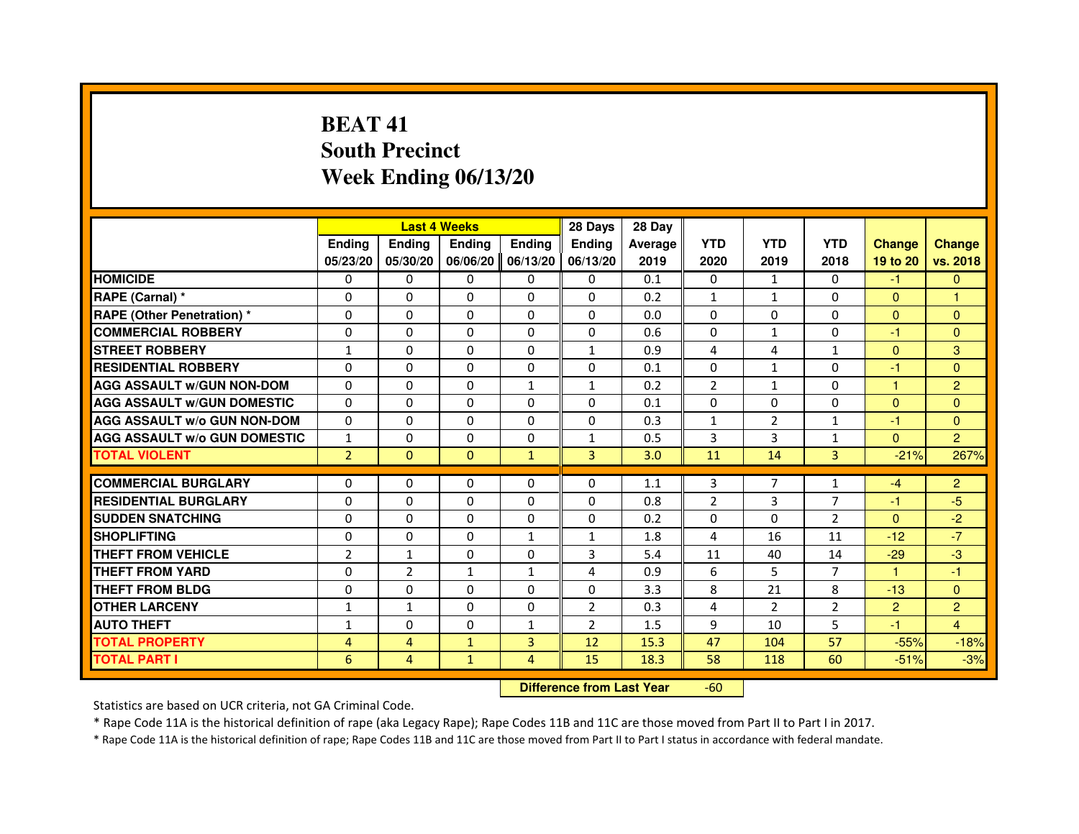# **BEAT 41 South PrecinctWeek Ending 06/13/20**

|                                     |                |                | <b>Last 4 Weeks</b>              |               | 28 Days        | 28 Day         |                |                |                |                |                |
|-------------------------------------|----------------|----------------|----------------------------------|---------------|----------------|----------------|----------------|----------------|----------------|----------------|----------------|
|                                     | <b>Ending</b>  | <b>Ending</b>  | <b>Ending</b>                    | <b>Ending</b> | <b>Ending</b>  | <b>Average</b> | <b>YTD</b>     | <b>YTD</b>     | <b>YTD</b>     | <b>Change</b>  | <b>Change</b>  |
|                                     | 05/23/20       | 05/30/20       | 06/06/20                         | 06/13/20      | 06/13/20       | 2019           | 2020           | 2019           | 2018           | 19 to 20       | vs. 2018       |
| <b>HOMICIDE</b>                     | 0              | $\mathbf{0}$   | $\Omega$                         | $\Omega$      | 0              | 0.1            | 0              | $\mathbf{1}$   | $\Omega$       | $-1$           | $\mathbf{0}$   |
| RAPE (Carnal) *                     | 0              | $\Omega$       | $\Omega$                         | $\Omega$      | 0              | 0.2            | $\mathbf{1}$   | $\mathbf{1}$   | 0              | $\mathbf{0}$   |                |
| <b>RAPE (Other Penetration) *</b>   | $\Omega$       | $\Omega$       | $\Omega$                         | $\Omega$      | $\Omega$       | 0.0            | $\Omega$       | $\Omega$       | $\Omega$       | $\Omega$       | $\overline{0}$ |
| <b>COMMERCIAL ROBBERY</b>           | 0              | $\Omega$       | $\Omega$                         | $\Omega$      | $\Omega$       | 0.6            | $\Omega$       | $\mathbf{1}$   | $\Omega$       | $-1$           | $\mathbf{0}$   |
| <b>STREET ROBBERY</b>               | $\mathbf{1}$   | $\Omega$       | $\Omega$                         | $\Omega$      | $\mathbf{1}$   | 0.9            | 4              | 4              | $\mathbf{1}$   | $\Omega$       | 3              |
| <b>RESIDENTIAL ROBBERY</b>          | 0              | $\Omega$       | 0                                | $\Omega$      | $\Omega$       | 0.1            | $\Omega$       | $\mathbf{1}$   | 0              | $-1$           | $\Omega$       |
| <b>AGG ASSAULT W/GUN NON-DOM</b>    | $\Omega$       | $\Omega$       | $\Omega$                         | $\mathbf{1}$  | $\mathbf{1}$   | 0.2            | $\overline{2}$ | $\mathbf{1}$   | $\Omega$       | $\mathbf{1}$   | $\overline{2}$ |
| <b>AGG ASSAULT W/GUN DOMESTIC</b>   | $\Omega$       | $\Omega$       | $\Omega$                         | $\Omega$      | $\Omega$       | 0.1            | $\Omega$       | $\Omega$       | $\Omega$       | $\Omega$       | $\Omega$       |
| <b>AGG ASSAULT W/o GUN NON-DOM</b>  | 0              | 0              | $\mathbf{0}$                     | 0             | 0              | 0.3            | $\mathbf{1}$   | $\overline{2}$ | $\mathbf{1}$   | $-1$           | $\overline{0}$ |
| <b>AGG ASSAULT W/o GUN DOMESTIC</b> | $\mathbf{1}$   | 0              | 0                                | 0             | $\mathbf{1}$   | 0.5            | 3              | 3              | $\mathbf{1}$   | $\Omega$       | $\overline{2}$ |
| <b>TOTAL VIOLENT</b>                | $\overline{2}$ | $\mathbf{0}$   | $\mathbf{0}$                     | $\mathbf{1}$  | 3              | 3.0            | 11             | 14             | 3              | $-21%$         | 267%           |
| <b>COMMERCIAL BURGLARY</b>          | 0              | $\Omega$       | 0                                | $\Omega$      | $\Omega$       | 1.1            | 3              | 7              | $\mathbf{1}$   | $-4$           | $\overline{2}$ |
| <b>RESIDENTIAL BURGLARY</b>         | $\Omega$       | $\Omega$       | $\Omega$                         | $\Omega$      | $\Omega$       | 0.8            | $\overline{2}$ | 3              | $\overline{7}$ | $-1$           | $-5$           |
| <b>SUDDEN SNATCHING</b>             | $\Omega$       | $\Omega$       | $\Omega$                         | $\Omega$      | $\Omega$       | 0.2            | $\Omega$       | $\Omega$       | $\mathfrak{p}$ | $\Omega$       | $-2$           |
| <b>SHOPLIFTING</b>                  | 0              | 0              | $\mathbf{0}$                     | 1             | 1              | 1.8            | 4              | 16             | 11             | $-12$          | $-7$           |
| THEFT FROM VEHICLE                  | $\overline{2}$ | $\mathbf{1}$   | 0                                | $\Omega$      | 3              | 5.4            | 11             | 40             | 14             | $-29$          | $-3$           |
| <b>THEFT FROM YARD</b>              | 0              | $\overline{2}$ | $\mathbf{1}$                     | $\mathbf{1}$  | 4              | 0.9            | 6              | 5              | $\overline{7}$ | $\mathbf{1}$   | $-1$           |
| <b>THEFT FROM BLDG</b>              | $\Omega$       | $\Omega$       | $\Omega$                         | $\Omega$      | $\Omega$       | 3.3            | 8              | 21             | 8              | $-13$          | $\overline{0}$ |
| <b>OTHER LARCENY</b>                | 1              | $\mathbf{1}$   | $\Omega$                         | $\Omega$      | $\overline{2}$ | 0.3            | 4              | $\overline{2}$ | $\overline{2}$ | $\overline{2}$ | $\overline{2}$ |
| <b>AUTO THEFT</b>                   | $\mathbf{1}$   | $\Omega$       | $\Omega$                         | $\mathbf{1}$  | $\overline{2}$ | 1.5            | 9              | 10             | 5              | $-1$           | $\overline{4}$ |
| <b>TOTAL PROPERTY</b>               | 4              | $\overline{4}$ | $\mathbf{1}$                     | 3             | 12             | 15.3           | 47             | 104            | 57             | $-55%$         | $-18%$         |
| <b>TOTAL PART I</b>                 | 6              | $\overline{4}$ | $\mathbf{1}$                     | 4             | 15             | 18.3           | 58             | 118            | 60             | $-51%$         | $-3%$          |
|                                     |                |                | <b>Difference from Last Year</b> |               | $-60$          |                |                |                |                |                |                |

Statistics are based on UCR criteria, not GA Criminal Code.

\* Rape Code 11A is the historical definition of rape (aka Legacy Rape); Rape Codes 11B and 11C are those moved from Part II to Part I in 2017.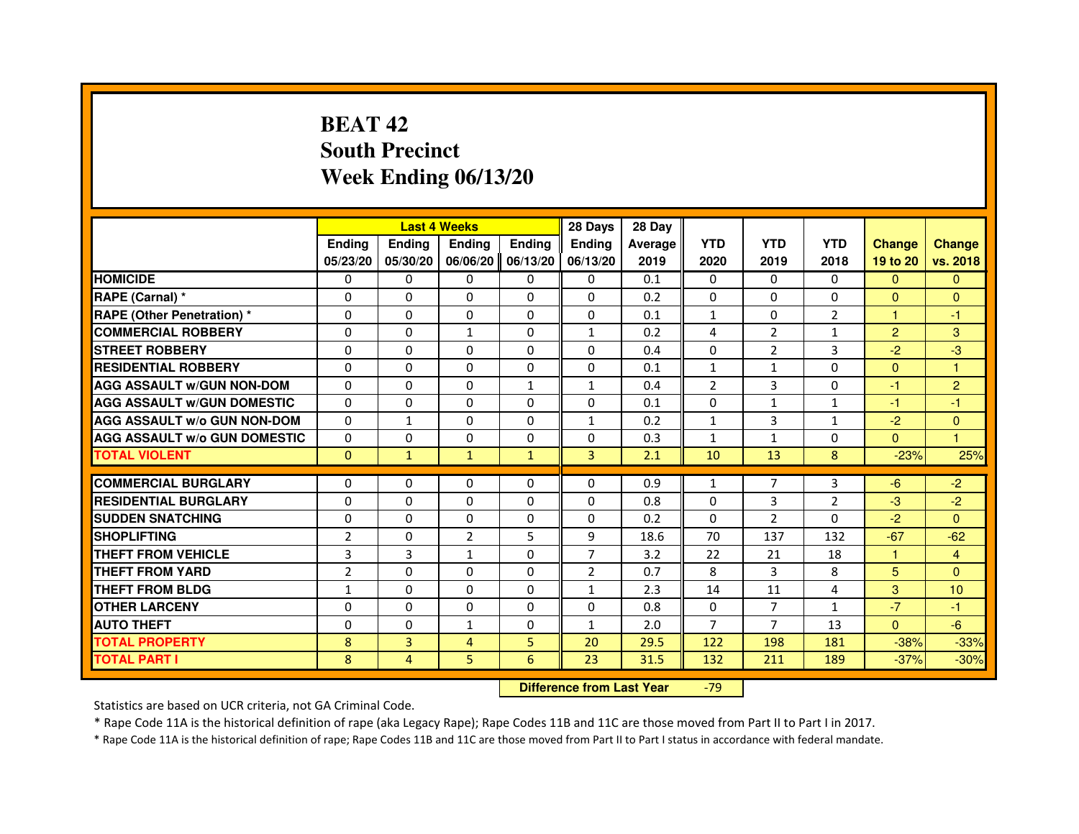# **BEAT 42 South PrecinctWeek Ending 06/13/20**

|                                     |                |              | <b>Last 4 Weeks</b> |              | 28 Days        | 28 Day  |                |                |                |                |                      |
|-------------------------------------|----------------|--------------|---------------------|--------------|----------------|---------|----------------|----------------|----------------|----------------|----------------------|
|                                     | <b>Ending</b>  | Ending       | Ending              | Ending       | <b>Ending</b>  | Average | <b>YTD</b>     | <b>YTD</b>     | <b>YTD</b>     | <b>Change</b>  | <b>Change</b>        |
|                                     | 05/23/20       | 05/30/20     | 06/06/20            | 06/13/20     | 06/13/20       | 2019    | 2020           | 2019           | 2018           | 19 to 20       | vs. 2018             |
| <b>HOMICIDE</b>                     | 0              | $\Omega$     | 0                   | $\mathbf{0}$ | $\mathbf{0}$   | 0.1     | $\Omega$       | $\Omega$       | $\Omega$       | $\mathbf{0}$   | $\mathbf{0}$         |
| RAPE (Carnal) *                     | $\Omega$       | $\Omega$     | $\Omega$            | $\Omega$     | $\Omega$       | 0.2     | $\Omega$       | $\Omega$       | $\Omega$       | $\Omega$       | $\mathbf{0}$         |
| <b>RAPE (Other Penetration)*</b>    | 0              | 0            | 0                   | 0            | 0              | 0.1     | $\mathbf{1}$   | 0              | $\overline{2}$ | $\mathbf{1}$   | -1                   |
| <b>COMMERCIAL ROBBERY</b>           | $\Omega$       | $\Omega$     | $\mathbf{1}$        | $\Omega$     | $\mathbf{1}$   | 0.2     | 4              | 2              | $\mathbf{1}$   | $\overline{2}$ | 3                    |
| <b>STREET ROBBERY</b>               | $\Omega$       | $\Omega$     | $\Omega$            | $\Omega$     | $\Omega$       | 0.4     | $\Omega$       | 2              | 3              | $-2$           | $-3$                 |
| <b>RESIDENTIAL ROBBERY</b>          | $\Omega$       | $\Omega$     | $\Omega$            | $\Omega$     | $\Omega$       | 0.1     | $\mathbf{1}$   | $\mathbf{1}$   | 0              | $\mathbf{0}$   | $\mathbf{1}$         |
| <b>AGG ASSAULT W/GUN NON-DOM</b>    | $\Omega$       | $\Omega$     | $\Omega$            | $\mathbf{1}$ | $\mathbf{1}$   | 0.4     | $\overline{2}$ | 3              | 0              | $-1$           | $\overline{2}$       |
| <b>AGG ASSAULT W/GUN DOMESTIC</b>   | $\Omega$       | 0            | $\Omega$            | $\Omega$     | $\Omega$       | 0.1     | $\Omega$       | $\mathbf{1}$   | $\mathbf{1}$   | $-1$           | $-1$                 |
| AGG ASSAULT w/o GUN NON-DOM         | $\Omega$       | 1            | $\Omega$            | $\Omega$     | $\mathbf{1}$   | 0.2     | $\mathbf{1}$   | 3              | 1              | $-2$           | $\mathbf{0}$         |
| <b>AGG ASSAULT W/o GUN DOMESTIC</b> | $\Omega$       | $\Omega$     | $\Omega$            | $\Omega$     | $\Omega$       | 0.3     | $\mathbf{1}$   | $\mathbf{1}$   | $\mathbf 0$    | $\Omega$       | $\blacktriangleleft$ |
| <b>TOTAL VIOLENT</b>                | $\mathbf{0}$   | $\mathbf{1}$ | $\mathbf{1}$        | $\mathbf{1}$ | 3              | 2.1     | 10             | 13             | 8              | $-23%$         | 25%                  |
|                                     |                |              |                     |              |                |         |                |                |                |                |                      |
| <b>COMMERCIAL BURGLARY</b>          | 0              | 0            | 0                   | 0            | 0              | 0.9     | $\mathbf{1}$   | $\overline{7}$ | 3              | $-6$           | $-2$                 |
| <b>RESIDENTIAL BURGLARY</b>         | $\Omega$       | $\Omega$     | $\Omega$            | $\Omega$     | $\Omega$       | 0.8     | $\Omega$       | 3              | $\overline{2}$ | $-3$           | $-2$                 |
| <b>SUDDEN SNATCHING</b>             | $\Omega$       | $\Omega$     | $\Omega$            | $\Omega$     | $\Omega$       | 0.2     | $\Omega$       | $\overline{2}$ | $\Omega$       | $-2$           | $\mathbf{0}$         |
| <b>SHOPLIFTING</b>                  | $\overline{2}$ | $\Omega$     | $\overline{2}$      | 5            | 9              | 18.6    | 70             | 137            | 132            | $-67$          | $-62$                |
| <b>THEFT FROM VEHICLE</b>           | 3              | 3            | $\mathbf{1}$        | $\Omega$     | $\overline{7}$ | 3.2     | 22             | 21             | 18             | $\mathbf{1}$   | $\overline{4}$       |
| <b>THEFT FROM YARD</b>              | $\overline{2}$ | 0            | 0                   | 0            | 2              | 0.7     | 8              | 3              | 8              | 5              | $\Omega$             |
| <b>THEFT FROM BLDG</b>              | $\mathbf{1}$   | $\Omega$     | $\Omega$            | $\Omega$     | $\mathbf{1}$   | 2.3     | 14             | 11             | 4              | 3              | 10                   |
| <b>OTHER LARCENY</b>                | $\Omega$       | $\Omega$     | $\Omega$            | $\Omega$     | $\Omega$       | 0.8     | $\Omega$       | $\overline{7}$ | $\mathbf{1}$   | $-7$           | $-1$                 |
| <b>AUTO THEFT</b>                   | $\Omega$       | $\Omega$     | $\mathbf{1}$        | $\Omega$     | $\mathbf{1}$   | 2.0     | $\overline{7}$ | $\overline{7}$ | 13             | $\Omega$       | $-6$                 |
| <b>TOTAL PROPERTY</b>               | 8              | 3            | $\overline{4}$      | 5            | 20             | 29.5    | 122            | 198            | 181            | $-38%$         | $-33%$               |
| TOTAL PART I                        | 8              | 4            | 5                   | 6            | 23             | 31.5    | 132            | 211            | 189            | $-37%$         | $-30%$               |

 **Difference from Last Year**-79

Statistics are based on UCR criteria, not GA Criminal Code.

\* Rape Code 11A is the historical definition of rape (aka Legacy Rape); Rape Codes 11B and 11C are those moved from Part II to Part I in 2017.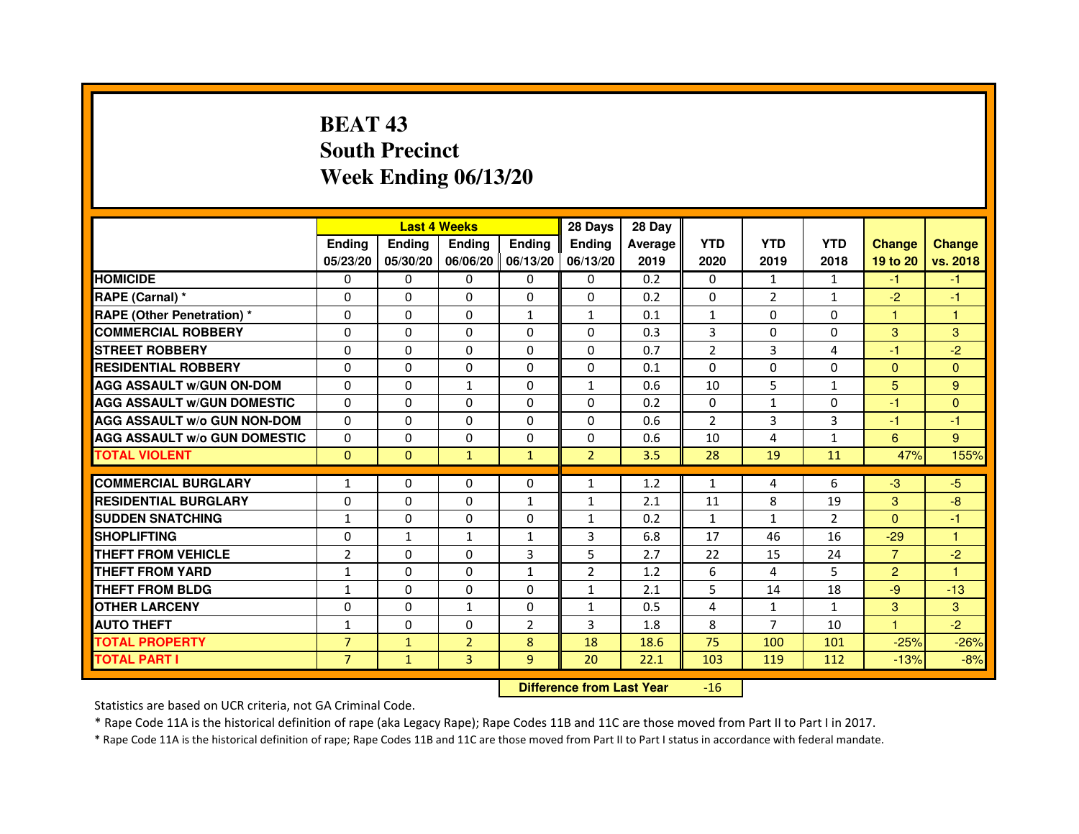# **BEAT 43 South PrecinctWeek Ending 06/13/20**

|                                     |                |               | <b>Last 4 Weeks</b> |                   | 28 Days        | 28 Day  |                |                |                |                |               |
|-------------------------------------|----------------|---------------|---------------------|-------------------|----------------|---------|----------------|----------------|----------------|----------------|---------------|
|                                     | <b>Ending</b>  | <b>Endina</b> | <b>Endina</b>       | <b>Ending</b>     | <b>Endina</b>  | Average | <b>YTD</b>     | <b>YTD</b>     | <b>YTD</b>     | <b>Change</b>  | <b>Change</b> |
|                                     | 05/23/20       | 05/30/20      |                     | 06/06/20 06/13/20 | 06/13/20       | 2019    | 2020           | 2019           | 2018           | 19 to 20       | vs. 2018      |
| <b>HOMICIDE</b>                     | 0              | 0             | $\mathbf{0}$        | 0                 | 0              | 0.2     | $\mathbf{0}$   | 1              | $\mathbf{1}$   | $-1$           | $-1$          |
| RAPE (Carnal) *                     | $\Omega$       | $\Omega$      | $\Omega$            | $\Omega$          | $\Omega$       | 0.2     | $\Omega$       | $\overline{2}$ | $\mathbf{1}$   | $-2$           | $-1$          |
| <b>RAPE (Other Penetration) *</b>   | 0              | $\Omega$      | 0                   | $\mathbf{1}$      | $\mathbf{1}$   | 0.1     | $\mathbf{1}$   | $\Omega$       | $\Omega$       | 1              | $\mathbf{1}$  |
| <b>COMMERCIAL ROBBERY</b>           | 0              | 0             | 0                   | 0                 | $\Omega$       | 0.3     | 3              | 0              | $\Omega$       | 3              | 3             |
| <b>STREET ROBBERY</b>               | 0              | 0             | 0                   | 0                 | 0              | 0.7     | $\overline{2}$ | 3              | $\overline{4}$ | $-1$           | $-2$          |
| <b>RESIDENTIAL ROBBERY</b>          | 0              | $\Omega$      | $\Omega$            | $\Omega$          | $\Omega$       | 0.1     | $\Omega$       | $\Omega$       | $\Omega$       | $\Omega$       | $\Omega$      |
| <b>AGG ASSAULT w/GUN ON-DOM</b>     | $\Omega$       | $\mathbf 0$   | $\mathbf{1}$        | $\Omega$          | $\mathbf{1}$   | 0.6     | 10             | 5              | $\mathbf{1}$   | 5              | 9             |
| <b>AGG ASSAULT W/GUN DOMESTIC</b>   | 0              | 0             | 0                   | 0                 | $\Omega$       | 0.2     | 0              | $\mathbf{1}$   | $\Omega$       | $-1$           | $\Omega$      |
| <b>AGG ASSAULT W/o GUN NON-DOM</b>  | $\Omega$       | 0             | 0                   | $\Omega$          | $\Omega$       | 0.6     | $\overline{2}$ | 3              | 3              | $-1$           | $-1$          |
| <b>AGG ASSAULT W/o GUN DOMESTIC</b> | $\Omega$       | $\Omega$      | 0                   | $\Omega$          | 0              | 0.6     | 10             | $\overline{4}$ | $\mathbf{1}$   | 6              | 9             |
| <b>TOTAL VIOLENT</b>                | $\Omega$       | $\Omega$      | $\mathbf{1}$        | $\mathbf{1}$      | $\overline{2}$ | 3.5     | 28             | 19             | 11             | 47%            | 155%          |
|                                     |                |               |                     |                   |                |         |                |                |                |                |               |
| <b>COMMERCIAL BURGLARY</b>          | 1              | 0             | 0                   | 0                 | $\mathbf{1}$   | 1.2     | $\mathbf{1}$   | 4              | 6              | $-3$           | $-5$          |
| <b>RESIDENTIAL BURGLARY</b>         | 0              | $\Omega$      | 0                   | $\mathbf{1}$      | 1              | 2.1     | 11             | 8              | 19             | 3              | -8            |
| <b>SUDDEN SNATCHING</b>             | 1              | 0             | 0                   | 0                 | $\mathbf{1}$   | 0.2     | $\mathbf{1}$   | $\mathbf{1}$   | $\overline{2}$ | $\Omega$       | $-1$          |
| <b>SHOPLIFTING</b>                  | 0              | $\mathbf{1}$  | $\mathbf{1}$        | $\mathbf{1}$      | 3              | 6.8     | 17             | 46             | 16             | $-29$          | $\mathbf{1}$  |
| <b>THEFT FROM VEHICLE</b>           | $\overline{2}$ | $\Omega$      | $\Omega$            | 3                 | 5              | 2.7     | 22             | 15             | 24             | $\overline{7}$ | $-2$          |
| <b>THEFT FROM YARD</b>              | 1              | $\Omega$      | $\Omega$            | $\mathbf{1}$      | $\overline{2}$ | 1.2     | 6              | 4              | 5              | $\overline{2}$ | $\mathbf{1}$  |
| <b>THEFT FROM BLDG</b>              | 1              | 0             | 0                   | 0                 | 1              | 2.1     | 5              | 14             | 18             | -9             | $-13$         |
| <b>OTHER LARCENY</b>                | 0              | 0             | 1                   | $\Omega$          | $\mathbf{1}$   | 0.5     | 4              | $\mathbf{1}$   | $\mathbf{1}$   | 3              | 3             |
| <b>AUTO THEFT</b>                   | $\mathbf{1}$   | 0             | $\Omega$            | $\overline{2}$    | 3              | 1.8     | 8              | 7              | 10             | $\mathbf{1}$   | $-2$          |
| <b>TOTAL PROPERTY</b>               | $\overline{7}$ | $\mathbf{1}$  | $\overline{2}$      | 8                 | 18             | 18.6    | 75             | 100            | 101            | $-25%$         | $-26%$        |
| <b>TOTAL PART I</b>                 | $\overline{7}$ | $\mathbf{1}$  | 3                   | 9                 | 20             | 22.1    | 103            | 119            | 112            | $-13%$         | $-8%$         |

 **Difference from Last Year**-16

Statistics are based on UCR criteria, not GA Criminal Code.

\* Rape Code 11A is the historical definition of rape (aka Legacy Rape); Rape Codes 11B and 11C are those moved from Part II to Part I in 2017.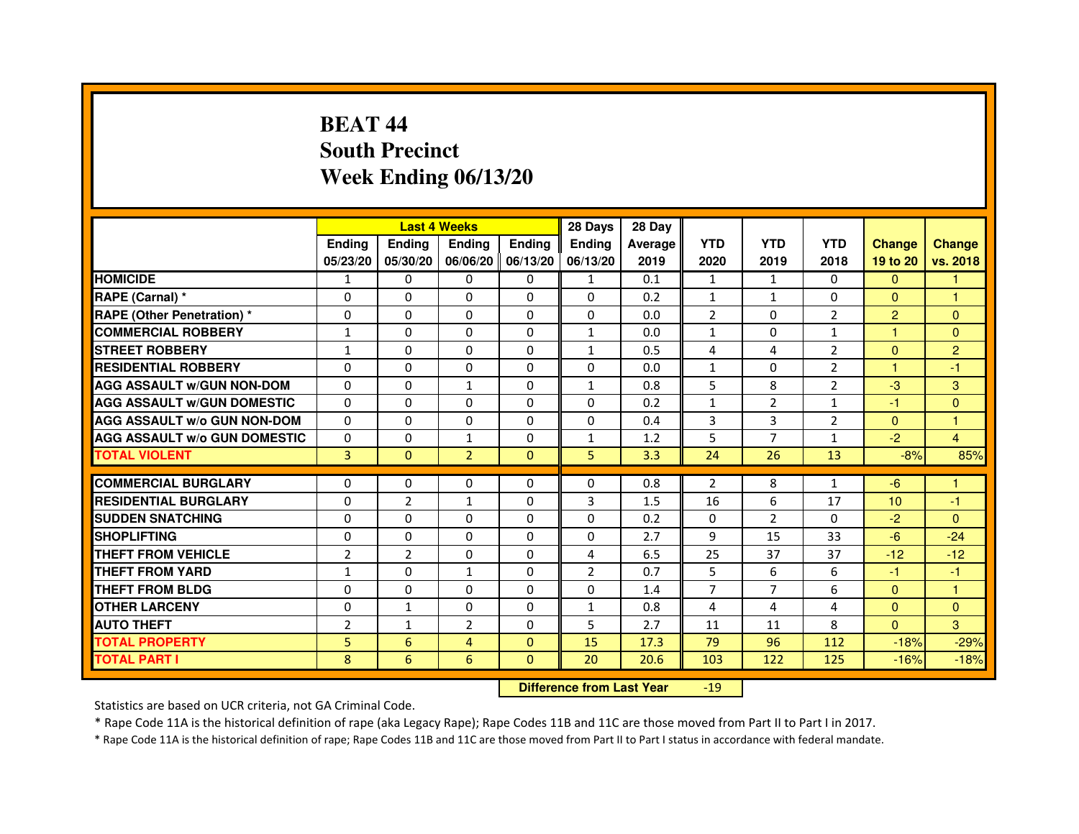# **BEAT 44 South PrecinctWeek Ending 06/13/20**

|                                     |                |                | <b>Last 4 Weeks</b> |                   | 28 Days        | 28 Day  |                |                |                |                 |                |
|-------------------------------------|----------------|----------------|---------------------|-------------------|----------------|---------|----------------|----------------|----------------|-----------------|----------------|
|                                     | <b>Ending</b>  | <b>Endina</b>  | <b>Ending</b>       | <b>Ending</b>     | <b>Ending</b>  | Average | <b>YTD</b>     | <b>YTD</b>     | <b>YTD</b>     | <b>Change</b>   | <b>Change</b>  |
|                                     | 05/23/20       | 05/30/20       |                     | 06/06/20 06/13/20 | 06/13/20       | 2019    | 2020           | 2019           | 2018           | 19 to 20        | vs. 2018       |
| <b>HOMICIDE</b>                     | 1              | $\mathbf{0}$   | $\mathbf{0}$        | $\Omega$          | $\mathbf{1}$   | 0.1     | $\mathbf{1}$   | $\mathbf{1}$   | $\Omega$       | $\mathbf{0}$    |                |
| RAPE (Carnal) *                     | 0              | $\Omega$       | $\Omega$            | $\Omega$          | $\Omega$       | 0.2     | $\mathbf{1}$   | $\mathbf{1}$   | $\Omega$       | $\Omega$        | $\mathbf{1}$   |
| <b>RAPE (Other Penetration)*</b>    | 0              | $\mathbf{0}$   | $\Omega$            | $\mathbf{0}$      | $\mathbf{0}$   | 0.0     | 2              | 0              | 2              | $\overline{2}$  | $\Omega$       |
| <b>COMMERCIAL ROBBERY</b>           | 1              | 0              | 0                   | $\Omega$          | 1              | 0.0     | 1              | 0              | 1              | 1               | $\Omega$       |
| <b>STREET ROBBERY</b>               | $\mathbf{1}$   | 0              | 0                   | 0                 | $\mathbf{1}$   | 0.5     | 4              | 4              | $\overline{2}$ | $\Omega$        | $\overline{2}$ |
| <b>RESIDENTIAL ROBBERY</b>          | 0              | $\Omega$       | $\Omega$            | $\Omega$          | $\Omega$       | 0.0     | $\mathbf{1}$   | $\Omega$       | $\overline{2}$ | $\mathbf{1}$    | $-1$           |
| <b>AGG ASSAULT W/GUN NON-DOM</b>    | $\Omega$       | $\Omega$       | $\mathbf{1}$        | $\Omega$          | $\mathbf{1}$   | 0.8     | 5              | 8              | $\overline{2}$ | $-3$            | 3              |
| <b>AGG ASSAULT W/GUN DOMESTIC</b>   | $\Omega$       | 0              | 0                   | 0                 | 0              | 0.2     | $\mathbf{1}$   | 2              | $\mathbf{1}$   | $-1$            | $\Omega$       |
| <b>AGG ASSAULT W/o GUN NON-DOM</b>  | 0              | 0              | 0                   | $\Omega$          | $\Omega$       | 0.4     | 3              | 3              | $\overline{2}$ | $\Omega$        | 1              |
| <b>AGG ASSAULT W/o GUN DOMESTIC</b> | 0              | 0              | $\mathbf{1}$        | 0                 | $\mathbf{1}$   | 1.2     | 5              | 7              | $\mathbf{1}$   | $-2$            | 4              |
| <b>TOTAL VIOLENT</b>                | 3              | $\mathbf{0}$   | $\overline{2}$      | $\mathbf{0}$      | 5              | 3.3     | 24             | 26             | 13             | $-8%$           | 85%            |
|                                     |                |                |                     |                   |                |         |                |                |                |                 |                |
| <b>COMMERCIAL BURGLARY</b>          | 0              | 0              | 0                   | 0                 | 0              | 0.8     | $\overline{2}$ | 8              | $\mathbf{1}$   | -6              | 1              |
| <b>RESIDENTIAL BURGLARY</b>         | 0              | $\overline{2}$ | $\mathbf{1}$        | 0                 | 3              | 1.5     | 16             | 6              | 17             | 10 <sup>1</sup> | $-1$           |
| <b>SUDDEN SNATCHING</b>             | 0              | $\Omega$       | 0                   | $\Omega$          | 0              | 0.2     | $\Omega$       | $\overline{2}$ | $\Omega$       | $-2$            | $\Omega$       |
| <b>SHOPLIFTING</b>                  | $\Omega$       | $\Omega$       | $\Omega$            | $\Omega$          | $\Omega$       | 2.7     | 9              | 15             | 33             | $-6$            | $-24$          |
| THEFT FROM VEHICLE                  | $\overline{2}$ | $\overline{2}$ | $\Omega$            | 0                 | 4              | 6.5     | 25             | 37             | 37             | $-12$           | $-12$          |
| THEFT FROM YARD                     | 1              | 0              | 1                   | $\Omega$          | $\overline{2}$ | 0.7     | 5              | 6              | 6              | $-1$            | $-1$           |
| <b>THEFT FROM BLDG</b>              | 0              | $\Omega$       | 0                   | 0                 | 0              | 1.4     | 7              | 7              | 6              | $\mathbf{0}$    | 1              |
| <b>OTHER LARCENY</b>                | 0              | $\mathbf{1}$   | 0                   | $\Omega$          | $\mathbf{1}$   | 0.8     | 4              | 4              | $\overline{4}$ | $\mathbf{0}$    | $\Omega$       |
| <b>AUTO THEFT</b>                   | $\overline{2}$ | 1              | $\overline{2}$      | $\Omega$          | 5              | 2.7     | 11             | 11             | 8              | $\Omega$        | 3              |
| <b>TOTAL PROPERTY</b>               | 5              | 6              | 4                   | $\Omega$          | 15             | 17.3    | 79             | 96             | 112            | $-18%$          | $-29%$         |
| <b>TOTAL PART I</b>                 | 8              | 6              | 6                   | $\mathbf{0}$      | 20             | 20.6    | 103            | 122            | 125            | $-16%$          | $-18%$         |

 **Difference from Last Year**-19

Statistics are based on UCR criteria, not GA Criminal Code.

\* Rape Code 11A is the historical definition of rape (aka Legacy Rape); Rape Codes 11B and 11C are those moved from Part II to Part I in 2017.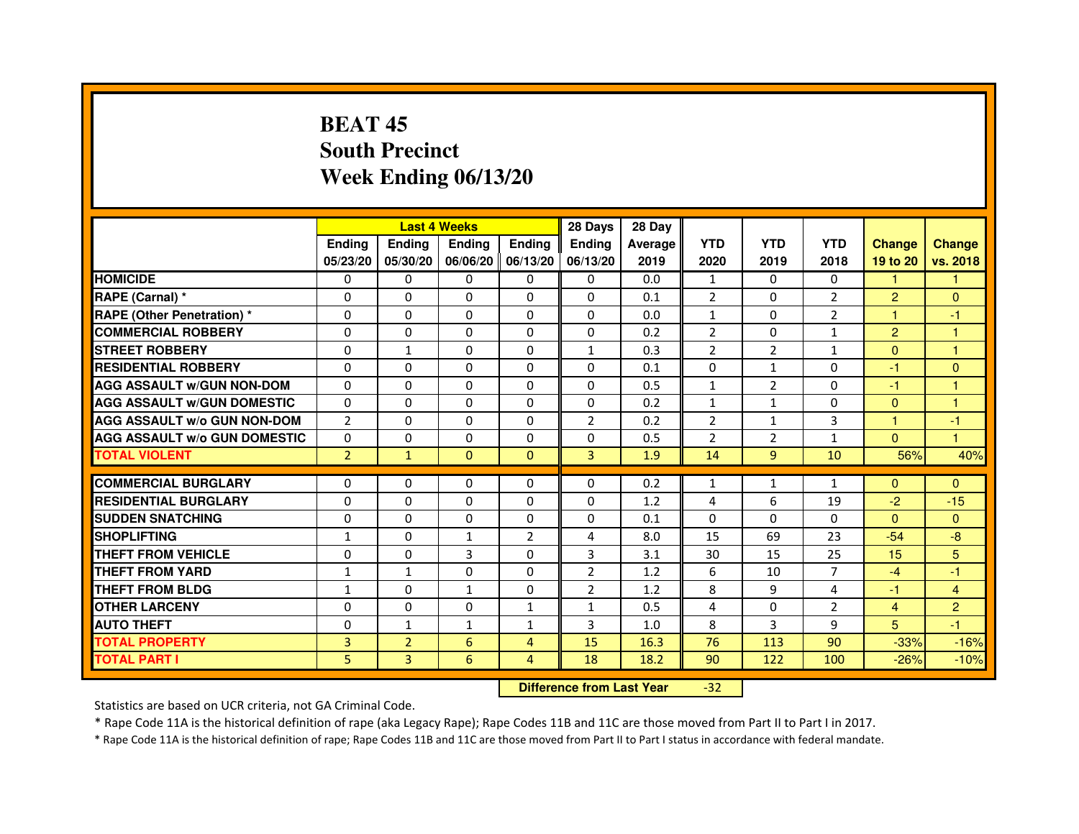# **BEAT 45 South PrecinctWeek Ending 06/13/20**

|                                     |                | <b>Last 4 Weeks</b> |               |                     | 28 Days        | 28 Day  |                |                |                |                |                |
|-------------------------------------|----------------|---------------------|---------------|---------------------|----------------|---------|----------------|----------------|----------------|----------------|----------------|
|                                     | <b>Endina</b>  | Ending              | <b>Endina</b> | <b>Endina</b>       | <b>Endina</b>  | Average | <b>YTD</b>     | <b>YTD</b>     | <b>YTD</b>     | <b>Change</b>  | <b>Change</b>  |
|                                     | 05/23/20       | 05/30/20            |               | 06/06/20   06/13/20 | 06/13/20       | 2019    | 2020           | 2019           | 2018           | 19 to 20       | vs. 2018       |
| <b>HOMICIDE</b>                     | 0              | 0                   | 0             | 0                   | 0              | 0.0     | $\mathbf{1}$   | $\Omega$       | 0              | $\mathbf{1}$   | 1              |
| RAPE (Carnal) *                     | $\Omega$       | $\Omega$            | $\Omega$      | $\Omega$            | $\Omega$       | 0.1     | $\overline{2}$ | $\Omega$       | $\overline{2}$ | $\overline{2}$ | $\Omega$       |
| <b>RAPE (Other Penetration)*</b>    | $\Omega$       | $\Omega$            | $\Omega$      | $\Omega$            | $\Omega$       | 0.0     | $\mathbf{1}$   | $\Omega$       | 2              | 1              | $-1$           |
| <b>COMMERCIAL ROBBERY</b>           | 0              | 0                   | 0             | 0                   | 0              | 0.2     | $\overline{2}$ | 0              | $\mathbf{1}$   | $\overline{2}$ | 1              |
| <b>STREET ROBBERY</b>               | 0              | $\mathbf{1}$        | 0             | $\Omega$            | $\mathbf{1}$   | 0.3     | $\overline{2}$ | $\overline{2}$ | $\mathbf{1}$   | $\Omega$       | 1              |
| <b>RESIDENTIAL ROBBERY</b>          | 0              | $\Omega$            | 0             | $\Omega$            | $\Omega$       | 0.1     | $\Omega$       | $\mathbf{1}$   | $\Omega$       | $-1$           | $\Omega$       |
| <b>AGG ASSAULT w/GUN NON-DOM</b>    | $\Omega$       | $\Omega$            | $\Omega$      | $\Omega$            | $\Omega$       | 0.5     | $\mathbf{1}$   | $\overline{2}$ | $\Omega$       | $-1$           | 1              |
| <b>AGG ASSAULT W/GUN DOMESTIC</b>   | $\Omega$       | 0                   | $\Omega$      | $\Omega$            | $\Omega$       | 0.2     | $\mathbf{1}$   | $\mathbf{1}$   | $\Omega$       | $\mathbf{0}$   | 1              |
| <b>AGG ASSAULT W/o GUN NON-DOM</b>  | $\overline{2}$ | 0                   | 0             | 0                   | $\overline{2}$ | 0.2     | $\overline{2}$ | $\mathbf{1}$   | 3              | 1              | $-1$           |
| <b>AGG ASSAULT W/o GUN DOMESTIC</b> | $\Omega$       | 0                   | 0             | $\mathbf{0}$        | 0              | 0.5     | $\overline{2}$ | 2              | $\mathbf{1}$   | $\mathbf{0}$   | 1              |
| <b>TOTAL VIOLENT</b>                | $\overline{2}$ | $\mathbf{1}$        | $\Omega$      | $\Omega$            | 3              | 1.9     | 14             | 9              | 10             | 56%            | 40%            |
|                                     |                |                     |               |                     |                |         |                |                |                |                |                |
| <b>COMMERCIAL BURGLARY</b>          | 0              | 0                   | 0             | 0                   | $\Omega$       | 0.2     | $\mathbf{1}$   | $\mathbf{1}$   | $\mathbf{1}$   | $\Omega$       | $\mathbf{0}$   |
| <b>RESIDENTIAL BURGLARY</b>         | 0              | 0                   | 0             | $\Omega$            | $\Omega$       | 1.2     | 4              | 6              | 19             | $-2$           | $-15$          |
| <b>SUDDEN SNATCHING</b>             | 0              | $\Omega$            | $\Omega$      | $\Omega$            | $\Omega$       | 0.1     | $\Omega$       | $\Omega$       | $\Omega$       | $\Omega$       | $\Omega$       |
| <b>SHOPLIFTING</b>                  | $\mathbf{1}$   | $\Omega$            | $\mathbf{1}$  | $\overline{2}$      | 4              | 8.0     | 15             | 69             | 23             | $-54$          | -8             |
| <b>THEFT FROM VEHICLE</b>           | 0              | $\Omega$            | 3             | 0                   | 3              | 3.1     | 30             | 15             | 25             | 15             | 5              |
| <b>THEFT FROM YARD</b>              | 1              | $\mathbf{1}$        | $\Omega$      | $\Omega$            | $\overline{2}$ | 1.2     | 6              | 10             | $\overline{7}$ | $-4$           | $-1$           |
| <b>THEFT FROM BLDG</b>              | 1              | $\Omega$            | 1             | $\Omega$            | $\overline{2}$ | 1.2     | 8              | 9              | $\overline{4}$ | $-1$           | $\overline{4}$ |
| <b>OTHER LARCENY</b>                | 0              | 0                   | 0             | $\mathbf{1}$        | $\mathbf{1}$   | 0.5     | $\overline{4}$ | $\Omega$       | $\overline{2}$ | $\overline{4}$ | $\overline{2}$ |
| <b>AUTO THEFT</b>                   | 0              | $\mathbf{1}$        | $\mathbf{1}$  | $\mathbf{1}$        | 3              | 1.0     | 8              | 3              | 9              | 5              | -1             |
| <b>TOTAL PROPERTY</b>               | 3              | $\overline{2}$      | 6             | $\overline{4}$      | 15             | 16.3    | 76             | 113            | 90             | $-33%$         | $-16%$         |
| <b>TOTAL PART I</b>                 | 5              | 3                   | 6             | $\overline{4}$      | 18             | 18.2    | 90             | 122            | 100            | $-26%$         | $-10%$         |

 **Difference from Last Year**-32

Statistics are based on UCR criteria, not GA Criminal Code.

\* Rape Code 11A is the historical definition of rape (aka Legacy Rape); Rape Codes 11B and 11C are those moved from Part II to Part I in 2017.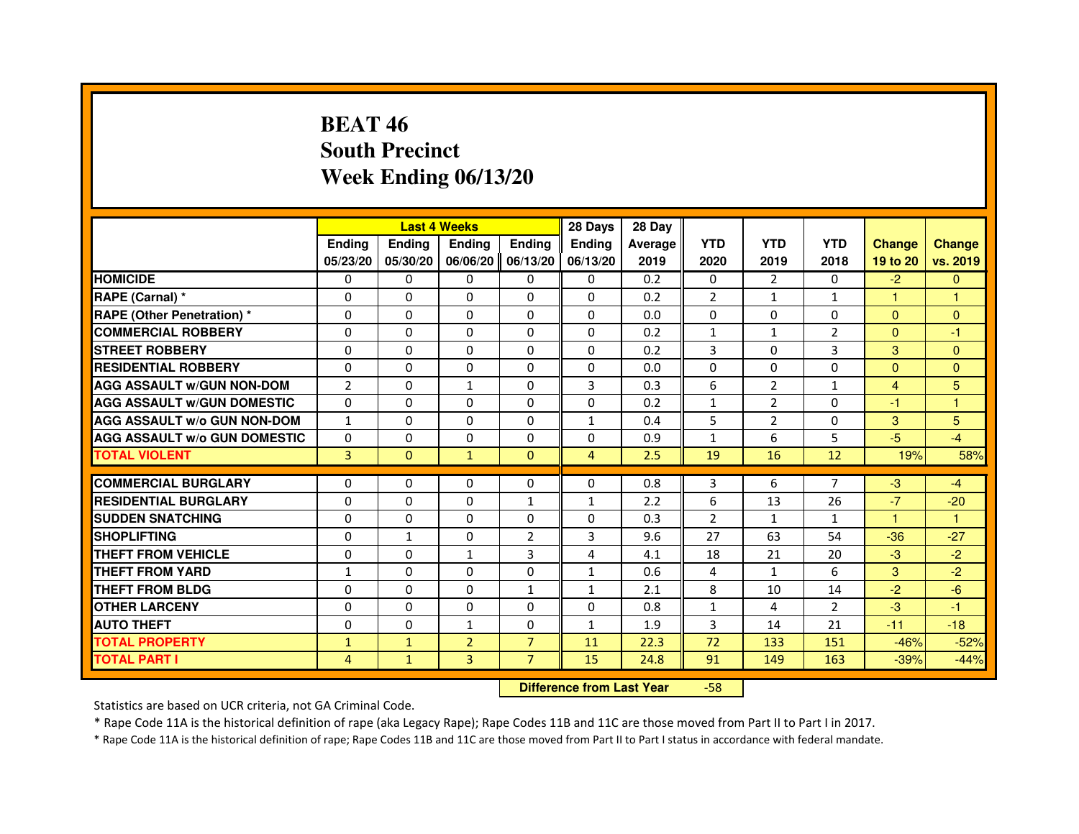# **BEAT 46 South PrecinctWeek Ending 06/13/20**

|                                     |                |               | <b>Last 4 Weeks</b> |                | 28 Days                          | 28 Day  |                |                |                |                |               |
|-------------------------------------|----------------|---------------|---------------------|----------------|----------------------------------|---------|----------------|----------------|----------------|----------------|---------------|
|                                     | <b>Ending</b>  | <b>Ending</b> | Ending              | Ending         | Ending                           | Average | <b>YTD</b>     | <b>YTD</b>     | <b>YTD</b>     | <b>Change</b>  | <b>Change</b> |
|                                     | 05/23/20       | 05/30/20      | 06/06/20            | 06/13/20       | 06/13/20                         | 2019    | 2020           | 2019           | 2018           | 19 to 20       | vs. 2019      |
| <b>HOMICIDE</b>                     | 0              | 0             | 0                   | 0              | $\mathbf{0}$                     | 0.2     | 0              | $\overline{2}$ | $\Omega$       | $-2$           | $\mathbf{0}$  |
| RAPE (Carnal) *                     | 0              | 0             | 0                   | 0              | 0                                | 0.2     | $\overline{2}$ | $\mathbf{1}$   | $\mathbf{1}$   | 1              | 1             |
| RAPE (Other Penetration) *          | 0              | $\Omega$      | $\Omega$            | $\Omega$       | $\mathbf{0}$                     | 0.0     | $\Omega$       | $\Omega$       | $\Omega$       | $\Omega$       | $\mathbf{0}$  |
| <b>COMMERCIAL ROBBERY</b>           | 0              | $\Omega$      | $\Omega$            | $\Omega$       | 0                                | 0.2     | $\mathbf{1}$   | $\mathbf{1}$   | $\overline{2}$ | $\Omega$       | $-1$          |
| <b>STREET ROBBERY</b>               | $\Omega$       | $\Omega$      | $\Omega$            | $\Omega$       | $\mathbf{0}$                     | 0.2     | 3              | $\Omega$       | 3              | 3              | $\Omega$      |
| <b>RESIDENTIAL ROBBERY</b>          | 0              | 0             | 0                   | 0              | 0                                | 0.0     | 0              | 0              | $\Omega$       | $\Omega$       | $\mathbf{0}$  |
| <b>AGG ASSAULT w/GUN NON-DOM</b>    | $\overline{2}$ | $\Omega$      | $\mathbf{1}$        | $\Omega$       | 3                                | 0.3     | 6              | $\overline{2}$ | $\mathbf{1}$   | $\overline{4}$ | 5             |
| <b>AGG ASSAULT W/GUN DOMESTIC</b>   | $\Omega$       | $\Omega$      | 0                   | $\Omega$       | $\Omega$                         | 0.2     | $\mathbf{1}$   | $\overline{2}$ | $\Omega$       | $-1$           | $\mathbf{1}$  |
| <b>AGG ASSAULT W/o GUN NON-DOM</b>  | $\mathbf{1}$   | $\Omega$      | $\Omega$            | $\Omega$       | $\mathbf{1}$                     | 0.4     | 5              | $\overline{2}$ | $\Omega$       | 3              | 5             |
| <b>AGG ASSAULT w/o GUN DOMESTIC</b> | $\Omega$       | $\Omega$      | 0                   | $\Omega$       | $\mathbf{0}$                     | 0.9     | $\mathbf{1}$   | 6              | 5              | $-5$           | $-4$          |
| <b>TOTAL VIOLENT</b>                | 3              | $\mathbf{0}$  | $\mathbf{1}$        | $\mathbf{0}$   | $\overline{4}$                   | 2.5     | 19             | 16             | 12             | 19%            | 58%           |
| <b>COMMERCIAL BURGLARY</b>          | 0              | 0             | 0                   | 0              | 0                                | 0.8     | 3              | 6              | 7              | $-3$           | $-4$          |
| <b>RESIDENTIAL BURGLARY</b>         | 0              | $\Omega$      | $\Omega$            | 1              | 1                                | 2.2     | 6              | 13             | 26             | $-7$           | $-20$         |
| <b>SUDDEN SNATCHING</b>             | $\Omega$       | $\Omega$      | $\Omega$            | $\Omega$       | $\Omega$                         | 0.3     | $\overline{2}$ | $\mathbf{1}$   | $\mathbf{1}$   | $\mathbf{1}$   | $\mathbf{1}$  |
| <b>SHOPLIFTING</b>                  | 0              | $\mathbf{1}$  | 0                   | $\overline{2}$ | 3                                | 9.6     | 27             | 63             | 54             | $-36$          | $-27$         |
| <b>THEFT FROM VEHICLE</b>           | 0              | 0             | 1                   | 3              | 4                                | 4.1     | 18             | 21             | 20             | $-3$           | $-2$          |
| <b>THEFT FROM YARD</b>              | $\mathbf{1}$   | $\Omega$      | $\Omega$            | $\Omega$       | $\mathbf{1}$                     | 0.6     | $\overline{4}$ | $\mathbf{1}$   | 6              | 3              | $-2$          |
| <b>THEFT FROM BLDG</b>              | $\Omega$       | $\Omega$      | $\Omega$            | $\mathbf{1}$   | $\mathbf{1}$                     | 2.1     | 8              | 10             | 14             | $-2$           | $-6$          |
| <b>OTHER LARCENY</b>                | 0              | 0             | 0                   | $\Omega$       | $\mathbf{0}$                     | 0.8     | 1              | 4              | $\overline{2}$ | $-3$           | $-1$          |
| <b>AUTO THEFT</b>                   | $\Omega$       | $\Omega$      | $\mathbf{1}$        | $\Omega$       | $\mathbf{1}$                     | 1.9     | 3              | 14             | 21             | $-11$          | $-18$         |
| <b>TOTAL PROPERTY</b>               | $\mathbf{1}$   | $\mathbf{1}$  | $\overline{2}$      | $\overline{7}$ | 11                               | 22.3    | 72             | 133            | 151            | $-46%$         | $-52%$        |
| <b>TOTAL PART I</b>                 | $\overline{4}$ | $\mathbf{1}$  | 3                   | $\overline{7}$ | 15                               | 24.8    | 91             | 149            | 163            | $-39%$         | $-44%$        |
|                                     |                |               |                     |                | <b>Difference from Last Year</b> |         | $-58$          |                |                |                |               |

 **Difference from Last Year**

Statistics are based on UCR criteria, not GA Criminal Code.

\* Rape Code 11A is the historical definition of rape (aka Legacy Rape); Rape Codes 11B and 11C are those moved from Part II to Part I in 2017.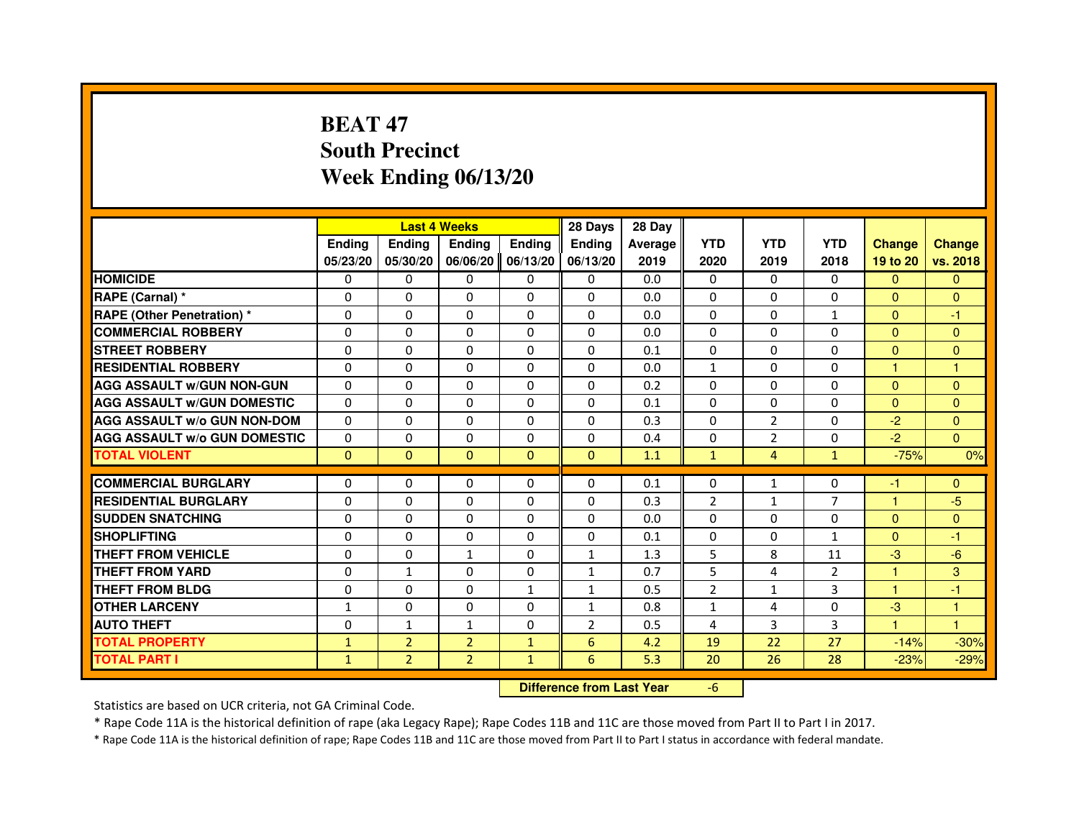# **BEAT 47 South PrecinctWeek Ending 06/13/20**

|                                     |               |                                  | <b>Last 4 Weeks</b> |              | 28 Days        | 28 Day  |                |                |                |               |               |
|-------------------------------------|---------------|----------------------------------|---------------------|--------------|----------------|---------|----------------|----------------|----------------|---------------|---------------|
|                                     | <b>Ending</b> | <b>Ending</b>                    | Ending              | Ending       | Ending         | Average | <b>YTD</b>     | <b>YTD</b>     | <b>YTD</b>     | <b>Change</b> | <b>Change</b> |
|                                     | 05/23/20      | 05/30/20                         | 06/06/20            | 06/13/20     | 06/13/20       | 2019    | 2020           | 2019           | 2018           | 19 to 20      | vs. 2018      |
| <b>HOMICIDE</b>                     | 0             | $\Omega$                         | 0                   | 0            | $\mathbf{0}$   | 0.0     | $\Omega$       | 0              | $\Omega$       | $\mathbf{0}$  | $\mathbf{0}$  |
| RAPE (Carnal) *                     | 0             | 0                                | 0                   | 0            | 0              | 0.0     | 0              | 0              | 0              | $\mathbf{0}$  | $\mathbf{0}$  |
| RAPE (Other Penetration) *          | 0             | $\Omega$                         | $\Omega$            | $\Omega$     | $\Omega$       | 0.0     | $\Omega$       | $\Omega$       | $\mathbf{1}$   | $\Omega$      | $-1$          |
| <b>COMMERCIAL ROBBERY</b>           | 0             | $\Omega$                         | $\Omega$            | $\Omega$     | 0              | 0.0     | $\Omega$       | $\Omega$       | $\Omega$       | $\Omega$      | $\mathbf{0}$  |
| <b>STREET ROBBERY</b>               | $\Omega$      | $\Omega$                         | $\Omega$            | $\Omega$     | $\Omega$       | 0.1     | $\Omega$       | $\Omega$       | $\Omega$       | $\Omega$      | $\Omega$      |
| <b>RESIDENTIAL ROBBERY</b>          | 0             | 0                                | 0                   | 0            | 0              | 0.0     | 1              | 0              | $\Omega$       | $\mathbf{1}$  | 1             |
| <b>AGG ASSAULT w/GUN NON-GUN</b>    | $\Omega$      | $\Omega$                         | $\Omega$            | $\Omega$     | $\Omega$       | 0.2     | $\Omega$       | $\Omega$       | $\Omega$       | $\Omega$      | $\Omega$      |
| <b>AGG ASSAULT W/GUN DOMESTIC</b>   | $\Omega$      | $\Omega$                         | $\Omega$            | $\Omega$     | $\Omega$       | 0.1     | $\Omega$       | $\Omega$       | $\Omega$       | $\Omega$      | $\Omega$      |
| <b>AGG ASSAULT W/o GUN NON-DOM</b>  | $\Omega$      | $\Omega$                         | $\Omega$            | $\Omega$     | $\Omega$       | 0.3     | $\Omega$       | $\overline{2}$ | $\Omega$       | $-2$          | $\Omega$      |
| <b>AGG ASSAULT w/o GUN DOMESTIC</b> | $\Omega$      | $\Omega$                         | 0                   | $\Omega$     | $\Omega$       | 0.4     | $\Omega$       | $\overline{2}$ | $\Omega$       | $-2$          | $\Omega$      |
| <b>TOTAL VIOLENT</b>                | $\mathbf{0}$  | $\mathbf{0}$                     | $\mathbf 0$         | $\mathbf{0}$ | $\mathbf{0}$   | 1.1     | $\mathbf{1}$   | $\overline{4}$ | $\mathbf{1}$   | $-75%$        | 0%            |
| <b>COMMERCIAL BURGLARY</b>          | 0             | 0                                | 0                   | 0            | 0              | 0.1     | 0              | $\mathbf{1}$   | 0              | $-1$          | $\mathbf{0}$  |
| <b>RESIDENTIAL BURGLARY</b>         | 0             | $\Omega$                         | $\Omega$            | $\Omega$     | 0              | 0.3     | $\overline{2}$ | $\mathbf{1}$   | $\overline{7}$ | $\mathbf{1}$  | $-5$          |
| <b>SUDDEN SNATCHING</b>             | $\Omega$      | $\Omega$                         | $\Omega$            | $\Omega$     | $\Omega$       | 0.0     | $\Omega$       | $\Omega$       | $\Omega$       | $\Omega$      | $\Omega$      |
| <b>SHOPLIFTING</b>                  | 0             | $\Omega$                         | 0                   | $\Omega$     | 0              | 0.1     | $\Omega$       | 0              | $\mathbf{1}$   | $\mathbf{0}$  | $-1$          |
| <b>THEFT FROM VEHICLE</b>           | 0             | 0                                | 1                   | $\Omega$     | $\mathbf{1}$   | 1.3     | 5              | 8              | 11             | $-3$          | $-6$          |
| <b>THEFT FROM YARD</b>              | $\Omega$      | $\mathbf{1}$                     | $\Omega$            | $\Omega$     | $\mathbf{1}$   | 0.7     | 5              | 4              | $\overline{2}$ | $\mathbf{1}$  | 3             |
| <b>THEFT FROM BLDG</b>              | $\Omega$      | $\Omega$                         | $\Omega$            | $\mathbf{1}$ | $\mathbf{1}$   | 0.5     | $\overline{2}$ | $\mathbf{1}$   | 3              | $\mathbf{1}$  | $-1$          |
| <b>OTHER LARCENY</b>                | 1             | 0                                | 0                   | $\Omega$     | 1              | 0.8     | 1              | 4              | 0              | $-3$          | 1             |
| <b>AUTO THEFT</b>                   | $\Omega$      | $\mathbf{1}$                     | $\mathbf{1}$        | $\Omega$     | $\overline{2}$ | 0.5     | 4              | 3              | 3              | $\mathbf{1}$  | $\mathbf{1}$  |
| <b>TOTAL PROPERTY</b>               | $\mathbf{1}$  | $\overline{2}$                   | $\overline{2}$      | $\mathbf{1}$ | 6              | 4.2     | 19             | 22             | 27             | $-14%$        | $-30%$        |
| <b>TOTAL PART I</b>                 | $\mathbf{1}$  | $\overline{2}$                   | $\overline{2}$      | $\mathbf{1}$ | 6              | 5.3     | 20             | 26             | 28             | $-23%$        | $-29%$        |
|                                     |               | <b>Difference from Last Year</b> |                     | $-6$         |                |         |                |                |                |               |               |

 **Difference from Last Year**

Statistics are based on UCR criteria, not GA Criminal Code.

\* Rape Code 11A is the historical definition of rape (aka Legacy Rape); Rape Codes 11B and 11C are those moved from Part II to Part I in 2017.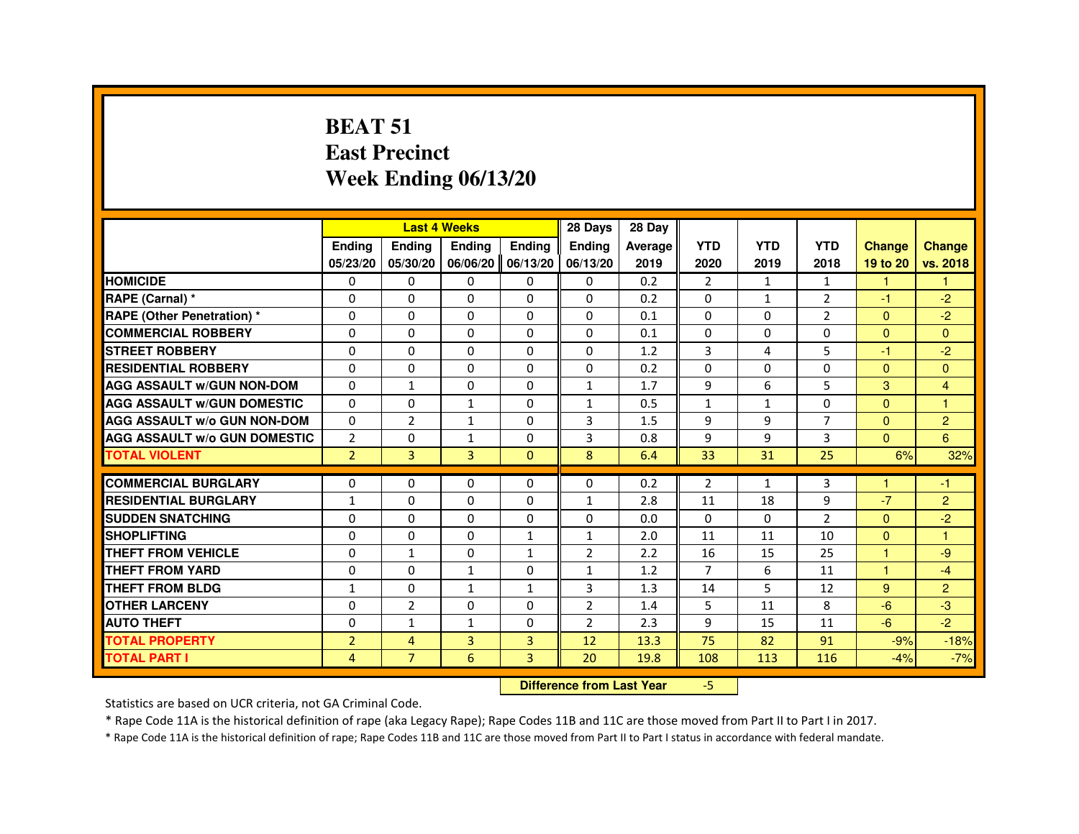#### **BEAT 51 East PrecinctWeek Ending 06/13/20**

|                                     |                |                | <b>Last 4 Weeks</b>              |              | 28 Days        | 28 Day  |                |              |                |                |                |
|-------------------------------------|----------------|----------------|----------------------------------|--------------|----------------|---------|----------------|--------------|----------------|----------------|----------------|
|                                     | <b>Ending</b>  | Ending         | Ending                           | Ending       | Ending         | Average | <b>YTD</b>     | <b>YTD</b>   | <b>YTD</b>     | <b>Change</b>  | Change         |
|                                     | 05/23/20       | 05/30/20       | 06/06/20                         | 06/13/20     | 06/13/20       | 2019    | 2020           | 2019         | 2018           | 19 to 20       | vs. 2018       |
| <b>HOMICIDE</b>                     | 0              | 0              | 0                                | $\Omega$     | 0              | 0.2     | $\overline{2}$ | $\mathbf{1}$ | $\mathbf{1}$   | $\mathbf{1}$   | $\mathbf{1}$   |
| RAPE (Carnal) *                     | 0              | 0              | $\Omega$                         | $\Omega$     | $\Omega$       | 0.2     | 0              | $\mathbf{1}$ | $\overline{2}$ | $-1$           | $-2$           |
| <b>RAPE (Other Penetration) *</b>   | $\Omega$       | 0              | 0                                | 0            | 0              | 0.1     | $\Omega$       | $\Omega$     | $\overline{2}$ | $\mathbf{0}$   | $-2$           |
| <b>COMMERCIAL ROBBERY</b>           | $\Omega$       | $\Omega$       | $\Omega$                         | $\Omega$     | $\Omega$       | 0.1     | $\Omega$       | $\Omega$     | $\Omega$       | $\Omega$       | $\Omega$       |
| <b>STREET ROBBERY</b>               | 0              | $\Omega$       | $\Omega$                         | $\Omega$     | $\Omega$       | 1.2     | 3              | 4            | 5              | $-1$           | $-2$           |
| <b>RESIDENTIAL ROBBERY</b>          | 0              | 0              | 0                                | 0            | 0              | 0.2     | $\Omega$       | 0            | $\Omega$       | $\mathbf{0}$   | $\overline{0}$ |
| <b>AGG ASSAULT W/GUN NON-DOM</b>    | $\Omega$       | $\mathbf{1}$   | $\Omega$                         | $\Omega$     | $\mathbf{1}$   | 1.7     | 9              | 6            | 5              | 3              | $\overline{4}$ |
| <b>AGG ASSAULT W/GUN DOMESTIC</b>   | $\Omega$       | $\Omega$       | $\mathbf{1}$                     | $\Omega$     | $\mathbf{1}$   | 0.5     | $\mathbf{1}$   | $\mathbf{1}$ | $\Omega$       | $\Omega$       | $\overline{1}$ |
| <b>AGG ASSAULT W/o GUN NON-DOM</b>  | $\Omega$       | $\overline{2}$ | 1                                | $\Omega$     | 3              | 1.5     | 9              | 9            | $\overline{7}$ | $\mathbf{0}$   | $\overline{2}$ |
| <b>AGG ASSAULT W/o GUN DOMESTIC</b> | $\overline{2}$ | $\Omega$       | $\mathbf{1}$                     | $\Omega$     | 3              | 0.8     | 9              | 9            | 3              | $\Omega$       | 6              |
| <b>TOTAL VIOLENT</b>                | $\overline{2}$ | $\overline{3}$ | 3                                | $\Omega$     | 8              | 6.4     | 33             | 31           | 25             | 6%             | 32%            |
| <b>COMMERCIAL BURGLARY</b>          | 0              | 0              | 0                                | $\Omega$     | $\Omega$       | 0.2     | $\overline{2}$ | $\mathbf{1}$ | 3              | $\mathbf{1}$   | -1             |
| <b>RESIDENTIAL BURGLARY</b>         | $\mathbf{1}$   | $\Omega$       | $\Omega$                         | $\Omega$     | $\mathbf{1}$   | 2.8     | 11             | 18           | 9              | $-7$           | $\overline{2}$ |
| <b>SUDDEN SNATCHING</b>             | $\Omega$       | $\Omega$       | $\Omega$                         | $\Omega$     | $\Omega$       | 0.0     | $\Omega$       | $\Omega$     | $\overline{2}$ | $\Omega$       | $-2$           |
| <b>SHOPLIFTING</b>                  | $\Omega$       | $\Omega$       | $\Omega$                         | $\mathbf{1}$ | $\mathbf{1}$   | 2.0     | 11             | 11           | 10             | $\Omega$       | $\overline{1}$ |
| <b>THEFT FROM VEHICLE</b>           | $\Omega$       | $\mathbf{1}$   | $\Omega$                         | $\mathbf{1}$ | $\overline{2}$ | 2.2     | 16             | 15           | 25             | $\overline{1}$ | -9             |
| <b>THEFT FROM YARD</b>              | $\Omega$       | $\Omega$       | $\mathbf{1}$                     | $\Omega$     | $\mathbf{1}$   | 1.2     | $\overline{7}$ | 6            | 11             | $\mathbf{1}$   | $-4$           |
| <b>THEFT FROM BLDG</b>              | $\mathbf{1}$   | 0              | $\mathbf{1}$                     | $\mathbf{1}$ | 3              | 1.3     | 14             | 5            | 12             | 9              | $\overline{2}$ |
| <b>OTHER LARCENY</b>                | $\Omega$       | $\overline{2}$ | $\Omega$                         | $\Omega$     | $\overline{2}$ | 1.4     | 5              | 11           | 8              | $-6$           | $-3$           |
| <b>AUTO THEFT</b>                   | 0              | $\mathbf{1}$   | $\mathbf{1}$                     | $\Omega$     | $\overline{2}$ | 2.3     | 9              | 15           | 11             | $-6$           | $-2$           |
| <b>TOTAL PROPERTY</b>               | $\overline{2}$ | $\overline{4}$ | $\overline{3}$                   | 3            | 12             | 13.3    | 75             | 82           | 91             | $-9%$          | $-18%$         |
| <b>TOTAL PART I</b>                 | 4              | $\overline{7}$ | 6                                | 3            | 20             | 19.8    | 108            | 113          | 116            | $-4%$          | $-7%$          |
|                                     |                |                | <b>Difference from Last Year</b> |              | $-5$           |         |                |              |                |                |                |

 **Difference from Last Year**

Statistics are based on UCR criteria, not GA Criminal Code.

\* Rape Code 11A is the historical definition of rape (aka Legacy Rape); Rape Codes 11B and 11C are those moved from Part II to Part I in 2017.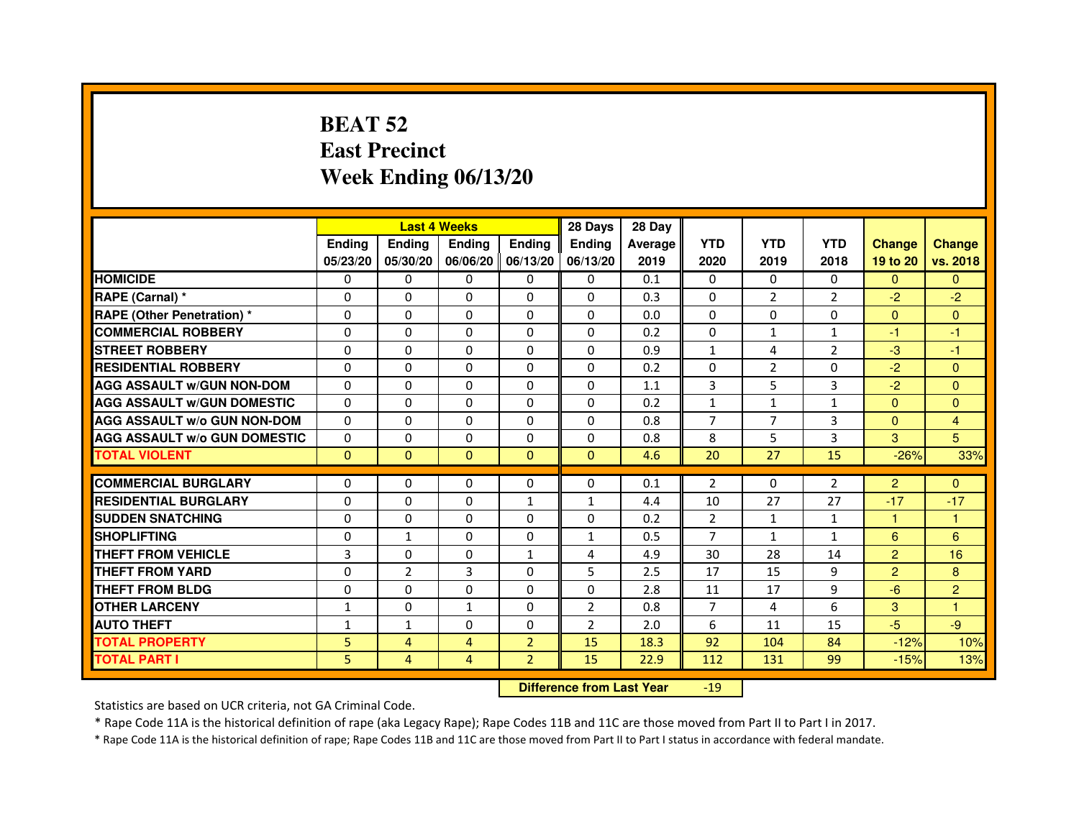# **BEAT 52 East PrecinctWeek Ending 06/13/20**

|                                     |               |                | <b>Last 4 Weeks</b> |                   | 28 Days        | 28 Day  |                |                |                |                |                |
|-------------------------------------|---------------|----------------|---------------------|-------------------|----------------|---------|----------------|----------------|----------------|----------------|----------------|
|                                     | <b>Ending</b> | <b>Endina</b>  | <b>Ending</b>       | <b>Ending</b>     | <b>Ending</b>  | Average | <b>YTD</b>     | <b>YTD</b>     | <b>YTD</b>     | <b>Change</b>  | <b>Change</b>  |
|                                     | 05/23/20      | 05/30/20       |                     | 06/06/20 06/13/20 | 06/13/20       | 2019    | 2020           | 2019           | 2018           | 19 to 20       | vs. 2018       |
| <b>HOMICIDE</b>                     | $\Omega$      | $\mathbf{0}$   | $\mathbf{0}$        | $\Omega$          | 0              | 0.1     | $\mathbf{0}$   | $\Omega$       | $\Omega$       | $\Omega$       | $\Omega$       |
| RAPE (Carnal) *                     | 0             | $\Omega$       | $\Omega$            | $\Omega$          | $\Omega$       | 0.3     | $\Omega$       | 2              | $\overline{2}$ | $-2$           | $-2$           |
| <b>RAPE (Other Penetration)*</b>    | 0             | $\mathbf{0}$   | $\Omega$            | $\mathbf{0}$      | $\mathbf{0}$   | 0.0     | $\mathbf{0}$   | 0              | $\Omega$       | $\Omega$       | $\Omega$       |
| <b>COMMERCIAL ROBBERY</b>           | 0             | 0              | 0                   | $\Omega$          | $\Omega$       | 0.2     | $\Omega$       | $\mathbf{1}$   | 1              | $-1$           | $-1$           |
| <b>STREET ROBBERY</b>               | 0             | 0              | 0                   | 0                 | 0              | 0.9     | $\mathbf{1}$   | $\overline{4}$ | $\overline{2}$ | $-3$           | $-1$           |
| <b>RESIDENTIAL ROBBERY</b>          | 0             | $\Omega$       | $\Omega$            | $\Omega$          | $\Omega$       | 0.2     | $\Omega$       | $\overline{2}$ | $\Omega$       | $-2$           | $\Omega$       |
| <b>AGG ASSAULT W/GUN NON-DOM</b>    | $\Omega$      | $\Omega$       | $\Omega$            | $\Omega$          | $\Omega$       | 1.1     | 3              | 5              | 3              | $-2$           | $\Omega$       |
| <b>AGG ASSAULT W/GUN DOMESTIC</b>   | $\Omega$      | 0              | 0                   | 0                 | 0              | 0.2     | $\mathbf{1}$   | $\mathbf{1}$   | $\mathbf{1}$   | $\Omega$       | $\Omega$       |
| <b>AGG ASSAULT W/o GUN NON-DOM</b>  | 0             | 0              | 0                   | $\Omega$          | $\Omega$       | 0.8     | 7              | 7              | 3              | $\Omega$       | 4              |
| <b>AGG ASSAULT W/o GUN DOMESTIC</b> | 0             | 0              | 0                   | 0                 | 0              | 0.8     | 8              | 5              | 3              | 3              | 5              |
| <b>TOTAL VIOLENT</b>                | $\mathbf{0}$  | $\mathbf{0}$   | $\mathbf{0}$        | $\mathbf{0}$      | $\mathbf{0}$   | 4.6     | 20             | 27             | 15             | $-26%$         | 33%            |
|                                     |               |                |                     |                   |                |         |                |                |                |                |                |
| <b>COMMERCIAL BURGLARY</b>          | 0             | 0              | 0                   | 0                 | 0              | 0.1     | $\overline{2}$ | 0              | 2              | $\overline{2}$ | $\mathbf{0}$   |
| <b>RESIDENTIAL BURGLARY</b>         | 0             | 0              | 0                   | 1                 | $\mathbf{1}$   | 4.4     | 10             | 27             | 27             | $-17$          | $-17$          |
| <b>SUDDEN SNATCHING</b>             | 0             | 0              | 0                   | 0                 | 0              | 0.2     | $\overline{2}$ | $\mathbf{1}$   | $\mathbf{1}$   | $\mathbf{1}$   | $\mathbf{1}$   |
| <b>SHOPLIFTING</b>                  | $\Omega$      | $\mathbf{1}$   | $\Omega$            | $\Omega$          | $\mathbf{1}$   | 0.5     | $\overline{7}$ | $\mathbf{1}$   | $\mathbf{1}$   | 6              | 6              |
| THEFT FROM VEHICLE                  | 3             | 0              | 0                   | $\mathbf{1}$      | 4              | 4.9     | 30             | 28             | 14             | $\overline{2}$ | 16             |
| THEFT FROM YARD                     | 0             | $\overline{2}$ | 3                   | $\Omega$          | 5              | 2.5     | 17             | 15             | 9              | $\overline{2}$ | 8              |
| <b>THEFT FROM BLDG</b>              | 0             | 0              | 0                   | 0                 | 0              | 2.8     | 11             | 17             | 9              | $-6$           | $\overline{2}$ |
| <b>OTHER LARCENY</b>                | $\mathbf{1}$  | 0              | 1                   | 0                 | $\overline{2}$ | 0.8     | $\overline{7}$ | 4              | 6              | 3              | $\mathbf{1}$   |
| <b>AUTO THEFT</b>                   | $\mathbf{1}$  | $\mathbf{1}$   | $\Omega$            | $\Omega$          | $\overline{2}$ | 2.0     | 6              | 11             | 15             | $-5$           | $-9$           |
| <b>TOTAL PROPERTY</b>               | 5             | 4              | 4                   | $\overline{2}$    | 15             | 18.3    | 92             | 104            | 84             | $-12%$         | 10%            |
| <b>TOTAL PART I</b>                 | 5             | 4              | 4                   | $\overline{2}$    | 15             | 22.9    | 112            | 131            | 99             | $-15%$         | 13%            |

 **Difference from Last Year**-19

Statistics are based on UCR criteria, not GA Criminal Code.

\* Rape Code 11A is the historical definition of rape (aka Legacy Rape); Rape Codes 11B and 11C are those moved from Part II to Part I in 2017.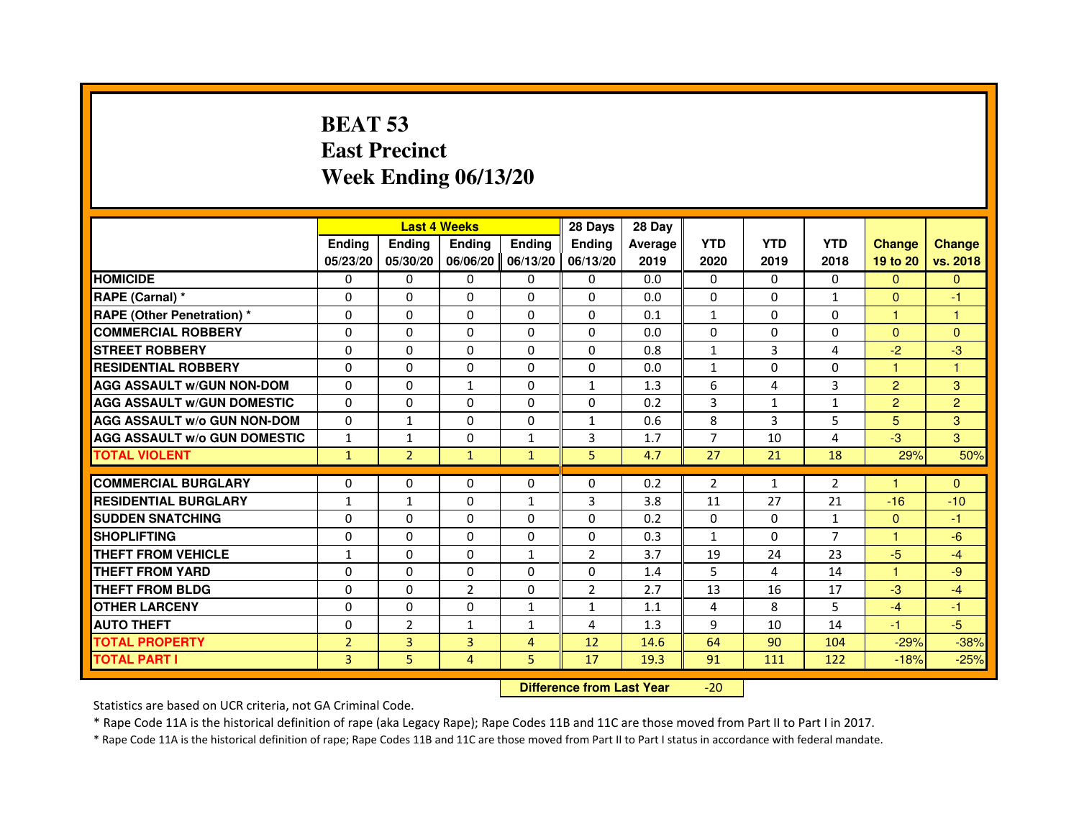# **BEAT 53 East PrecinctWeek Ending 06/13/20**

|                                     |                |                                  | <b>Last 4 Weeks</b> |                | 28 Days        | 28 Day  |                |              |                |                      |                |
|-------------------------------------|----------------|----------------------------------|---------------------|----------------|----------------|---------|----------------|--------------|----------------|----------------------|----------------|
|                                     | <b>Ending</b>  | <b>Ending</b>                    | <b>Ending</b>       | <b>Ending</b>  | Ending         | Average | <b>YTD</b>     | <b>YTD</b>   | <b>YTD</b>     | <b>Change</b>        | <b>Change</b>  |
|                                     | 05/23/20       | 05/30/20                         | 06/06/20            | 06/13/20       | 06/13/20       | 2019    | 2020           | 2019         | 2018           | 19 to 20             | vs. 2018       |
| <b>HOMICIDE</b>                     | $\Omega$       | 0                                | 0                   | $\mathbf{0}$   | 0              | 0.0     | $\Omega$       | $\Omega$     | $\Omega$       | $\Omega$             | $\mathbf{0}$   |
| RAPE (Carnal) *                     | 0              | $\Omega$                         | $\Omega$            | $\Omega$       | $\Omega$       | 0.0     | $\mathbf{0}$   | $\Omega$     | $\mathbf{1}$   | $\mathbf{0}$         | $-1$           |
| <b>RAPE (Other Penetration) *</b>   | $\Omega$       | $\Omega$                         | $\Omega$            | $\Omega$       | $\Omega$       | 0.1     | $\mathbf{1}$   | $\mathbf{0}$ | $\Omega$       | $\mathbf{1}$         | $\mathbf{1}$   |
| <b>COMMERCIAL ROBBERY</b>           | $\Omega$       | $\mathbf{0}$                     | $\mathbf{0}$        | $\Omega$       | $\Omega$       | 0.0     | $\mathbf{0}$   | $\mathbf{0}$ | $\Omega$       | $\Omega$             | $\mathbf{0}$   |
| <b>STREET ROBBERY</b>               | $\Omega$       | $\Omega$                         | $\Omega$            | $\Omega$       | $\Omega$       | 0.8     | $\mathbf{1}$   | 3            | 4              | $-2$                 | $-3$           |
| <b>RESIDENTIAL ROBBERY</b>          | $\Omega$       | $\Omega$                         | $\Omega$            | $\Omega$       | $\Omega$       | 0.0     | $\mathbf{1}$   | $\Omega$     | $\Omega$       | $\blacktriangleleft$ | 1              |
| <b>AGG ASSAULT w/GUN NON-DOM</b>    | $\Omega$       | $\Omega$                         | $\mathbf{1}$        | $\Omega$       | $\mathbf{1}$   | 1.3     | 6              | 4            | 3              | $\overline{2}$       | 3              |
| <b>AGG ASSAULT W/GUN DOMESTIC</b>   | $\Omega$       | $\Omega$                         | $\Omega$            | $\Omega$       | $\Omega$       | 0.2     | 3              | $\mathbf{1}$ | $\mathbf{1}$   | $\overline{2}$       | $\overline{2}$ |
| <b>AGG ASSAULT w/o GUN NON-DOM</b>  | 0              | $\mathbf{1}$                     | 0                   | 0              | $\mathbf{1}$   | 0.6     | 8              | 3            | 5              | 5                    | 3              |
| <b>AGG ASSAULT W/o GUN DOMESTIC</b> | $\mathbf{1}$   | $\mathbf{1}$                     | $\Omega$            | $\mathbf{1}$   | 3              | 1.7     | $\overline{7}$ | 10           | 4              | $-3$                 | 3              |
| <b>TOTAL VIOLENT</b>                | $\mathbf{1}$   | $\overline{2}$                   | $\mathbf{1}$        | $\mathbf{1}$   | 5              | 4.7     | 27             | 21           | 18             | 29%                  | 50%            |
| <b>COMMERCIAL BURGLARY</b>          | $\Omega$       | $\Omega$                         | $\Omega$            | $\Omega$       | $\Omega$       | 0.2     | $\overline{2}$ | $\mathbf{1}$ | 2              |                      | $\Omega$       |
| <b>RESIDENTIAL BURGLARY</b>         | $\mathbf{1}$   | $\mathbf{1}$                     | $\Omega$            | $\mathbf{1}$   | 3              | 3.8     | 11             | 27           | 21             | $-16$                | $-10$          |
| <b>SUDDEN SNATCHING</b>             | $\Omega$       | $\Omega$                         | $\Omega$            | $\Omega$       | $\Omega$       | 0.2     | $\Omega$       | $\Omega$     | $\mathbf{1}$   | $\Omega$             | $-1$           |
| <b>SHOPLIFTING</b>                  | 0              | 0                                | 0                   | 0              | 0              | 0.3     | 1              | 0            | $\overline{7}$ | $\mathbf{1}$         | $-6$           |
| <b>THEFT FROM VEHICLE</b>           | 1              | $\Omega$                         | $\Omega$            | $\mathbf{1}$   | $\overline{2}$ | 3.7     | 19             | 24           | 23             | $-5$                 | $-4$           |
| <b>THEFT FROM YARD</b>              | 0              | $\Omega$                         | 0                   | 0              | 0              | 1.4     | 5              | 4            | 14             | $\mathbf{1}$         | $-9$           |
| <b>THEFT FROM BLDG</b>              | $\Omega$       | $\Omega$                         | $\overline{2}$      | $\Omega$       | $\overline{2}$ | 2.7     | 13             | 16           | 17             | $-3$                 | $-4$           |
| <b>OTHER LARCENY</b>                | $\Omega$       | $\Omega$                         | $\Omega$            | $\mathbf{1}$   | $\mathbf{1}$   | 1.1     | 4              | 8            | 5              | $-4$                 | $-1$           |
| <b>AUTO THEFT</b>                   | $\Omega$       | $\overline{2}$                   | $\mathbf{1}$        | $\mathbf{1}$   | 4              | 1.3     | 9              | 10           | 14             | $-1$                 | $-5$           |
| <b>TOTAL PROPERTY</b>               | $\overline{2}$ | 3                                | $\overline{3}$      | $\overline{4}$ | 12             | 14.6    | 64             | 90           | 104            | $-29%$               | $-38%$         |
| <b>TOTAL PART I</b>                 | $\overline{3}$ | 5                                | $\overline{4}$      | 5              | 17             | 19.3    | 91             | 111          | 122            | $-18%$               | $-25%$         |
|                                     |                | <b>Difference from Last Year</b> |                     | $-20$          |                |         |                |              |                |                      |                |

Statistics are based on UCR criteria, not GA Criminal Code.

\* Rape Code 11A is the historical definition of rape (aka Legacy Rape); Rape Codes 11B and 11C are those moved from Part II to Part I in 2017.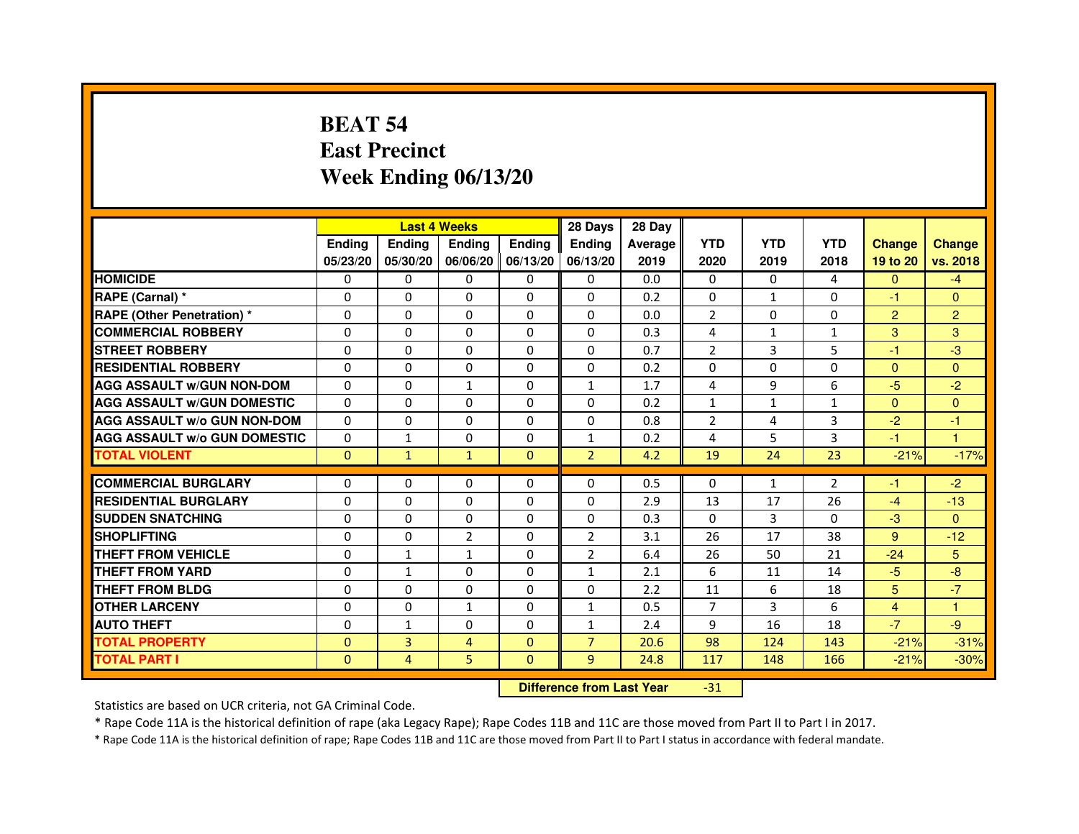# **BEAT 54 East PrecinctWeek Ending 06/13/20**

|                                     |               | <b>Last 4 Weeks</b> |                |               | 28 Days                          | 28 Day  |                |                |              |                |                |
|-------------------------------------|---------------|---------------------|----------------|---------------|----------------------------------|---------|----------------|----------------|--------------|----------------|----------------|
|                                     | <b>Ending</b> | Ending              | <b>Ending</b>  | <b>Ending</b> | <b>Ending</b>                    | Average | <b>YTD</b>     | <b>YTD</b>     | <b>YTD</b>   | <b>Change</b>  | <b>Change</b>  |
|                                     | 05/23/20      | 05/30/20            | 06/06/20       | 06/13/20      | 06/13/20                         | 2019    | 2020           | 2019           | 2018         | 19 to 20       | vs. 2018       |
| <b>HOMICIDE</b>                     | 0             | 0                   | 0              | $\Omega$      | 0                                | 0.0     | $\Omega$       | $\Omega$       | 4            | $\Omega$       | $-4$           |
| RAPE (Carnal) *                     | 0             | $\mathbf{0}$        | 0              | 0             | $\Omega$                         | 0.2     | 0              | $\mathbf{1}$   | $\Omega$     | $-1$           | $\Omega$       |
| <b>RAPE (Other Penetration) *</b>   | 0             | 0                   | 0              | $\mathbf{0}$  | $\Omega$                         | 0.0     | $\overline{2}$ | 0              | $\Omega$     | $\overline{2}$ | $\overline{2}$ |
| <b>COMMERCIAL ROBBERY</b>           | $\mathbf 0$   | 0                   | $\Omega$       | $\mathbf{0}$  | $\mathbf{0}$                     | 0.3     | 4              | $\mathbf{1}$   | $\mathbf{1}$ | 3              | 3              |
| <b>STREET ROBBERY</b>               | 0             | $\Omega$            | $\Omega$       | $\Omega$      | $\Omega$                         | 0.7     | $\overline{2}$ | 3              | 5            | $-1$           | $-3$           |
| <b>RESIDENTIAL ROBBERY</b>          | 0             | 0                   | 0              | 0             | $\Omega$                         | 0.2     | $\Omega$       | $\Omega$       | $\Omega$     | $\Omega$       | $\Omega$       |
| <b>AGG ASSAULT W/GUN NON-DOM</b>    | $\Omega$      | $\Omega$            | $\mathbf{1}$   | $\Omega$      | $\mathbf{1}$                     | 1.7     | 4              | 9              | 6            | $-5$           | $-2$           |
| <b>AGG ASSAULT W/GUN DOMESTIC</b>   | $\Omega$      | $\Omega$            | $\Omega$       | $\Omega$      | $\Omega$                         | 0.2     | $\mathbf{1}$   | $\mathbf{1}$   | $\mathbf{1}$ | $\Omega$       | $\Omega$       |
| <b>AGG ASSAULT W/o GUN NON-DOM</b>  | $\Omega$      | $\Omega$            | $\Omega$       | $\Omega$      | $\Omega$                         | 0.8     | 2              | 4              | 3            | $-2$           | $-1$           |
| <b>AGG ASSAULT W/o GUN DOMESTIC</b> | $\Omega$      | 1                   | 0              | $\Omega$      | $\mathbf{1}$                     | 0.2     | 4              | 5              | 3            | $-1$           | 1              |
| <b>TOTAL VIOLENT</b>                | $\mathbf{0}$  | $\mathbf{1}$        | $\mathbf{1}$   | $\mathbf{0}$  | $\overline{2}$                   | 4.2     | 19             | 24             | 23           | $-21%$         | $-17%$         |
| <b>COMMERCIAL BURGLARY</b>          | 0             | 0                   | 0              | 0             | 0                                | 0.5     | $\mathbf{0}$   | $\mathbf{1}$   | 2            | $-1$           | $-2$           |
| <b>RESIDENTIAL BURGLARY</b>         | 0             | 0                   | $\Omega$       | $\mathbf{0}$  | $\Omega$                         | 2.9     | 13             | 17             | 26           | $-4$           | $-13$          |
| <b>SUDDEN SNATCHING</b>             | 0             | $\Omega$            | $\Omega$       | $\Omega$      | $\Omega$                         | 0.3     | $\Omega$       | $\overline{3}$ | $\Omega$     | $-3$           | $\Omega$       |
| <b>SHOPLIFTING</b>                  | 0             | $\mathbf{0}$        | $\overline{2}$ | $\mathbf{0}$  | 2                                | 3.1     | 26             | 17             | 38           | 9              | $-12$          |
| THEFT FROM VEHICLE                  | 0             | $\mathbf{1}$        | $\mathbf{1}$   | $\Omega$      | $\overline{2}$                   | 6.4     | 26             | 50             | 21           | $-24$          | 5              |
| <b>THEFT FROM YARD</b>              | $\Omega$      | $\mathbf{1}$        | $\Omega$       | $\Omega$      | $\mathbf{1}$                     | 2.1     | 6              | 11             | 14           | $-5$           | $-8$           |
| <b>THEFT FROM BLDG</b>              | 0             | $\Omega$            | 0              | $\Omega$      | $\Omega$                         | 2.2     | 11             | 6              | 18           | 5              | $-7$           |
| <b>OTHER LARCENY</b>                | 0             | $\Omega$            | $\mathbf{1}$   | $\Omega$      | $\mathbf{1}$                     | 0.5     | $\overline{7}$ | 3              | 6            | $\overline{4}$ | 1.             |
| <b>AUTO THEFT</b>                   | $\Omega$      | 1                   | $\Omega$       | $\Omega$      | $\mathbf{1}$                     | 2.4     | 9              | 16             | 18           | $-7$           | $-9$           |
| <b>TOTAL PROPERTY</b>               | $\Omega$      | 3                   | $\overline{4}$ | $\mathbf{0}$  | $\overline{7}$                   | 20.6    | 98             | 124            | 143          | $-21%$         | $-31%$         |
| <b>TOTAL PART I</b>                 | $\mathbf{0}$  | 4                   | 5              | $\Omega$      | 9                                | 24.8    | 117            | 148            | 166          | $-21%$         | $-30%$         |
|                                     |               |                     |                |               | <b>Difference from Last Year</b> |         | $-31$          |                |              |                |                |

 **Difference from Last Year**

Statistics are based on UCR criteria, not GA Criminal Code.

\* Rape Code 11A is the historical definition of rape (aka Legacy Rape); Rape Codes 11B and 11C are those moved from Part II to Part I in 2017.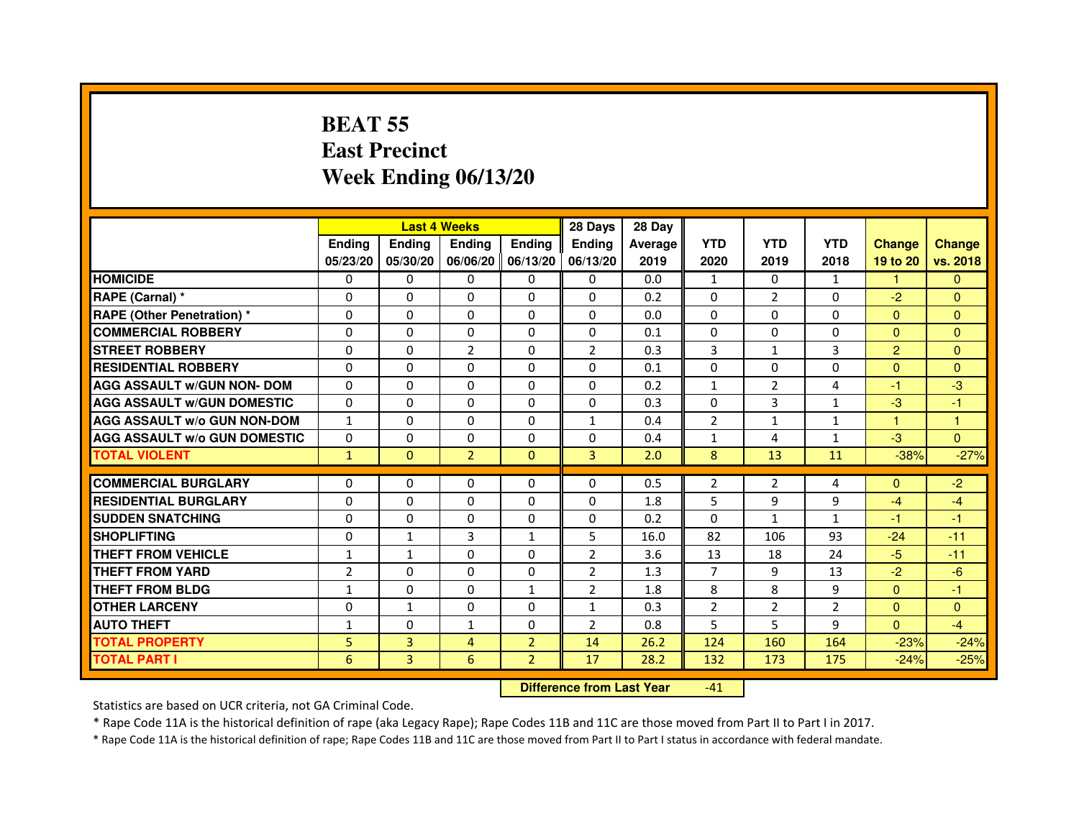# **BEAT 55 East PrecinctWeek Ending 06/13/20**

|                                     |                |                                  | <b>Last 4 Weeks</b> |                | 28 Days        | 28 Day  |                |                |              |                |                |
|-------------------------------------|----------------|----------------------------------|---------------------|----------------|----------------|---------|----------------|----------------|--------------|----------------|----------------|
|                                     | <b>Ending</b>  | <b>Ending</b>                    | <b>Ending</b>       | Ending         | Ending         | Average | <b>YTD</b>     | <b>YTD</b>     | <b>YTD</b>   | <b>Change</b>  | <b>Change</b>  |
|                                     | 05/23/20       | 05/30/20                         | 06/06/20            | 06/13/20       | 06/13/20       | 2019    | 2020           | 2019           | 2018         | 19 to 20       | vs. 2018       |
| <b>HOMICIDE</b>                     | $\Omega$       | $\Omega$                         | $\Omega$            | 0              | 0              | 0.0     | $\mathbf{1}$   | $\Omega$       | $\mathbf{1}$ | $\mathbf{1}$   | $\Omega$       |
| RAPE (Carnal) *                     | $\Omega$       | $\mathbf{0}$                     | 0                   | 0              | 0              | 0.2     | 0              | $\overline{2}$ | 0            | $-2$           | $\mathbf{0}$   |
| RAPE (Other Penetration) *          | $\Omega$       | 0                                | $\Omega$            | $\Omega$       | $\Omega$       | 0.0     | $\Omega$       | $\Omega$       | $\Omega$     | $\Omega$       | $\overline{0}$ |
| <b>COMMERCIAL ROBBERY</b>           | $\Omega$       | $\Omega$                         | $\Omega$            | $\Omega$       | 0              | 0.1     | 0              | $\Omega$       | $\Omega$     | $\mathbf{0}$   | $\mathbf{0}$   |
| <b>STREET ROBBERY</b>               | $\Omega$       | $\Omega$                         | $\overline{2}$      | $\Omega$       | $\overline{2}$ | 0.3     | 3              | $\mathbf{1}$   | 3            | $\overline{2}$ | $\Omega$       |
| <b>RESIDENTIAL ROBBERY</b>          | 0              | 0                                | 0                   | 0              | 0              | 0.1     | 0              | $\Omega$       | $\Omega$     | $\Omega$       | $\overline{0}$ |
| <b>AGG ASSAULT w/GUN NON- DOM</b>   | $\Omega$       | $\Omega$                         | $\Omega$            | $\Omega$       | $\Omega$       | 0.2     | $\mathbf{1}$   | $\overline{2}$ | 4            | $-1$           | $-3$           |
| <b>AGG ASSAULT W/GUN DOMESTIC</b>   | $\Omega$       | $\Omega$                         | $\Omega$            | $\Omega$       | $\Omega$       | 0.3     | $\Omega$       | 3              | $\mathbf{1}$ | $-3$           | $-1$           |
| <b>AGG ASSAULT W/o GUN NON-DOM</b>  | $\mathbf{1}$   | $\Omega$                         | $\Omega$            | $\Omega$       | $\mathbf{1}$   | 0.4     | $\overline{2}$ | $\mathbf{1}$   | $\mathbf{1}$ | 1              | $\mathbf{1}$   |
| <b>AGG ASSAULT W/o GUN DOMESTIC</b> | $\Omega$       | $\Omega$                         | $\Omega$            | $\Omega$       | $\Omega$       | 0.4     | $\mathbf{1}$   | 4              | $\mathbf{1}$ | $-3$           | $\Omega$       |
| <b>TOTAL VIOLENT</b>                | $\mathbf{1}$   | $\mathbf{0}$                     | $\overline{2}$      | $\mathbf{0}$   | 3              | 2.0     | 8              | 13             | 11           | $-38%$         | $-27%$         |
| <b>COMMERCIAL BURGLARY</b>          | $\mathbf{0}$   | 0                                | 0                   | 0              | 0              | 0.5     | 2              | 2              | 4            | $\Omega$       | $-2$           |
| <b>RESIDENTIAL BURGLARY</b>         | $\Omega$       | $\Omega$                         | $\Omega$            | $\Omega$       | $\mathbf 0$    | 1.8     | 5              | 9              | 9            | $-4$           | $-4$           |
| <b>SUDDEN SNATCHING</b>             | $\Omega$       | $\Omega$                         | $\Omega$            | $\Omega$       | $\Omega$       | 0.2     | $\Omega$       | $\mathbf{1}$   | $\mathbf{1}$ | $-1$           | $-1$           |
| <b>SHOPLIFTING</b>                  | $\Omega$       | $\mathbf{1}$                     | $\overline{3}$      | $\mathbf{1}$   | 5              | 16.0    | 82             | 106            | 93           | $-24$          | $-11$          |
| THEFT FROM VEHICLE                  | 1              | 1                                | $\Omega$            | $\Omega$       | $\overline{2}$ | 3.6     | 13             | 18             | 24           | $-5$           | $-11$          |
| <b>THEFT FROM YARD</b>              | $\overline{2}$ | $\Omega$                         | $\Omega$            | $\Omega$       | $\overline{2}$ | 1.3     | $\overline{7}$ | 9              | 13           | $-2$           | $-6$           |
| <b>THEFT FROM BLDG</b>              | $\mathbf{1}$   | $\Omega$                         | $\Omega$            | $\mathbf{1}$   | $\overline{2}$ | 1.8     | 8              | 8              | 9            | $\Omega$       | $-1$           |
| <b>OTHER LARCENY</b>                | $\mathbf{0}$   | 1                                | $\Omega$            | $\Omega$       | $\mathbf{1}$   | 0.3     | $\overline{2}$ | $\overline{2}$ | 2            | $\mathbf{0}$   | $\Omega$       |
| <b>AUTO THEFT</b>                   | $\mathbf{1}$   | $\Omega$                         | $\mathbf{1}$        | $\Omega$       | $\overline{2}$ | 0.8     | 5              | 5              | 9            | $\Omega$       | $-4$           |
| <b>TOTAL PROPERTY</b>               | 5              | 3                                | 4                   | $\overline{2}$ | 14             | 26.2    | 124            | 160            | 164          | $-23%$         | $-24%$         |
| <b>TOTAL PART I</b>                 | 6              | $\overline{3}$                   | 6                   | $\overline{2}$ | 17             | 28.2    | 132            | 173            | 175          | $-24%$         | $-25%$         |
|                                     |                | <b>Difference from Last Year</b> |                     | $-41$          |                |         |                |                |              |                |                |

 **Difference from Last Year**

Statistics are based on UCR criteria, not GA Criminal Code.

\* Rape Code 11A is the historical definition of rape (aka Legacy Rape); Rape Codes 11B and 11C are those moved from Part II to Part I in 2017.